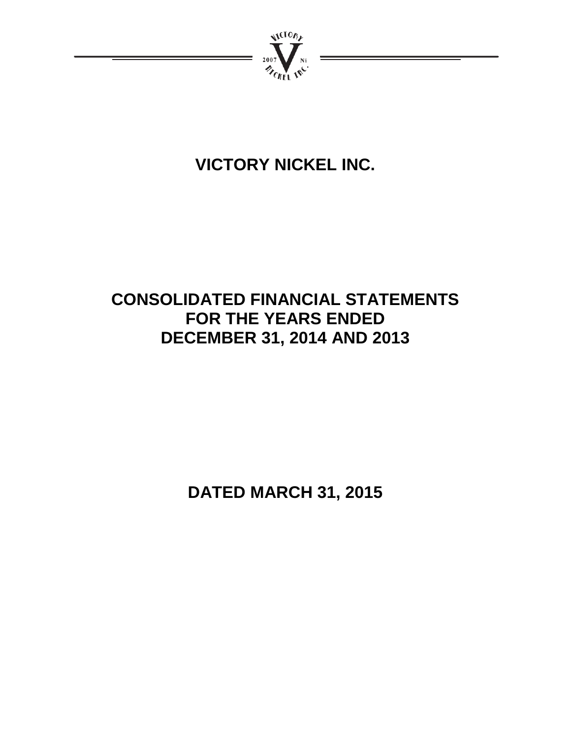

# **VICTORY NICKEL INC.**

# **CONSOLIDATED FINANCIAL STATEMENTS FOR THE YEARS ENDED DECEMBER 31, 2014 AND 2013**

**DATED MARCH 31, 2015**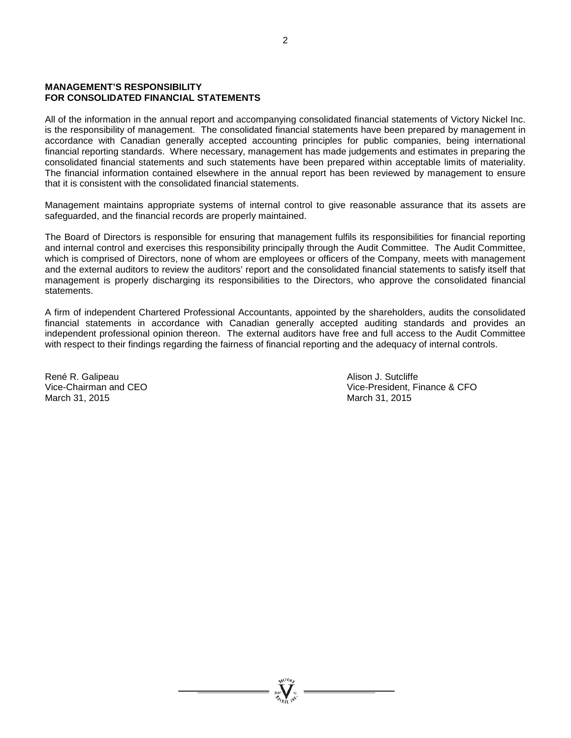#### **MANAGEMENT'S RESPONSIBILITY FOR CONSOLIDATED FINANCIAL STATEMENTS**

All of the information in the annual report and accompanying consolidated financial statements of Victory Nickel Inc. is the responsibility of management. The consolidated financial statements have been prepared by management in accordance with Canadian generally accepted accounting principles for public companies, being international financial reporting standards. Where necessary, management has made judgements and estimates in preparing the consolidated financial statements and such statements have been prepared within acceptable limits of materiality. The financial information contained elsewhere in the annual report has been reviewed by management to ensure that it is consistent with the consolidated financial statements.

Management maintains appropriate systems of internal control to give reasonable assurance that its assets are safeguarded, and the financial records are properly maintained.

The Board of Directors is responsible for ensuring that management fulfils its responsibilities for financial reporting and internal control and exercises this responsibility principally through the Audit Committee. The Audit Committee, which is comprised of Directors, none of whom are employees or officers of the Company, meets with management and the external auditors to review the auditors' report and the consolidated financial statements to satisfy itself that management is properly discharging its responsibilities to the Directors, who approve the consolidated financial statements.

A firm of independent Chartered Professional Accountants, appointed by the shareholders, audits the consolidated financial statements in accordance with Canadian generally accepted auditing standards and provides an independent professional opinion thereon. The external auditors have free and full access to the Audit Committee with respect to their findings regarding the fairness of financial reporting and the adequacy of internal controls.

René R. Galipeau **Alison J. Sutcliffe** March 31, 2015

Vice-Chairman and CEO **Vice-President, Finance & CFO**<br>March 31, 2015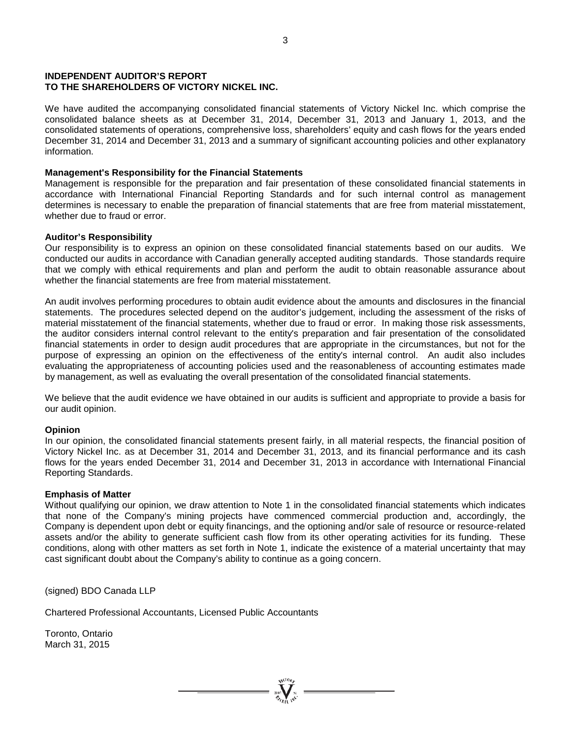#### **INDEPENDENT AUDITOR'S REPORT TO THE SHAREHOLDERS OF VICTORY NICKEL INC.**

We have audited the accompanying consolidated financial statements of Victory Nickel Inc. which comprise the consolidated balance sheets as at December 31, 2014, December 31, 2013 and January 1, 2013, and the consolidated statements of operations, comprehensive loss, shareholders' equity and cash flows for the years ended December 31, 2014 and December 31, 2013 and a summary of significant accounting policies and other explanatory information.

#### **Management's Responsibility for the Financial Statements**

Management is responsible for the preparation and fair presentation of these consolidated financial statements in accordance with International Financial Reporting Standards and for such internal control as management determines is necessary to enable the preparation of financial statements that are free from material misstatement, whether due to fraud or error.

#### **Auditor's Responsibility**

Our responsibility is to express an opinion on these consolidated financial statements based on our audits. We conducted our audits in accordance with Canadian generally accepted auditing standards. Those standards require that we comply with ethical requirements and plan and perform the audit to obtain reasonable assurance about whether the financial statements are free from material misstatement.

An audit involves performing procedures to obtain audit evidence about the amounts and disclosures in the financial statements. The procedures selected depend on the auditor's judgement, including the assessment of the risks of material misstatement of the financial statements, whether due to fraud or error. In making those risk assessments, the auditor considers internal control relevant to the entity's preparation and fair presentation of the consolidated financial statements in order to design audit procedures that are appropriate in the circumstances, but not for the purpose of expressing an opinion on the effectiveness of the entity's internal control. An audit also includes evaluating the appropriateness of accounting policies used and the reasonableness of accounting estimates made by management, as well as evaluating the overall presentation of the consolidated financial statements.

We believe that the audit evidence we have obtained in our audits is sufficient and appropriate to provide a basis for our audit opinion.

#### **Opinion**

In our opinion, the consolidated financial statements present fairly, in all material respects, the financial position of Victory Nickel Inc. as at December 31, 2014 and December 31, 2013, and its financial performance and its cash flows for the years ended December 31, 2014 and December 31, 2013 in accordance with International Financial Reporting Standards.

#### **Emphasis of Matter**

Without qualifying our opinion, we draw attention to Note 1 in the consolidated financial statements which indicates that none of the Company's mining projects have commenced commercial production and, accordingly, the Company is dependent upon debt or equity financings, and the optioning and/or sale of resource or resource-related assets and/or the ability to generate sufficient cash flow from its other operating activities for its funding. These conditions, along with other matters as set forth in Note 1, indicate the existence of a material uncertainty that may cast significant doubt about the Company's ability to continue as a going concern.

(signed) BDO Canada LLP

Chartered Professional Accountants, Licensed Public Accountants

Toronto, Ontario March 31, 2015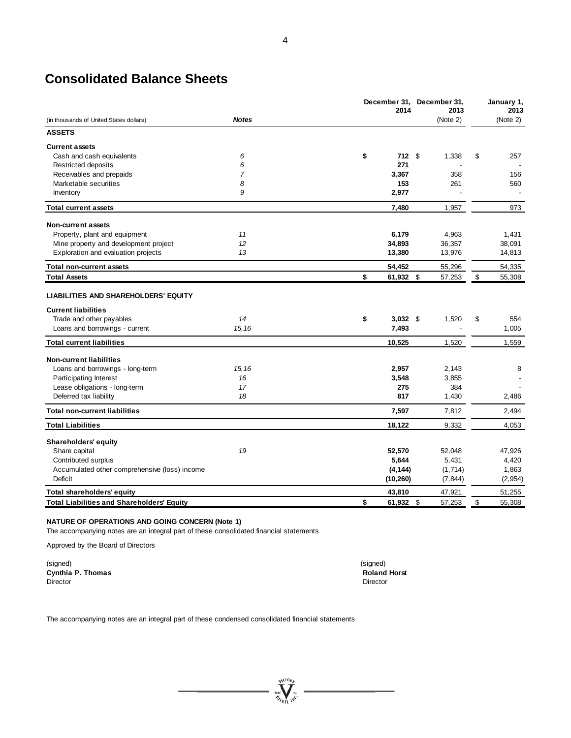# **Consolidated Balance Sheets**

|                                                   |              | December 31, December 31,<br>2014 |      | 2013     | January 1,<br>2013 |
|---------------------------------------------------|--------------|-----------------------------------|------|----------|--------------------|
| (in thousands of United States dollars)           | <b>Notes</b> |                                   |      | (Note 2) | (Note 2)           |
| <b>ASSETS</b>                                     |              |                                   |      |          |                    |
| <b>Current assets</b>                             |              |                                   |      |          |                    |
| Cash and cash equivalents                         | 6            | \$                                | 712S | 1,338    | \$<br>257          |
| Restricted deposits                               | 6            | 271                               |      |          |                    |
| Receivables and prepaids                          | 7            | 3,367                             |      | 358      | 156                |
| Marketable securities                             | 8            | 153                               |      | 261      | 560                |
| Inventory                                         | 9            | 2,977                             |      |          |                    |
| <b>Total current assets</b>                       |              | 7.480                             |      | 1,957    | 973                |
| <b>Non-current assets</b>                         |              |                                   |      |          |                    |
| Property, plant and equipment                     | 11           | 6,179                             |      | 4,963    | 1,431              |
| Mine property and development project             | 12           | 34,893                            |      | 36,357   | 38,091             |
| Exploration and evaluation projects               | 13           | 13,380                            |      | 13,976   | 14,813             |
| <b>Total non-current assets</b>                   |              | 54,452                            |      | 55,296   | 54,335             |
| <b>Total Assets</b>                               |              | \$<br>61,932 \$                   |      | 57,253   | \$<br>55,308       |
| <b>LIABILITIES AND SHAREHOLDERS' EQUITY</b>       |              |                                   |      |          |                    |
| <b>Current liabilities</b>                        |              |                                   |      |          |                    |
| Trade and other payables                          | 14           | \$<br>$3,032$ \$                  |      | 1,520    | \$<br>554          |
| Loans and borrowings - current                    | 15, 16       | 7,493                             |      |          | 1,005              |
| <b>Total current liabilities</b>                  |              | 10,525                            |      | 1,520    | 1,559              |
| <b>Non-current liabilities</b>                    |              |                                   |      |          |                    |
| Loans and borrowings - long-term                  | 15, 16       | 2,957                             |      | 2,143    | 8                  |
| Participating Interest                            | 16           | 3,548                             |      | 3,855    |                    |
| Lease obligations - long-term                     | 17           | 275                               |      | 384      |                    |
| Deferred tax liability                            | 18           | 817                               |      | 1,430    | 2,486              |
| <b>Total non-current liabilities</b>              |              | 7,597                             |      | 7,812    | 2,494              |
| <b>Total Liabilities</b>                          |              | 18.122                            |      | 9,332    | 4.053              |
| Shareholders' equity                              |              |                                   |      |          |                    |
| Share capital                                     | 19           | 52,570                            |      | 52,048   | 47,926             |
| Contributed surplus                               |              | 5,644                             |      | 5,431    | 4,420              |
| Accumulated other comprehensive (loss) income     |              | (4, 144)                          |      | (1,714)  | 1,863              |
| Deficit                                           |              | (10, 260)                         |      | (7, 844) | (2, 954)           |
| Total shareholders' equity                        |              | 43,810                            |      | 47,921   | 51,255             |
| <b>Total Liabilities and Shareholders' Equity</b> |              | \$<br>61,932 \$                   |      | 57,253   | \$<br>55,308       |

**WEIGHT** 

#### **NATURE OF OPERATIONS AND GOING CONCERN (Note 1)**

The accompanying notes are an integral part of these consolidated financial statements

Approved by the Board of Directors

(signed) (signed) **Cynthia P. Thomas Roland Horst Roland Horst Roland Horst** *Roland Horst Roland Horst* Director Director

The accompanying notes are an integral part of these condensed consolidated financial statements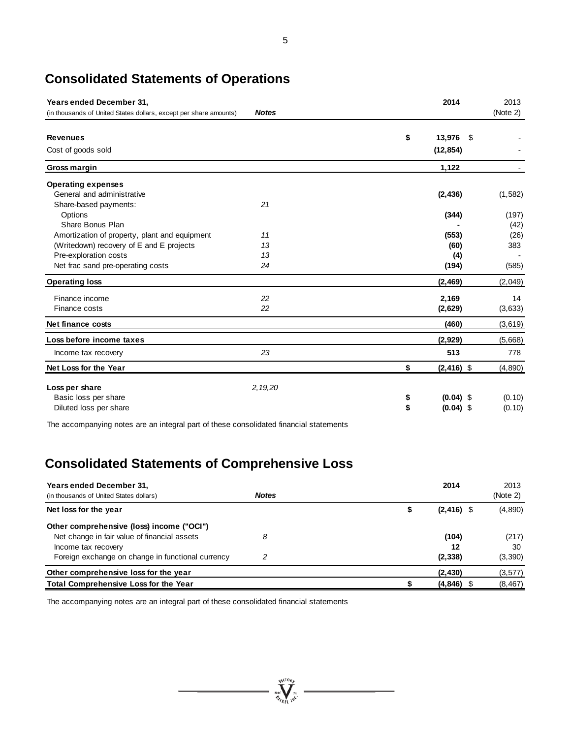# **Consolidated Statements of Operations**

| Years ended December 31,                                          |              | 2014                | 2013     |
|-------------------------------------------------------------------|--------------|---------------------|----------|
| (in thousands of United States dollars, except per share amounts) | <b>Notes</b> |                     | (Note 2) |
| <b>Revenues</b>                                                   |              | \$<br>13,976        | \$       |
| Cost of goods sold                                                |              | (12, 854)           |          |
| Gross margin                                                      |              | 1,122               |          |
| <b>Operating expenses</b>                                         |              |                     |          |
| General and administrative                                        |              | (2, 436)            | (1, 582) |
| Share-based payments:                                             | 21           |                     |          |
| Options                                                           |              | (344)               | (197)    |
| Share Bonus Plan                                                  |              |                     | (42)     |
| Amortization of property, plant and equipment                     | 11           | (553)               | (26)     |
| (Writedown) recovery of E and E projects                          | 13           | (60)                | 383      |
| Pre-exploration costs                                             | 13           | (4)                 |          |
| Net frac sand pre-operating costs                                 | 24           | (194)               | (585)    |
| <b>Operating loss</b>                                             |              | (2, 469)            | (2,049)  |
| Finance income                                                    | 22           | 2,169               | 14       |
| Finance costs                                                     | 22           | (2,629)             | (3,633)  |
| Net finance costs                                                 |              | (460)               | (3,619)  |
| Loss before income taxes                                          |              | (2,929)             | (5,668)  |
| Income tax recovery                                               | 23           | 513                 | 778      |
| Net Loss for the Year                                             |              | $(2, 416)$ \$<br>\$ | (4,890)  |
| Loss per share                                                    | 2, 19, 20    |                     |          |
| Basic loss per share                                              |              | $(0.04)$ \$<br>\$   | (0.10)   |
| Diluted loss per share                                            |              | \$<br>$(0.04)$ \$   | (0.10)   |
|                                                                   |              |                     |          |

The accompanying notes are an integral part of these consolidated financial statements

# **Consolidated Statements of Comprehensive Loss**

| Years ended December 31,<br>(in thousands of United States dollars) | <b>Notes</b> | 2014                | 2013<br>(Note 2) |
|---------------------------------------------------------------------|--------------|---------------------|------------------|
| Net loss for the year                                               |              | $(2, 416)$ \$<br>\$ | (4,890)          |
| Other comprehensive (loss) income ("OCI")                           |              |                     |                  |
| Net change in fair value of financial assets                        | 8            | (104)               | (217)            |
| Income tax recovery                                                 |              | 12                  | 30               |
| Foreign exchange on change in functional currency                   | ာ            | (2, 338)            | (3,390)          |
| Other comprehensive loss for the year                               |              | (2, 430)            | (3, 577)         |
| <b>Total Comprehensive Loss for the Year</b>                        |              | $(4,846)$ \$        | (8, 467)         |

 $= \sqrt{\sum_{n=1}^{N_{\rm GLO}}\sum_{n=1}^{N_{\rm GLO}}$ 

The accompanying notes are an integral part of these consolidated financial statements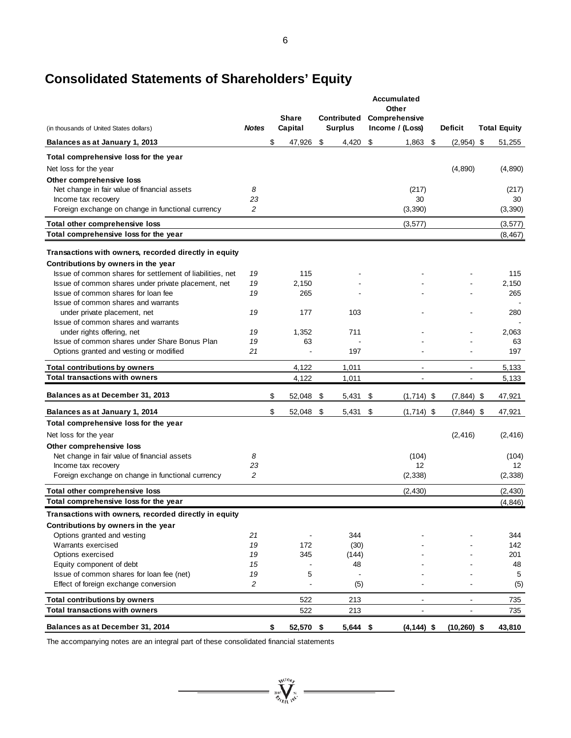# **Consolidated Statements of Shareholders' Equity**

| (in thousands of United States dollars)                                                  | <b>Notes</b> | <b>Share</b><br>Capital |      | Contributed<br><b>Surplus</b> | Accumulated<br>Other<br>Comprehensive<br>Income / (Loss) | <b>Deficit</b>           | <b>Total Equity</b> |
|------------------------------------------------------------------------------------------|--------------|-------------------------|------|-------------------------------|----------------------------------------------------------|--------------------------|---------------------|
| Balances as at January 1, 2013                                                           |              | \$<br>47,926            | - \$ | $4,420$ \$                    | 1,863                                                    | \$<br>$(2,954)$ \$       | 51,255              |
| Total comprehensive loss for the year                                                    |              |                         |      |                               |                                                          |                          |                     |
| Net loss for the year                                                                    |              |                         |      |                               |                                                          | (4,890)                  | (4,890)             |
| Other comprehensive loss                                                                 |              |                         |      |                               |                                                          |                          |                     |
| Net change in fair value of financial assets                                             | 8            |                         |      |                               | (217)                                                    |                          | (217)               |
| Income tax recovery                                                                      | 23           |                         |      |                               | 30                                                       |                          | 30                  |
| Foreign exchange on change in functional currency                                        | 2            |                         |      |                               | (3,390)                                                  |                          | (3,390)             |
| Total other comprehensive loss                                                           |              |                         |      |                               | (3, 577)                                                 |                          | (3, 577)            |
| Total comprehensive loss for the year                                                    |              |                         |      |                               |                                                          |                          | (8, 467)            |
| Transactions with owners, recorded directly in equity                                    |              |                         |      |                               |                                                          |                          |                     |
| Contributions by owners in the year                                                      |              |                         |      |                               |                                                          |                          |                     |
| Issue of common shares for settlement of liabilities, net                                | 19           | 115                     |      |                               |                                                          |                          | 115                 |
| Issue of common shares under private placement, net                                      | 19           | 2,150                   |      |                               |                                                          |                          | 2,150               |
| Issue of common shares for loan fee                                                      | 19           | 265                     |      |                               |                                                          |                          | 265                 |
| Issue of common shares and warrants                                                      |              |                         |      |                               |                                                          |                          |                     |
| under private placement, net                                                             | 19           | 177                     |      | 103                           |                                                          |                          | 280                 |
| Issue of common shares and warrants                                                      |              |                         |      |                               |                                                          |                          |                     |
| under rights offering, net                                                               | 19           | 1,352                   |      | 711                           |                                                          |                          | 2,063               |
| Issue of common shares under Share Bonus Plan<br>Options granted and vesting or modified | 19<br>21     | 63                      |      | 197                           |                                                          |                          | 63<br>197           |
|                                                                                          |              |                         |      |                               |                                                          |                          |                     |
| <b>Total contributions by owners</b>                                                     |              | 4,122                   |      | 1,011                         | $\blacksquare$                                           | $\overline{\phantom{a}}$ | 5,133               |
| <b>Total transactions with owners</b>                                                    |              | 4,122                   |      | 1,011                         |                                                          |                          | 5,133               |
| Balances as at December 31, 2013                                                         |              | \$<br>52,048            | \$   | $5,431$ \$                    | $(1,714)$ \$                                             | $(7,844)$ \$             | 47,921              |
| Balances as at January 1, 2014                                                           |              | \$<br>52,048            | \$   | $5,431$ \$                    | $(1,714)$ \$                                             | $(7,844)$ \$             | 47,921              |
| Total comprehensive loss for the year                                                    |              |                         |      |                               |                                                          |                          |                     |
| Net loss for the year                                                                    |              |                         |      |                               |                                                          | (2, 416)                 | (2, 416)            |
| Other comprehensive loss                                                                 |              |                         |      |                               |                                                          |                          |                     |
| Net change in fair value of financial assets                                             | 8            |                         |      |                               | (104)                                                    |                          | (104)               |
| Income tax recovery                                                                      | 23           |                         |      |                               | 12                                                       |                          | 12                  |
| Foreign exchange on change in functional currency                                        | 2            |                         |      |                               | (2, 338)                                                 |                          | (2, 338)            |
| Total other comprehensive loss                                                           |              |                         |      |                               | (2, 430)                                                 |                          | (2, 430)            |
| Total comprehensive loss for the year                                                    |              |                         |      |                               |                                                          |                          | (4, 846)            |
| Transactions with owners, recorded directly in equity                                    |              |                         |      |                               |                                                          |                          |                     |
| Contributions by owners in the year                                                      |              |                         |      |                               |                                                          |                          |                     |
| Options granted and vesting                                                              | 21           |                         |      | 344                           |                                                          |                          | 344                 |
| Warrants exercised                                                                       | 19           | 172                     |      | (30)                          |                                                          |                          | 142                 |
| Options exercised<br>Equity component of debt                                            | 19<br>15     | 345                     |      | (144)<br>48                   |                                                          |                          | 201<br>48           |
| Issue of common shares for loan fee (net)                                                | 19           | 5                       |      |                               |                                                          |                          | 5                   |
| Effect of foreign exchange conversion                                                    | 2            | L,                      |      | (5)                           |                                                          |                          | (5)                 |
| <b>Total contributions by owners</b>                                                     |              | 522                     |      | 213                           |                                                          |                          | 735                 |
| <b>Total transactions with owners</b>                                                    |              | 522                     |      | 213                           |                                                          |                          | 735                 |
| Balances as at December 31, 2014                                                         |              | \$<br>52,570 \$         |      | $5,644$ \$                    | $(4, 144)$ \$                                            | $(10, 260)$ \$           | 43,810              |

 $= \sum_{i=1}^{N^{(10)}h}$ 

 $\equiv$ 

The accompanying notes are an integral part of these consolidated financial statements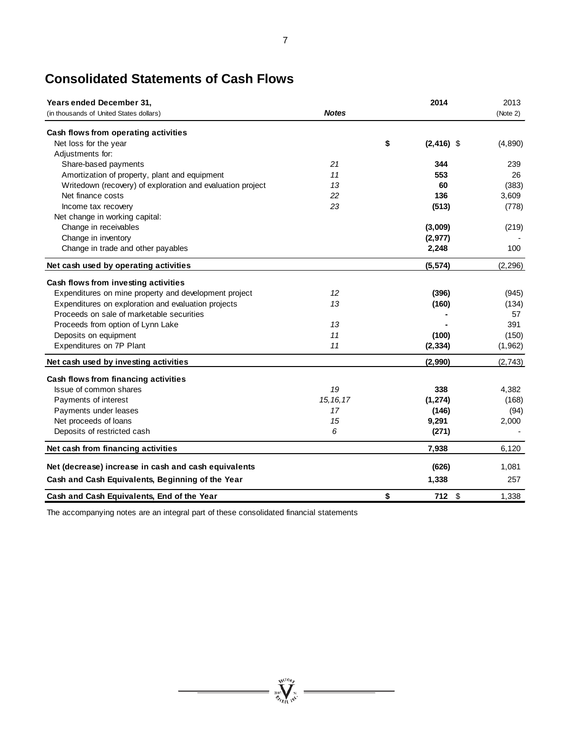| <b>Years ended December 31,</b>                            |              | 2014                | 2013     |
|------------------------------------------------------------|--------------|---------------------|----------|
| (in thousands of United States dollars)                    | <b>Notes</b> |                     | (Note 2) |
| Cash flows from operating activities                       |              |                     |          |
| Net loss for the year                                      |              | \$<br>$(2, 416)$ \$ | (4,890)  |
| Adjustments for:                                           |              |                     |          |
| Share-based payments                                       | 21           | 344                 | 239      |
| Amortization of property, plant and equipment              | 11           | 553                 | 26       |
| Writedown (recovery) of exploration and evaluation project | 13           | 60                  | (383)    |
| Net finance costs                                          | 22           | 136                 | 3,609    |
| Income tax recovery                                        | 23           | (513)               | (778)    |
| Net change in working capital:                             |              |                     |          |
| Change in receivables                                      |              | (3,009)             | (219)    |
| Change in inventory                                        |              | (2,977)             |          |
| Change in trade and other payables                         |              | 2,248               | 100      |
| Net cash used by operating activities                      |              | (5, 574)            | (2, 296) |
| Cash flows from investing activities                       |              |                     |          |
| Expenditures on mine property and development project      | 12           | (396)               | (945)    |
| Expenditures on exploration and evaluation projects        | 13           | (160)               | (134)    |
| Proceeds on sale of marketable securities                  |              |                     | 57       |
| Proceeds from option of Lynn Lake                          | 13           |                     | 391      |
| Deposits on equipment                                      | 11           | (100)               | (150)    |
| Expenditures on 7P Plant                                   | 11           | (2, 334)            | (1,962)  |
| Net cash used by investing activities                      |              | (2,990)             | (2,743)  |
| Cash flows from financing activities                       |              |                     |          |
| Issue of common shares                                     | 19           | 338                 | 4,382    |
| Payments of interest                                       | 15, 16, 17   | (1, 274)            | (168)    |
| Payments under leases                                      | 17           | (146)               | (94)     |
| Net proceeds of loans                                      | 15           | 9,291               | 2,000    |
| Deposits of restricted cash                                | 6            | (271)               |          |
| Net cash from financing activities                         |              | 7,938               | 6,120    |
| Net (decrease) increase in cash and cash equivalents       |              | (626)               | 1,081    |
| Cash and Cash Equivalents, Beginning of the Year           |              | 1,338               | 257      |
| Cash and Cash Equivalents, End of the Year                 |              | \$<br>712<br>\$     | 1.338    |

# **Consolidated Statements of Cash Flows**

The accompanying notes are an integral part of these consolidated financial statements

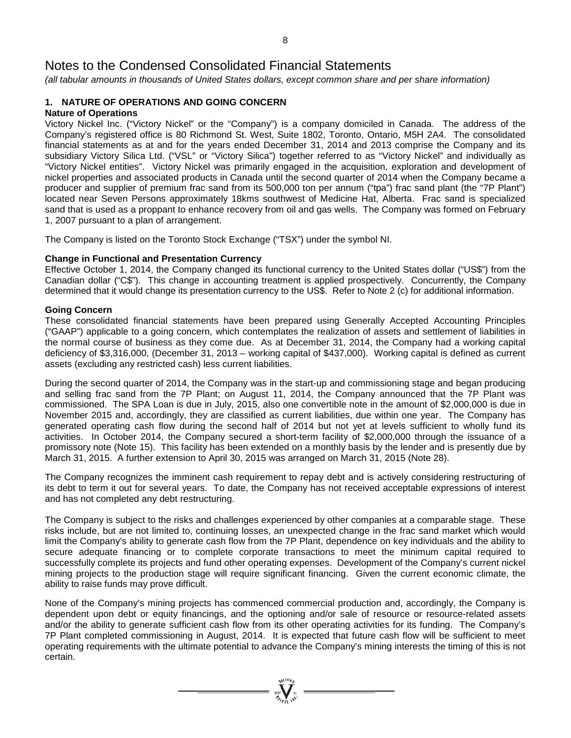*(all tabular amounts in thousands of United States dollars, except common share and per share information)*

# **1. NATURE OF OPERATIONS AND GOING CONCERN**

## **Nature of Operations**

Victory Nickel Inc. ("Victory Nickel" or the "Company") is a company domiciled in Canada. The address of the Company's registered office is 80 Richmond St. West, Suite 1802, Toronto, Ontario, M5H 2A4. The consolidated financial statements as at and for the years ended December 31, 2014 and 2013 comprise the Company and its subsidiary Victory Silica Ltd. ("VSL" or "Victory Silica") together referred to as "Victory Nickel" and individually as "Victory Nickel entities". Victory Nickel was primarily engaged in the acquisition, exploration and development of nickel properties and associated products in Canada until the second quarter of 2014 when the Company became a producer and supplier of premium frac sand from its 500,000 ton per annum ("tpa") frac sand plant (the "7P Plant") located near Seven Persons approximately 18kms southwest of Medicine Hat, Alberta. Frac sand is specialized sand that is used as a proppant to enhance recovery from oil and gas wells. The Company was formed on February 1, 2007 pursuant to a plan of arrangement.

The Company is listed on the Toronto Stock Exchange ("TSX") under the symbol NI.

### **Change in Functional and Presentation Currency**

Effective October 1, 2014, the Company changed its functional currency to the United States dollar ("US\$") from the Canadian dollar ("C\$"). This change in accounting treatment is applied prospectively. Concurrently, the Company determined that it would change its presentation currency to the US\$. Refer to Note 2 (c) for additional information.

### **Going Concern**

These consolidated financial statements have been prepared using Generally Accepted Accounting Principles ("GAAP") applicable to a going concern, which contemplates the realization of assets and settlement of liabilities in the normal course of business as they come due. As at December 31, 2014, the Company had a working capital deficiency of \$3,316,000, (December 31, 2013 – working capital of \$437,000). Working capital is defined as current assets (excluding any restricted cash) less current liabilities.

During the second quarter of 2014, the Company was in the start-up and commissioning stage and began producing and selling frac sand from the 7P Plant; on August 11, 2014, the Company announced that the 7P Plant was commissioned. The SPA Loan is due in July, 2015, also one convertible note in the amount of \$2,000,000 is due in November 2015 and, accordingly, they are classified as current liabilities, due within one year. The Company has generated operating cash flow during the second half of 2014 but not yet at levels sufficient to wholly fund its activities. In October 2014, the Company secured a short-term facility of \$2,000,000 through the issuance of a promissory note (Note 15). This facility has been extended on a monthly basis by the lender and is presently due by March 31, 2015. A further extension to April 30, 2015 was arranged on March 31, 2015 (Note 28).

The Company recognizes the imminent cash requirement to repay debt and is actively considering restructuring of its debt to term it out for several years. To date, the Company has not received acceptable expressions of interest and has not completed any debt restructuring.

The Company is subject to the risks and challenges experienced by other companies at a comparable stage. These risks include, but are not limited to, continuing losses, an unexpected change in the frac sand market which would limit the Company's ability to generate cash flow from the 7P Plant, dependence on key individuals and the ability to secure adequate financing or to complete corporate transactions to meet the minimum capital required to successfully complete its projects and fund other operating expenses. Development of the Company's current nickel mining projects to the production stage will require significant financing. Given the current economic climate, the ability to raise funds may prove difficult.

None of the Company's mining projects has commenced commercial production and, accordingly, the Company is dependent upon debt or equity financings, and the optioning and/or sale of resource or resource-related assets and/or the ability to generate sufficient cash flow from its other operating activities for its funding. The Company's 7P Plant completed commissioning in August, 2014. It is expected that future cash flow will be sufficient to meet operating requirements with the ultimate potential to advance the Company's mining interests the timing of this is not certain.

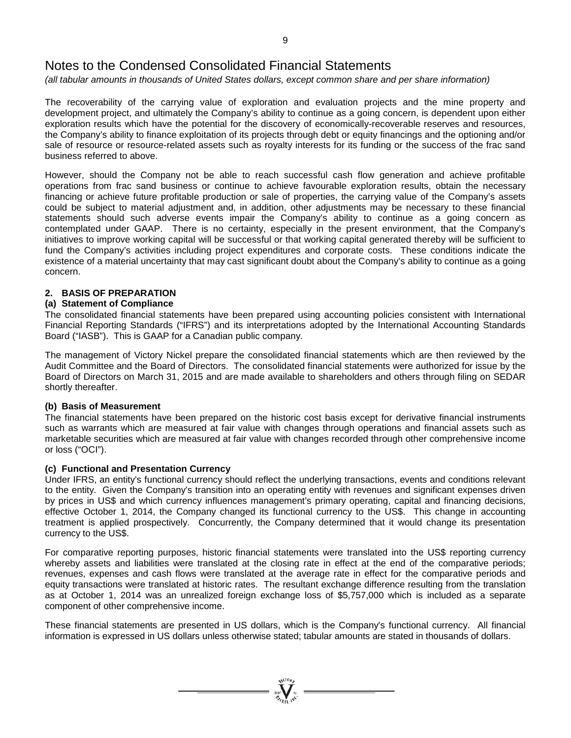*(all tabular amounts in thousands of United States dollars, except common share and per share information)*

The recoverability of the carrying value of exploration and evaluation projects and the mine property and development project, and ultimately the Company's ability to continue as a going concern, is dependent upon either exploration results which have the potential for the discovery of economically-recoverable reserves and resources, the Company's ability to finance exploitation of its projects through debt or equity financings and the optioning and/or sale of resource or resource-related assets such as royalty interests for its funding or the success of the frac sand business referred to above.

However, should the Company not be able to reach successful cash flow generation and achieve profitable operations from frac sand business or continue to achieve favourable exploration results, obtain the necessary financing or achieve future profitable production or sale of properties, the carrying value of the Company's assets could be subject to material adjustment and, in addition, other adjustments may be necessary to these financial statements should such adverse events impair the Company's ability to continue as a going concern as contemplated under GAAP. There is no certainty, especially in the present environment, that the Company's initiatives to improve working capital will be successful or that working capital generated thereby will be sufficient to fund the Company's activities including project expenditures and corporate costs. These conditions indicate the existence of a material uncertainty that may cast significant doubt about the Company's ability to continue as a going concern.

### **2. BASIS OF PREPARATION**

### **(a) Statement of Compliance**

The consolidated financial statements have been prepared using accounting policies consistent with International Financial Reporting Standards ("IFRS") and its interpretations adopted by the International Accounting Standards Board ("IASB"). This is GAAP for a Canadian public company.

The management of Victory Nickel prepare the consolidated financial statements which are then reviewed by the Audit Committee and the Board of Directors. The consolidated financial statements were authorized for issue by the Board of Directors on March 31, 2015 and are made available to shareholders and others through filing on SEDAR shortly thereafter.

#### **(b) Basis of Measurement**

The financial statements have been prepared on the historic cost basis except for derivative financial instruments such as warrants which are measured at fair value with changes through operations and financial assets such as marketable securities which are measured at fair value with changes recorded through other comprehensive income or loss ("OCI").

### **(c) Functional and Presentation Currency**

Under IFRS, an entity's functional currency should reflect the underlying transactions, events and conditions relevant to the entity. Given the Company's transition into an operating entity with revenues and significant expenses driven by prices in US\$ and which currency influences management's primary operating, capital and financing decisions, effective October 1, 2014, the Company changed its functional currency to the US\$. This change in accounting treatment is applied prospectively. Concurrently, the Company determined that it would change its presentation currency to the US\$.

For comparative reporting purposes, historic financial statements were translated into the US\$ reporting currency whereby assets and liabilities were translated at the closing rate in effect at the end of the comparative periods; revenues, expenses and cash flows were translated at the average rate in effect for the comparative periods and equity transactions were translated at historic rates. The resultant exchange difference resulting from the translation as at October 1, 2014 was an unrealized foreign exchange loss of \$5,757,000 which is included as a separate component of other comprehensive income.

These financial statements are presented in US dollars, which is the Company's functional currency. All financial information is expressed in US dollars unless otherwise stated; tabular amounts are stated in thousands of dollars.

 $\sum_{n=1}^{\text{NCTO}}$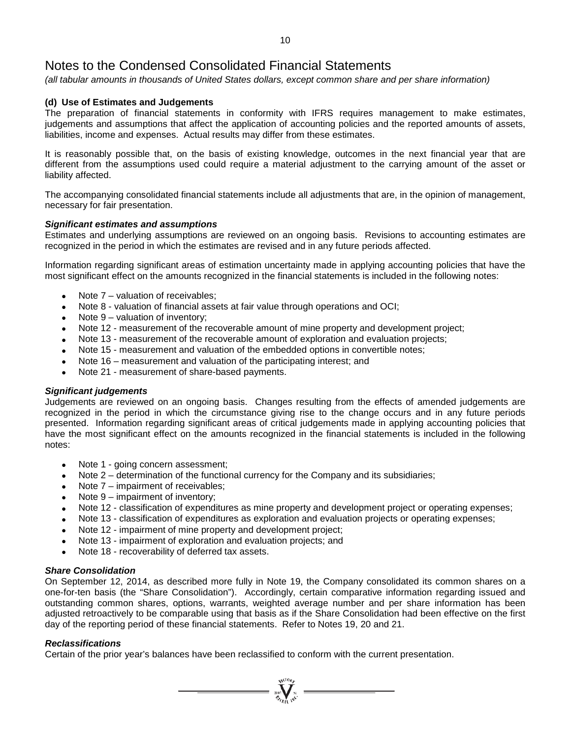*(all tabular amounts in thousands of United States dollars, except common share and per share information)*

### **(d) Use of Estimates and Judgements**

The preparation of financial statements in conformity with IFRS requires management to make estimates, judgements and assumptions that affect the application of accounting policies and the reported amounts of assets, liabilities, income and expenses. Actual results may differ from these estimates.

It is reasonably possible that, on the basis of existing knowledge, outcomes in the next financial year that are different from the assumptions used could require a material adjustment to the carrying amount of the asset or liability affected.

The accompanying consolidated financial statements include all adjustments that are, in the opinion of management, necessary for fair presentation.

#### *Significant estimates and assumptions*

Estimates and underlying assumptions are reviewed on an ongoing basis. Revisions to accounting estimates are recognized in the period in which the estimates are revised and in any future periods affected.

Information regarding significant areas of estimation uncertainty made in applying accounting policies that have the most significant effect on the amounts recognized in the financial statements is included in the following notes:

- Note  $7$  valuation of receivables:
- Note 8 valuation of financial assets at fair value through operations and OCI;
- Note  $9$  valuation of inventory;
- Note 12 measurement of the recoverable amount of mine property and development project;
- Note 13 measurement of the recoverable amount of exploration and evaluation projects;
- Note 15 measurement and valuation of the embedded options in convertible notes;
- Note 16 measurement and valuation of the participating interest; and
- Note 21 measurement of share-based payments.

#### *Significant judgements*

Judgements are reviewed on an ongoing basis. Changes resulting from the effects of amended judgements are recognized in the period in which the circumstance giving rise to the change occurs and in any future periods presented. Information regarding significant areas of critical judgements made in applying accounting policies that have the most significant effect on the amounts recognized in the financial statements is included in the following notes:

- Note 1 going concern assessment;
- Note 2 determination of the functional currency for the Company and its subsidiaries;
- Note 7 impairment of receivables;
- Note  $9$  impairment of inventory;
- Note 12 classification of expenditures as mine property and development project or operating expenses;
- Note 13 classification of expenditures as exploration and evaluation projects or operating expenses;
- Note 12 impairment of mine property and development project;
- Note 13 impairment of exploration and evaluation projects; and
- Note 18 recoverability of deferred tax assets.

#### *Share Consolidation*

On September 12, 2014, as described more fully in Note 19, the Company consolidated its common shares on a one-for-ten basis (the "Share Consolidation"). Accordingly, certain comparative information regarding issued and outstanding common shares, options, warrants, weighted average number and per share information has been adjusted retroactively to be comparable using that basis as if the Share Consolidation had been effective on the first day of the reporting period of these financial statements. Refer to Notes 19, 20 and 21.

 $\sum_{\substack{u \in \mathcal{N} \\ \text{supp} \text{ } u}}^{\mathcal{N}^{(10)} \text{supp}} =$ 

#### *Reclassifications*

Certain of the prior year's balances have been reclassified to conform with the current presentation.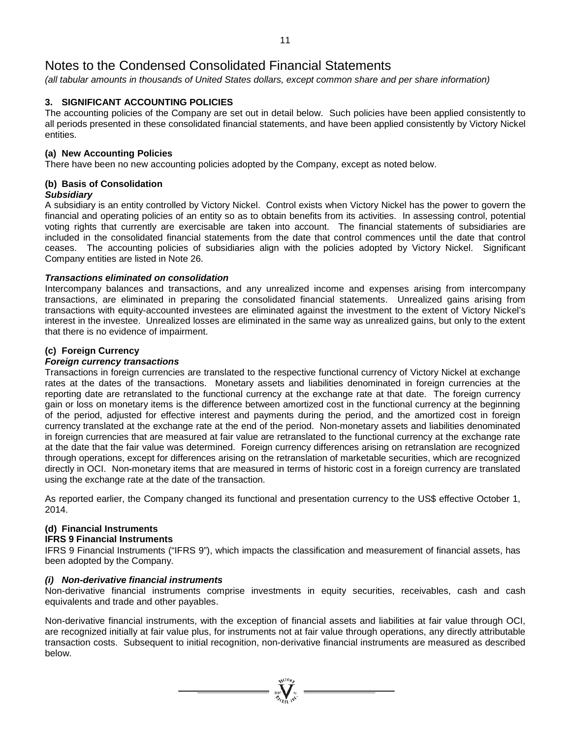*(all tabular amounts in thousands of United States dollars, except common share and per share information)*

### **3. SIGNIFICANT ACCOUNTING POLICIES**

The accounting policies of the Company are set out in detail below. Such policies have been applied consistently to all periods presented in these consolidated financial statements, and have been applied consistently by Victory Nickel entities.

### **(a) New Accounting Policies**

There have been no new accounting policies adopted by the Company, except as noted below.

# **(b) Basis of Consolidation**

### *Subsidiary*

A subsidiary is an entity controlled by Victory Nickel. Control exists when Victory Nickel has the power to govern the financial and operating policies of an entity so as to obtain benefits from its activities. In assessing control, potential voting rights that currently are exercisable are taken into account. The financial statements of subsidiaries are included in the consolidated financial statements from the date that control commences until the date that control ceases. The accounting policies of subsidiaries align with the policies adopted by Victory Nickel. Significant Company entities are listed in Note 26.

### *Transactions eliminated on consolidation*

Intercompany balances and transactions, and any unrealized income and expenses arising from intercompany transactions, are eliminated in preparing the consolidated financial statements. Unrealized gains arising from transactions with equity-accounted investees are eliminated against the investment to the extent of Victory Nickel's interest in the investee. Unrealized losses are eliminated in the same way as unrealized gains, but only to the extent that there is no evidence of impairment.

### **(c) Foreign Currency**

### *Foreign currency transactions*

Transactions in foreign currencies are translated to the respective functional currency of Victory Nickel at exchange rates at the dates of the transactions. Monetary assets and liabilities denominated in foreign currencies at the reporting date are retranslated to the functional currency at the exchange rate at that date. The foreign currency gain or loss on monetary items is the difference between amortized cost in the functional currency at the beginning of the period, adjusted for effective interest and payments during the period, and the amortized cost in foreign currency translated at the exchange rate at the end of the period. Non-monetary assets and liabilities denominated in foreign currencies that are measured at fair value are retranslated to the functional currency at the exchange rate at the date that the fair value was determined. Foreign currency differences arising on retranslation are recognized through operations, except for differences arising on the retranslation of marketable securities, which are recognized directly in OCI. Non-monetary items that are measured in terms of historic cost in a foreign currency are translated using the exchange rate at the date of the transaction.

As reported earlier, the Company changed its functional and presentation currency to the US\$ effective October 1, 2014.

### **(d) Financial Instruments**

#### **IFRS 9 Financial Instruments**

IFRS 9 Financial Instruments ("IFRS 9"), which impacts the classification and measurement of financial assets, has been adopted by the Company.

#### *(i) Non-derivative financial instruments*

Non-derivative financial instruments comprise investments in equity securities, receivables, cash and cash equivalents and trade and other payables.

Non-derivative financial instruments, with the exception of financial assets and liabilities at fair value through OCI, are recognized initially at fair value plus, for instruments not at fair value through operations, any directly attributable transaction costs. Subsequent to initial recognition, non-derivative financial instruments are measured as described below.

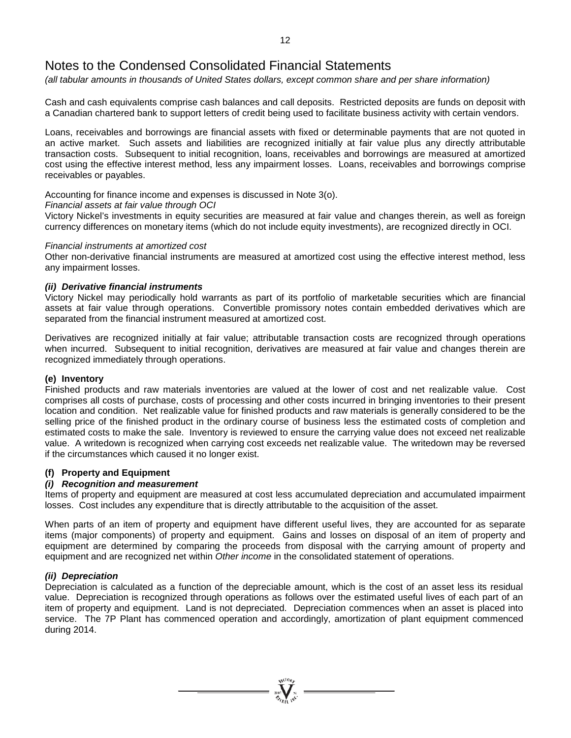*(all tabular amounts in thousands of United States dollars, except common share and per share information)*

Cash and cash equivalents comprise cash balances and call deposits. Restricted deposits are funds on deposit with a Canadian chartered bank to support letters of credit being used to facilitate business activity with certain vendors.

Loans, receivables and borrowings are financial assets with fixed or determinable payments that are not quoted in an active market. Such assets and liabilities are recognized initially at fair value plus any directly attributable transaction costs. Subsequent to initial recognition, loans, receivables and borrowings are measured at amortized cost using the effective interest method, less any impairment losses. Loans, receivables and borrowings comprise receivables or payables.

Accounting for finance income and expenses is discussed in Note 3(o).

### *Financial assets at fair value through OCI*

Victory Nickel's investments in equity securities are measured at fair value and changes therein, as well as foreign currency differences on monetary items (which do not include equity investments), are recognized directly in OCI.

#### *Financial instruments at amortized cost*

Other non-derivative financial instruments are measured at amortized cost using the effective interest method, less any impairment losses.

### *(ii) Derivative financial instruments*

Victory Nickel may periodically hold warrants as part of its portfolio of marketable securities which are financial assets at fair value through operations. Convertible promissory notes contain embedded derivatives which are separated from the financial instrument measured at amortized cost.

Derivatives are recognized initially at fair value; attributable transaction costs are recognized through operations when incurred. Subsequent to initial recognition, derivatives are measured at fair value and changes therein are recognized immediately through operations.

#### **(e) Inventory**

Finished products and raw materials inventories are valued at the lower of cost and net realizable value. Cost comprises all costs of purchase, costs of processing and other costs incurred in bringing inventories to their present location and condition. Net realizable value for finished products and raw materials is generally considered to be the selling price of the finished product in the ordinary course of business less the estimated costs of completion and estimated costs to make the sale. Inventory is reviewed to ensure the carrying value does not exceed net realizable value. A writedown is recognized when carrying cost exceeds net realizable value. The writedown may be reversed if the circumstances which caused it no longer exist.

#### **(f) Property and Equipment**

#### *(i) Recognition and measurement*

Items of property and equipment are measured at cost less accumulated depreciation and accumulated impairment losses. Cost includes any expenditure that is directly attributable to the acquisition of the asset.

When parts of an item of property and equipment have different useful lives, they are accounted for as separate items (major components) of property and equipment. Gains and losses on disposal of an item of property and equipment are determined by comparing the proceeds from disposal with the carrying amount of property and equipment and are recognized net within *Other income* in the consolidated statement of operations.

### *(ii) Depreciation*

Depreciation is calculated as a function of the depreciable amount, which is the cost of an asset less its residual value. Depreciation is recognized through operations as follows over the estimated useful lives of each part of an item of property and equipment. Land is not depreciated. Depreciation commences when an asset is placed into service. The 7P Plant has commenced operation and accordingly, amortization of plant equipment commenced during 2014.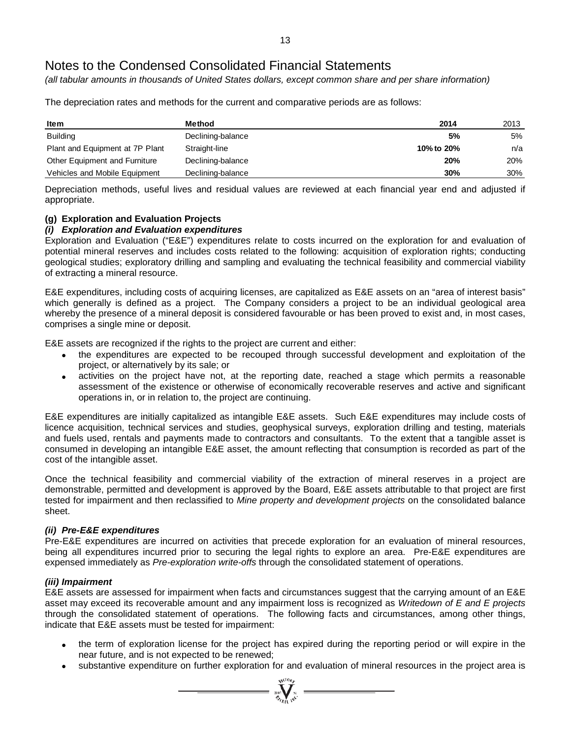*(all tabular amounts in thousands of United States dollars, except common share and per share information)*

**Item Method 2014** 2013 Building **5%** 5% 5% 5% Plant and Equipment at 7P Plant Straight-line **10% 10% to 20%** n/a Other Equipment and Furniture Declining-balance **20%** 20% Vehicles and Mobile Equipment Declining-balance **30%** 30%

The depreciation rates and methods for the current and comparative periods are as follows:

Depreciation methods, useful lives and residual values are reviewed at each financial year end and adjusted if appropriate.

### **(g) Exploration and Evaluation Projects**

### *(i) Exploration and Evaluation expenditures*

Exploration and Evaluation ("E&E") expenditures relate to costs incurred on the exploration for and evaluation of potential mineral reserves and includes costs related to the following: acquisition of exploration rights; conducting geological studies; exploratory drilling and sampling and evaluating the technical feasibility and commercial viability of extracting a mineral resource.

E&E expenditures, including costs of acquiring licenses, are capitalized as E&E assets on an "area of interest basis" which generally is defined as a project. The Company considers a project to be an individual geological area whereby the presence of a mineral deposit is considered favourable or has been proved to exist and, in most cases, comprises a single mine or deposit.

E&E assets are recognized if the rights to the project are current and either:

- the expenditures are expected to be recouped through successful development and exploitation of the project, or alternatively by its sale; or
- activities on the project have not, at the reporting date, reached a stage which permits a reasonable assessment of the existence or otherwise of economically recoverable reserves and active and significant operations in, or in relation to, the project are continuing.

E&E expenditures are initially capitalized as intangible E&E assets. Such E&E expenditures may include costs of licence acquisition, technical services and studies, geophysical surveys, exploration drilling and testing, materials and fuels used, rentals and payments made to contractors and consultants. To the extent that a tangible asset is consumed in developing an intangible E&E asset, the amount reflecting that consumption is recorded as part of the cost of the intangible asset.

Once the technical feasibility and commercial viability of the extraction of mineral reserves in a project are demonstrable, permitted and development is approved by the Board, E&E assets attributable to that project are first tested for impairment and then reclassified to *Mine property and development projects* on the consolidated balance sheet.

### *(ii) Pre-E&E expenditures*

Pre-E&E expenditures are incurred on activities that precede exploration for an evaluation of mineral resources, being all expenditures incurred prior to securing the legal rights to explore an area. Pre-E&E expenditures are expensed immediately as *Pre-exploration write-offs* through the consolidated statement of operations.

#### *(iii) Impairment*

E&E assets are assessed for impairment when facts and circumstances suggest that the carrying amount of an E&E asset may exceed its recoverable amount and any impairment loss is recognized as *Writedown of E and E projects* through the consolidated statement of operations. The following facts and circumstances, among other things, indicate that E&E assets must be tested for impairment:

- the term of exploration license for the project has expired during the reporting period or will expire in the near future, and is not expected to be renewed;
- substantive expenditure on further exploration for and evaluation of mineral resources in the project area is

**Wellony**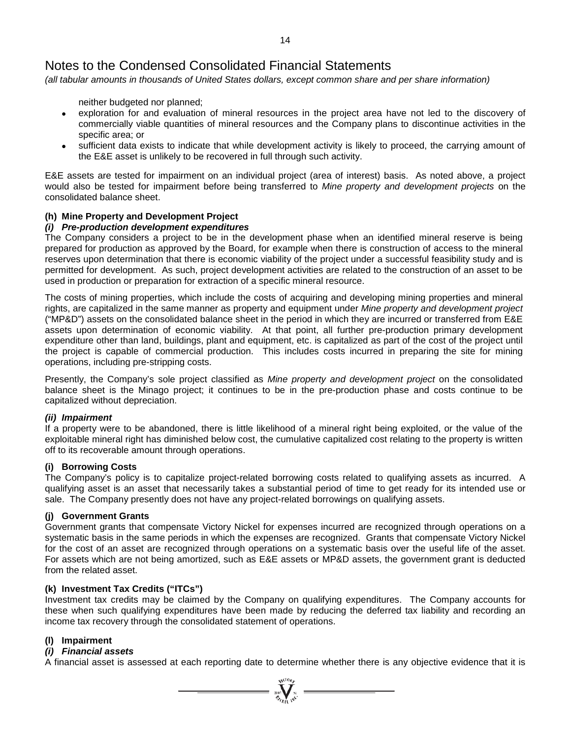*(all tabular amounts in thousands of United States dollars, except common share and per share information)*

neither budgeted nor planned;

- exploration for and evaluation of mineral resources in the project area have not led to the discovery of commercially viable quantities of mineral resources and the Company plans to discontinue activities in the specific area; or
- sufficient data exists to indicate that while development activity is likely to proceed, the carrying amount of the E&E asset is unlikely to be recovered in full through such activity.

E&E assets are tested for impairment on an individual project (area of interest) basis. As noted above, a project would also be tested for impairment before being transferred to *Mine property and development projects* on the consolidated balance sheet.

### **(h) Mine Property and Development Project**

### *(i) Pre-production development expenditures*

The Company considers a project to be in the development phase when an identified mineral reserve is being prepared for production as approved by the Board, for example when there is construction of access to the mineral reserves upon determination that there is economic viability of the project under a successful feasibility study and is permitted for development. As such, project development activities are related to the construction of an asset to be used in production or preparation for extraction of a specific mineral resource.

The costs of mining properties, which include the costs of acquiring and developing mining properties and mineral rights, are capitalized in the same manner as property and equipment under *Mine property and development project* ("MP&D") assets on the consolidated balance sheet in the period in which they are incurred or transferred from E&E assets upon determination of economic viability. At that point, all further pre-production primary development expenditure other than land, buildings, plant and equipment, etc. is capitalized as part of the cost of the project until the project is capable of commercial production. This includes costs incurred in preparing the site for mining operations, including pre-stripping costs.

Presently, the Company's sole project classified as *Mine property and development project* on the consolidated balance sheet is the Minago project; it continues to be in the pre-production phase and costs continue to be capitalized without depreciation.

#### *(ii) Impairment*

If a property were to be abandoned, there is little likelihood of a mineral right being exploited, or the value of the exploitable mineral right has diminished below cost, the cumulative capitalized cost relating to the property is written off to its recoverable amount through operations.

### **(i) Borrowing Costs**

The Company's policy is to capitalize project-related borrowing costs related to qualifying assets as incurred. A qualifying asset is an asset that necessarily takes a substantial period of time to get ready for its intended use or sale. The Company presently does not have any project-related borrowings on qualifying assets.

#### **(j) Government Grants**

Government grants that compensate Victory Nickel for expenses incurred are recognized through operations on a systematic basis in the same periods in which the expenses are recognized. Grants that compensate Victory Nickel for the cost of an asset are recognized through operations on a systematic basis over the useful life of the asset. For assets which are not being amortized, such as E&E assets or MP&D assets, the government grant is deducted from the related asset.

#### **(k) Investment Tax Credits ("ITCs")**

Investment tax credits may be claimed by the Company on qualifying expenditures. The Company accounts for these when such qualifying expenditures have been made by reducing the deferred tax liability and recording an income tax recovery through the consolidated statement of operations.

#### **(l) Impairment**

#### *(i) Financial assets*

A financial asset is assessed at each reporting date to determine whether there is any objective evidence that it is

 $\sum_{\substack{300\\70}}^{\infty} \sum_{\substack{N=1\\N\neq N}}^{\infty}$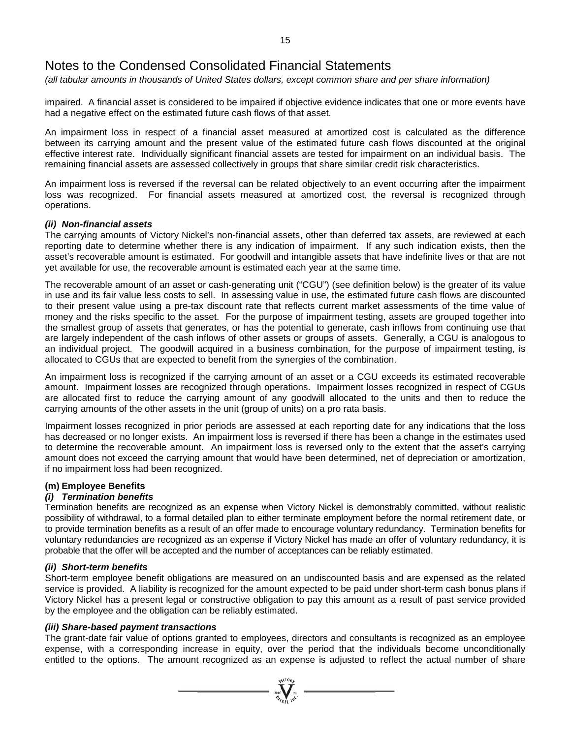*(all tabular amounts in thousands of United States dollars, except common share and per share information)*

impaired. A financial asset is considered to be impaired if objective evidence indicates that one or more events have had a negative effect on the estimated future cash flows of that asset.

An impairment loss in respect of a financial asset measured at amortized cost is calculated as the difference between its carrying amount and the present value of the estimated future cash flows discounted at the original effective interest rate. Individually significant financial assets are tested for impairment on an individual basis. The remaining financial assets are assessed collectively in groups that share similar credit risk characteristics.

An impairment loss is reversed if the reversal can be related objectively to an event occurring after the impairment loss was recognized. For financial assets measured at amortized cost, the reversal is recognized through operations.

#### *(ii) Non-financial assets*

The carrying amounts of Victory Nickel's non-financial assets, other than deferred tax assets, are reviewed at each reporting date to determine whether there is any indication of impairment. If any such indication exists, then the asset's recoverable amount is estimated. For goodwill and intangible assets that have indefinite lives or that are not yet available for use, the recoverable amount is estimated each year at the same time.

The recoverable amount of an asset or cash-generating unit ("CGU") (see definition below) is the greater of its value in use and its fair value less costs to sell. In assessing value in use, the estimated future cash flows are discounted to their present value using a pre-tax discount rate that reflects current market assessments of the time value of money and the risks specific to the asset. For the purpose of impairment testing, assets are grouped together into the smallest group of assets that generates, or has the potential to generate, cash inflows from continuing use that are largely independent of the cash inflows of other assets or groups of assets. Generally, a CGU is analogous to an individual project. The goodwill acquired in a business combination, for the purpose of impairment testing, is allocated to CGUs that are expected to benefit from the synergies of the combination.

An impairment loss is recognized if the carrying amount of an asset or a CGU exceeds its estimated recoverable amount. Impairment losses are recognized through operations. Impairment losses recognized in respect of CGUs are allocated first to reduce the carrying amount of any goodwill allocated to the units and then to reduce the carrying amounts of the other assets in the unit (group of units) on a pro rata basis.

Impairment losses recognized in prior periods are assessed at each reporting date for any indications that the loss has decreased or no longer exists. An impairment loss is reversed if there has been a change in the estimates used to determine the recoverable amount. An impairment loss is reversed only to the extent that the asset's carrying amount does not exceed the carrying amount that would have been determined, net of depreciation or amortization, if no impairment loss had been recognized.

### **(m) Employee Benefits**

### *(i) Termination benefits*

Termination benefits are recognized as an expense when Victory Nickel is demonstrably committed, without realistic possibility of withdrawal, to a formal detailed plan to either terminate employment before the normal retirement date, or to provide termination benefits as a result of an offer made to encourage voluntary redundancy. Termination benefits for voluntary redundancies are recognized as an expense if Victory Nickel has made an offer of voluntary redundancy, it is probable that the offer will be accepted and the number of acceptances can be reliably estimated.

#### *(ii) Short-term benefits*

Short-term employee benefit obligations are measured on an undiscounted basis and are expensed as the related service is provided. A liability is recognized for the amount expected to be paid under short-term cash bonus plans if Victory Nickel has a present legal or constructive obligation to pay this amount as a result of past service provided by the employee and the obligation can be reliably estimated.

#### *(iii) Share-based payment transactions*

The grant-date fair value of options granted to employees, directors and consultants is recognized as an employee expense, with a corresponding increase in equity, over the period that the individuals become unconditionally entitled to the options. The amount recognized as an expense is adjusted to reflect the actual number of share

 $\sum_{n=1}^{\infty} \sum_{n=1}^{\infty} \frac{1}{n^2}$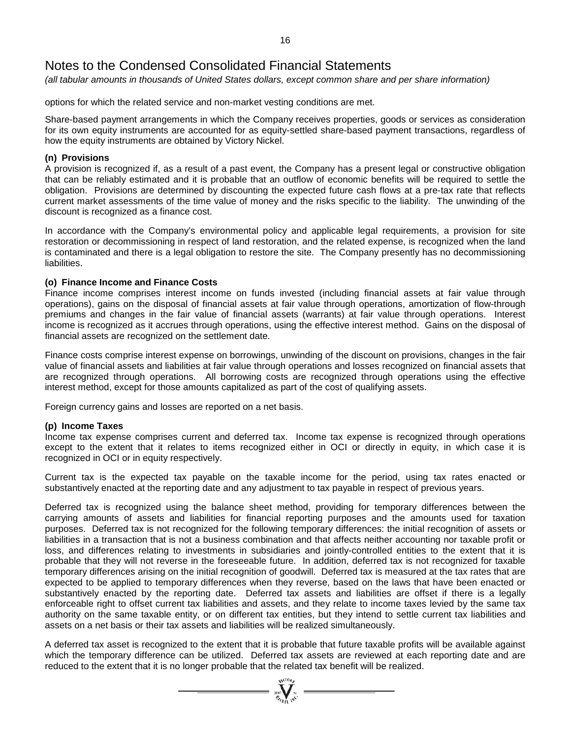*(all tabular amounts in thousands of United States dollars, except common share and per share information)*

options for which the related service and non-market vesting conditions are met.

Share-based payment arrangements in which the Company receives properties, goods or services as consideration for its own equity instruments are accounted for as equity-settled share-based payment transactions, regardless of how the equity instruments are obtained by Victory Nickel.

#### **(n) Provisions**

A provision is recognized if, as a result of a past event, the Company has a present legal or constructive obligation that can be reliably estimated and it is probable that an outflow of economic benefits will be required to settle the obligation. Provisions are determined by discounting the expected future cash flows at a pre-tax rate that reflects current market assessments of the time value of money and the risks specific to the liability. The unwinding of the discount is recognized as a finance cost.

In accordance with the Company's environmental policy and applicable legal requirements, a provision for site restoration or decommissioning in respect of land restoration, and the related expense, is recognized when the land is contaminated and there is a legal obligation to restore the site. The Company presently has no decommissioning liabilities.

### **(o) Finance Income and Finance Costs**

Finance income comprises interest income on funds invested (including financial assets at fair value through operations), gains on the disposal of financial assets at fair value through operations, amortization of flow-through premiums and changes in the fair value of financial assets (warrants) at fair value through operations. Interest income is recognized as it accrues through operations, using the effective interest method. Gains on the disposal of financial assets are recognized on the settlement date.

Finance costs comprise interest expense on borrowings, unwinding of the discount on provisions, changes in the fair value of financial assets and liabilities at fair value through operations and losses recognized on financial assets that are recognized through operations. All borrowing costs are recognized through operations using the effective interest method, except for those amounts capitalized as part of the cost of qualifying assets.

Foreign currency gains and losses are reported on a net basis.

#### **(p) Income Taxes**

Income tax expense comprises current and deferred tax. Income tax expense is recognized through operations except to the extent that it relates to items recognized either in OCI or directly in equity, in which case it is recognized in OCI or in equity respectively.

Current tax is the expected tax payable on the taxable income for the period, using tax rates enacted or substantively enacted at the reporting date and any adjustment to tax payable in respect of previous years.

Deferred tax is recognized using the balance sheet method, providing for temporary differences between the carrying amounts of assets and liabilities for financial reporting purposes and the amounts used for taxation purposes. Deferred tax is not recognized for the following temporary differences: the initial recognition of assets or liabilities in a transaction that is not a business combination and that affects neither accounting nor taxable profit or loss, and differences relating to investments in subsidiaries and jointly-controlled entities to the extent that it is probable that they will not reverse in the foreseeable future. In addition, deferred tax is not recognized for taxable temporary differences arising on the initial recognition of goodwill. Deferred tax is measured at the tax rates that are expected to be applied to temporary differences when they reverse, based on the laws that have been enacted or substantively enacted by the reporting date. Deferred tax assets and liabilities are offset if there is a legally enforceable right to offset current tax liabilities and assets, and they relate to income taxes levied by the same tax authority on the same taxable entity, or on different tax entities, but they intend to settle current tax liabilities and assets on a net basis or their tax assets and liabilities will be realized simultaneously.

A deferred tax asset is recognized to the extent that it is probable that future taxable profits will be available against which the temporary difference can be utilized. Deferred tax assets are reviewed at each reporting date and are reduced to the extent that it is no longer probable that the related tax benefit will be realized.

 $\sum_{\substack{100\text{ VU10}}{N}}$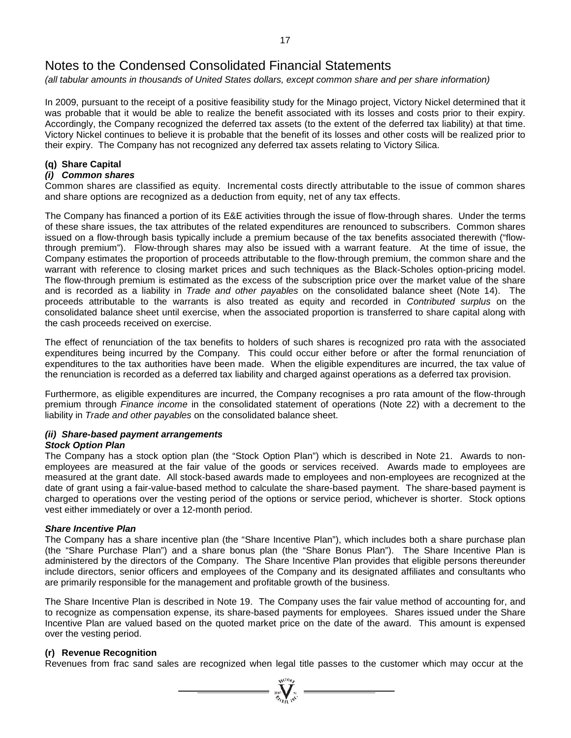*(all tabular amounts in thousands of United States dollars, except common share and per share information)*

In 2009, pursuant to the receipt of a positive feasibility study for the Minago project, Victory Nickel determined that it was probable that it would be able to realize the benefit associated with its losses and costs prior to their expiry. Accordingly, the Company recognized the deferred tax assets (to the extent of the deferred tax liability) at that time. Victory Nickel continues to believe it is probable that the benefit of its losses and other costs will be realized prior to their expiry. The Company has not recognized any deferred tax assets relating to Victory Silica.

### **(q) Share Capital**

#### *(i) Common shares*

Common shares are classified as equity. Incremental costs directly attributable to the issue of common shares and share options are recognized as a deduction from equity, net of any tax effects.

The Company has financed a portion of its E&E activities through the issue of flow-through shares. Under the terms of these share issues, the tax attributes of the related expenditures are renounced to subscribers. Common shares issued on a flow-through basis typically include a premium because of the tax benefits associated therewith ("flowthrough premium"). Flow-through shares may also be issued with a warrant feature. At the time of issue, the Company estimates the proportion of proceeds attributable to the flow-through premium, the common share and the warrant with reference to closing market prices and such techniques as the Black-Scholes option-pricing model. The flow-through premium is estimated as the excess of the subscription price over the market value of the share and is recorded as a liability in *Trade and other payables* on the consolidated balance sheet (Note 14). The proceeds attributable to the warrants is also treated as equity and recorded in *Contributed surplus* on the consolidated balance sheet until exercise, when the associated proportion is transferred to share capital along with the cash proceeds received on exercise.

The effect of renunciation of the tax benefits to holders of such shares is recognized pro rata with the associated expenditures being incurred by the Company. This could occur either before or after the formal renunciation of expenditures to the tax authorities have been made. When the eligible expenditures are incurred, the tax value of the renunciation is recorded as a deferred tax liability and charged against operations as a deferred tax provision.

Furthermore, as eligible expenditures are incurred, the Company recognises a pro rata amount of the flow-through premium through *Finance income* in the consolidated statement of operations (Note 22) with a decrement to the liability in *Trade and other payables* on the consolidated balance sheet.

### *(ii) Share-based payment arrangements*

#### *Stock Option Plan*

The Company has a stock option plan (the "Stock Option Plan") which is described in Note 21. Awards to nonemployees are measured at the fair value of the goods or services received. Awards made to employees are measured at the grant date. All stock-based awards made to employees and non-employees are recognized at the date of grant using a fair-value-based method to calculate the share-based payment. The share-based payment is charged to operations over the vesting period of the options or service period, whichever is shorter. Stock options vest either immediately or over a 12-month period.

#### *Share Incentive Plan*

The Company has a share incentive plan (the "Share Incentive Plan"), which includes both a share purchase plan (the "Share Purchase Plan") and a share bonus plan (the "Share Bonus Plan"). The Share Incentive Plan is administered by the directors of the Company. The Share Incentive Plan provides that eligible persons thereunder include directors, senior officers and employees of the Company and its designated affiliates and consultants who are primarily responsible for the management and profitable growth of the business.

The Share Incentive Plan is described in Note 19. The Company uses the fair value method of accounting for, and to recognize as compensation expense, its share-based payments for employees. Shares issued under the Share Incentive Plan are valued based on the quoted market price on the date of the award. This amount is expensed over the vesting period.

### **(r) Revenue Recognition**

Revenues from frac sand sales are recognized when legal title passes to the customer which may occur at the

 $= \sum_{2007}$   $\sum_{n=1}^{N(10)}$   $\sum_{n=1}^{N}$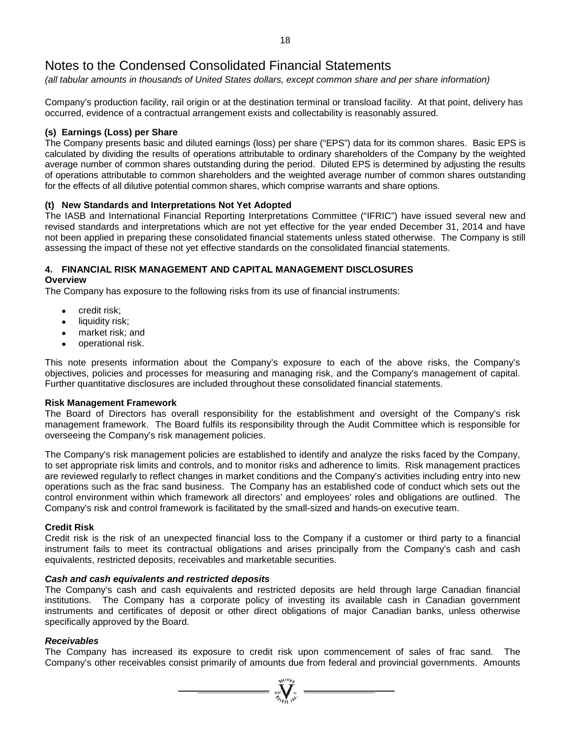*(all tabular amounts in thousands of United States dollars, except common share and per share information)*

Company's production facility, rail origin or at the destination terminal or transload facility. At that point, delivery has occurred, evidence of a contractual arrangement exists and collectability is reasonably assured.

#### **(s) Earnings (Loss) per Share**

The Company presents basic and diluted earnings (loss) per share ("EPS") data for its common shares. Basic EPS is calculated by dividing the results of operations attributable to ordinary shareholders of the Company by the weighted average number of common shares outstanding during the period. Diluted EPS is determined by adjusting the results of operations attributable to common shareholders and the weighted average number of common shares outstanding for the effects of all dilutive potential common shares, which comprise warrants and share options.

### **(t) New Standards and Interpretations Not Yet Adopted**

The IASB and International Financial Reporting Interpretations Committee ("IFRIC") have issued several new and revised standards and interpretations which are not yet effective for the year ended December 31, 2014 and have not been applied in preparing these consolidated financial statements unless stated otherwise. The Company is still assessing the impact of these not yet effective standards on the consolidated financial statements.

# **4. FINANCIAL RISK MANAGEMENT AND CAPITAL MANAGEMENT DISCLOSURES**

**Overview**

The Company has exposure to the following risks from its use of financial instruments:

- credit risk;
- liquidity risk;
- market risk; and
- operational risk.

This note presents information about the Company's exposure to each of the above risks, the Company's objectives, policies and processes for measuring and managing risk, and the Company's management of capital. Further quantitative disclosures are included throughout these consolidated financial statements.

#### **Risk Management Framework**

The Board of Directors has overall responsibility for the establishment and oversight of the Company's risk management framework. The Board fulfils its responsibility through the Audit Committee which is responsible for overseeing the Company's risk management policies.

The Company's risk management policies are established to identify and analyze the risks faced by the Company, to set appropriate risk limits and controls, and to monitor risks and adherence to limits. Risk management practices are reviewed regularly to reflect changes in market conditions and the Company's activities including entry into new operations such as the frac sand business. The Company has an established code of conduct which sets out the control environment within which framework all directors' and employees' roles and obligations are outlined. The Company's risk and control framework is facilitated by the small-sized and hands-on executive team.

#### **Credit Risk**

Credit risk is the risk of an unexpected financial loss to the Company if a customer or third party to a financial instrument fails to meet its contractual obligations and arises principally from the Company's cash and cash equivalents, restricted deposits, receivables and marketable securities.

#### *Cash and cash equivalents and restricted deposits*

The Company's cash and cash equivalents and restricted deposits are held through large Canadian financial institutions. The Company has a corporate policy of investing its available cash in Canadian government instruments and certificates of deposit or other direct obligations of major Canadian banks, unless otherwise specifically approved by the Board.

#### *Receivables*

The Company has increased its exposure to credit risk upon commencement of sales of frac sand. The Company's other receivables consist primarily of amounts due from federal and provincial governments. Amounts

 $\sum_{\alpha=1}^{N^{(10)}\mu}$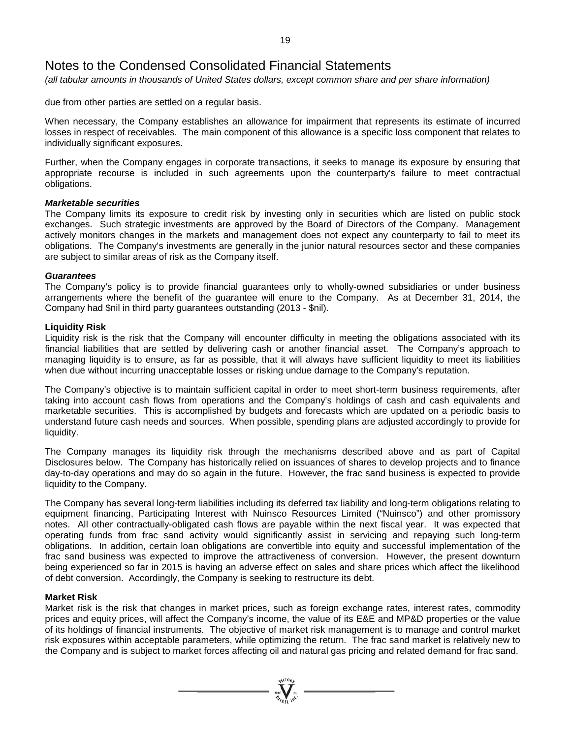*(all tabular amounts in thousands of United States dollars, except common share and per share information)*

due from other parties are settled on a regular basis.

When necessary, the Company establishes an allowance for impairment that represents its estimate of incurred losses in respect of receivables. The main component of this allowance is a specific loss component that relates to individually significant exposures.

Further, when the Company engages in corporate transactions, it seeks to manage its exposure by ensuring that appropriate recourse is included in such agreements upon the counterparty's failure to meet contractual obligations.

#### *Marketable securities*

The Company limits its exposure to credit risk by investing only in securities which are listed on public stock exchanges. Such strategic investments are approved by the Board of Directors of the Company. Management actively monitors changes in the markets and management does not expect any counterparty to fail to meet its obligations. The Company's investments are generally in the junior natural resources sector and these companies are subject to similar areas of risk as the Company itself.

#### *Guarantees*

The Company's policy is to provide financial guarantees only to wholly-owned subsidiaries or under business arrangements where the benefit of the guarantee will enure to the Company. As at December 31, 2014, the Company had \$nil in third party guarantees outstanding (2013 - \$nil).

#### **Liquidity Risk**

Liquidity risk is the risk that the Company will encounter difficulty in meeting the obligations associated with its financial liabilities that are settled by delivering cash or another financial asset. The Company's approach to managing liquidity is to ensure, as far as possible, that it will always have sufficient liquidity to meet its liabilities when due without incurring unacceptable losses or risking undue damage to the Company's reputation.

The Company's objective is to maintain sufficient capital in order to meet short-term business requirements, after taking into account cash flows from operations and the Company's holdings of cash and cash equivalents and marketable securities. This is accomplished by budgets and forecasts which are updated on a periodic basis to understand future cash needs and sources. When possible, spending plans are adjusted accordingly to provide for liquidity.

The Company manages its liquidity risk through the mechanisms described above and as part of Capital Disclosures below. The Company has historically relied on issuances of shares to develop projects and to finance day-to-day operations and may do so again in the future. However, the frac sand business is expected to provide liquidity to the Company.

The Company has several long-term liabilities including its deferred tax liability and long-term obligations relating to equipment financing, Participating Interest with Nuinsco Resources Limited ("Nuinsco") and other promissory notes. All other contractually-obligated cash flows are payable within the next fiscal year. It was expected that operating funds from frac sand activity would significantly assist in servicing and repaying such long-term obligations. In addition, certain loan obligations are convertible into equity and successful implementation of the frac sand business was expected to improve the attractiveness of conversion. However, the present downturn being experienced so far in 2015 is having an adverse effect on sales and share prices which affect the likelihood of debt conversion. Accordingly, the Company is seeking to restructure its debt.

#### **Market Risk**

Market risk is the risk that changes in market prices, such as foreign exchange rates, interest rates, commodity prices and equity prices, will affect the Company's income, the value of its E&E and MP&D properties or the value of its holdings of financial instruments. The objective of market risk management is to manage and control market risk exposures within acceptable parameters, while optimizing the return. The frac sand market is relatively new to the Company and is subject to market forces affecting oil and natural gas pricing and related demand for frac sand.

 $\sum_{\substack{i=1\\i\neq j}}^{\mathcal{N}^{(10)}h_{j}}$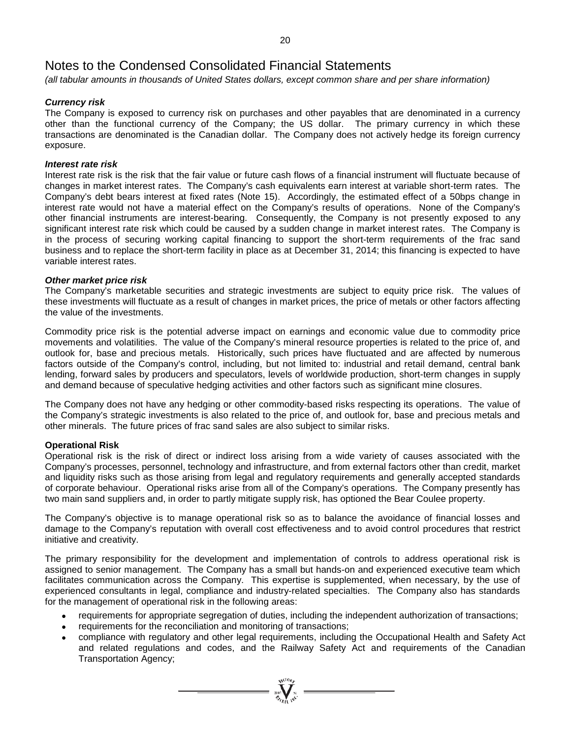*(all tabular amounts in thousands of United States dollars, except common share and per share information)*

### *Currency risk*

The Company is exposed to currency risk on purchases and other payables that are denominated in a currency other than the functional currency of the Company; the US dollar. The primary currency in which these transactions are denominated is the Canadian dollar. The Company does not actively hedge its foreign currency exposure.

#### *Interest rate risk*

Interest rate risk is the risk that the fair value or future cash flows of a financial instrument will fluctuate because of changes in market interest rates. The Company's cash equivalents earn interest at variable short-term rates. The Company's debt bears interest at fixed rates (Note 15). Accordingly, the estimated effect of a 50bps change in interest rate would not have a material effect on the Company's results of operations. None of the Company's other financial instruments are interest-bearing. Consequently, the Company is not presently exposed to any significant interest rate risk which could be caused by a sudden change in market interest rates. The Company is in the process of securing working capital financing to support the short-term requirements of the frac sand business and to replace the short-term facility in place as at December 31, 2014; this financing is expected to have variable interest rates.

#### *Other market price risk*

The Company's marketable securities and strategic investments are subject to equity price risk. The values of these investments will fluctuate as a result of changes in market prices, the price of metals or other factors affecting the value of the investments.

Commodity price risk is the potential adverse impact on earnings and economic value due to commodity price movements and volatilities. The value of the Company's mineral resource properties is related to the price of, and outlook for, base and precious metals. Historically, such prices have fluctuated and are affected by numerous factors outside of the Company's control, including, but not limited to: industrial and retail demand, central bank lending, forward sales by producers and speculators, levels of worldwide production, short-term changes in supply and demand because of speculative hedging activities and other factors such as significant mine closures.

The Company does not have any hedging or other commodity-based risks respecting its operations. The value of the Company's strategic investments is also related to the price of, and outlook for, base and precious metals and other minerals. The future prices of frac sand sales are also subject to similar risks.

#### **Operational Risk**

Operational risk is the risk of direct or indirect loss arising from a wide variety of causes associated with the Company's processes, personnel, technology and infrastructure, and from external factors other than credit, market and liquidity risks such as those arising from legal and regulatory requirements and generally accepted standards of corporate behaviour. Operational risks arise from all of the Company's operations. The Company presently has two main sand suppliers and, in order to partly mitigate supply risk, has optioned the Bear Coulee property.

The Company's objective is to manage operational risk so as to balance the avoidance of financial losses and damage to the Company's reputation with overall cost effectiveness and to avoid control procedures that restrict initiative and creativity.

The primary responsibility for the development and implementation of controls to address operational risk is assigned to senior management. The Company has a small but hands-on and experienced executive team which facilitates communication across the Company. This expertise is supplemented, when necessary, by the use of experienced consultants in legal, compliance and industry-related specialties. The Company also has standards for the management of operational risk in the following areas:

- requirements for appropriate segregation of duties, including the independent authorization of transactions;
- requirements for the reconciliation and monitoring of transactions;
- compliance with regulatory and other legal requirements, including the Occupational Health and Safety Act and related regulations and codes, and the Railway Safety Act and requirements of the Canadian Transportation Agency;

 $\sum_{n=1}^{\infty} \sum_{n=1}^{\infty} \sum_{n=1}^{\infty}$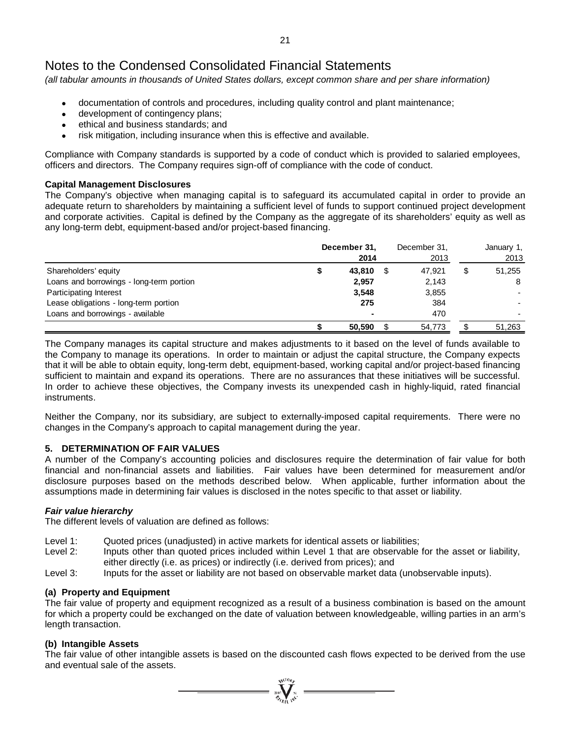*(all tabular amounts in thousands of United States dollars, except common share and per share information)*

- documentation of controls and procedures, including quality control and plant maintenance;
- development of contingency plans;
- ethical and business standards; and
- risk mitigation, including insurance when this is effective and available.

Compliance with Company standards is supported by a code of conduct which is provided to salaried employees, officers and directors. The Company requires sign-off of compliance with the code of conduct.

#### **Capital Management Disclosures**

The Company's objective when managing capital is to safeguard its accumulated capital in order to provide an adequate return to shareholders by maintaining a sufficient level of funds to support continued project development and corporate activities. Capital is defined by the Company as the aggregate of its shareholders' equity as well as any long-term debt, equipment-based and/or project-based financing.

|                                          | December 31,<br>2014 | December 31,<br>2013 | January 1,<br>2013 |
|------------------------------------------|----------------------|----------------------|--------------------|
| Shareholders' equity                     | 43,810               | 47.921               | \$<br>51,255       |
| Loans and borrowings - long-term portion | 2,957                | 2,143                | 8                  |
| Participating Interest                   | 3,548                | 3,855                |                    |
| Lease obligations - long-term portion    | 275                  | 384                  |                    |
| Loans and borrowings - available         |                      | 470                  |                    |
|                                          | 50,590               | 54,773               | 51,263             |

The Company manages its capital structure and makes adjustments to it based on the level of funds available to the Company to manage its operations. In order to maintain or adjust the capital structure, the Company expects that it will be able to obtain equity, long-term debt, equipment-based, working capital and/or project-based financing sufficient to maintain and expand its operations. There are no assurances that these initiatives will be successful. In order to achieve these objectives, the Company invests its unexpended cash in highly-liquid, rated financial instruments.

Neither the Company, nor its subsidiary, are subject to externally-imposed capital requirements. There were no changes in the Company's approach to capital management during the year.

### **5. DETERMINATION OF FAIR VALUES**

A number of the Company's accounting policies and disclosures require the determination of fair value for both financial and non-financial assets and liabilities. Fair values have been determined for measurement and/or disclosure purposes based on the methods described below. When applicable, further information about the assumptions made in determining fair values is disclosed in the notes specific to that asset or liability.

#### *Fair value hierarchy*

The different levels of valuation are defined as follows:

- Level 1: Quoted prices (unadjusted) in active markets for identical assets or liabilities;
- Level 2: Inputs other than quoted prices included within Level 1 that are observable for the asset or liability, either directly (i.e. as prices) or indirectly (i.e. derived from prices); and
- Level 3: Inputs for the asset or liability are not based on observable market data (unobservable inputs).

#### **(a) Property and Equipment**

The fair value of property and equipment recognized as a result of a business combination is based on the amount for which a property could be exchanged on the date of valuation between knowledgeable, willing parties in an arm's length transaction.

#### **(b) Intangible Assets**

The fair value of other intangible assets is based on the discounted cash flows expected to be derived from the use and eventual sale of the assets.

 $\sum_{\mathbf{q}\in\mathcal{M}^{(10)}}^{\mathbf{q}\in\mathcal{M}^{(10)}}$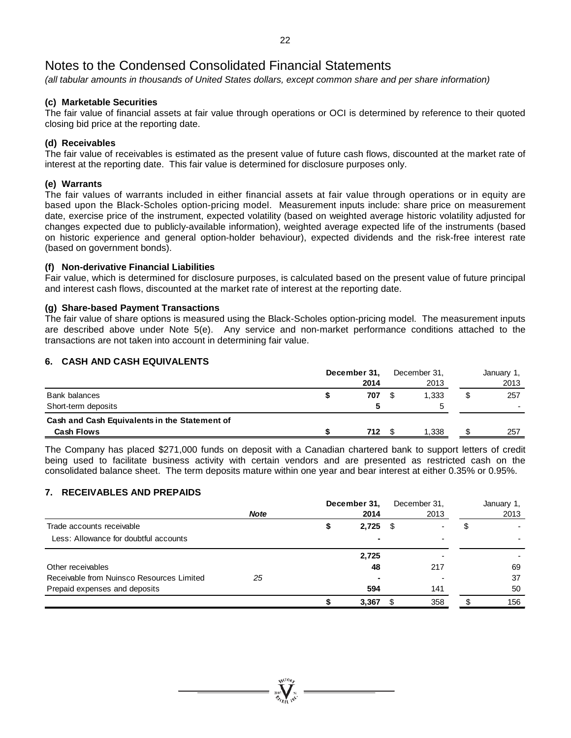*(all tabular amounts in thousands of United States dollars, except common share and per share information)*

### **(c) Marketable Securities**

The fair value of financial assets at fair value through operations or OCI is determined by reference to their quoted closing bid price at the reporting date.

### **(d) Receivables**

The fair value of receivables is estimated as the present value of future cash flows, discounted at the market rate of interest at the reporting date. This fair value is determined for disclosure purposes only.

#### **(e) Warrants**

The fair values of warrants included in either financial assets at fair value through operations or in equity are based upon the Black-Scholes option-pricing model. Measurement inputs include: share price on measurement date, exercise price of the instrument, expected volatility (based on weighted average historic volatility adjusted for changes expected due to publicly-available information), weighted average expected life of the instruments (based on historic experience and general option-holder behaviour), expected dividends and the risk-free interest rate (based on government bonds).

### **(f) Non-derivative Financial Liabilities**

Fair value, which is determined for disclosure purposes, is calculated based on the present value of future principal and interest cash flows, discounted at the market rate of interest at the reporting date.

### **(g) Share-based Payment Transactions**

The fair value of share options is measured using the Black-Scholes option-pricing model. The measurement inputs are described above under Note 5(e). Any service and non-market performance conditions attached to the transactions are not taken into account in determining fair value.

### **6. CASH AND CASH EQUIVALENTS**

|                                               | December 31, |      | December 31. |   | January 1, |
|-----------------------------------------------|--------------|------|--------------|---|------------|
|                                               |              | 2014 | 2013         |   | 2013       |
| Bank balances                                 |              | 707  | 1.333        | S | 257        |
| Short-term deposits                           |              |      |              |   |            |
| Cash and Cash Equivalents in the Statement of |              |      |              |   |            |
| <b>Cash Flows</b>                             |              | 712. | 1.338        |   | 257        |

The Company has placed \$271,000 funds on deposit with a Canadian chartered bank to support letters of credit being used to facilitate business activity with certain vendors and are presented as restricted cash on the consolidated balance sheet. The term deposits mature within one year and bear interest at either 0.35% or 0.95%.

### **7. RECEIVABLES AND PREPAIDS**

|                                           |             | December 31, |       |      | December 31, | January 1, |
|-------------------------------------------|-------------|--------------|-------|------|--------------|------------|
|                                           | <b>Note</b> |              | 2014  |      | 2013         | 2013       |
| Trade accounts receivable                 |             |              | 2,725 | - \$ |              |            |
| Less: Allowance for doubtful accounts     |             |              |       |      |              |            |
|                                           |             |              | 2,725 |      |              |            |
| Other receivables                         |             |              | 48    |      | 217          | 69         |
| Receivable from Nuinsco Resources Limited | 25          |              |       |      |              | 37         |
| Prepaid expenses and deposits             |             |              | 594   |      | 141          | 50         |
|                                           |             |              | 3,367 |      | 358          | 156        |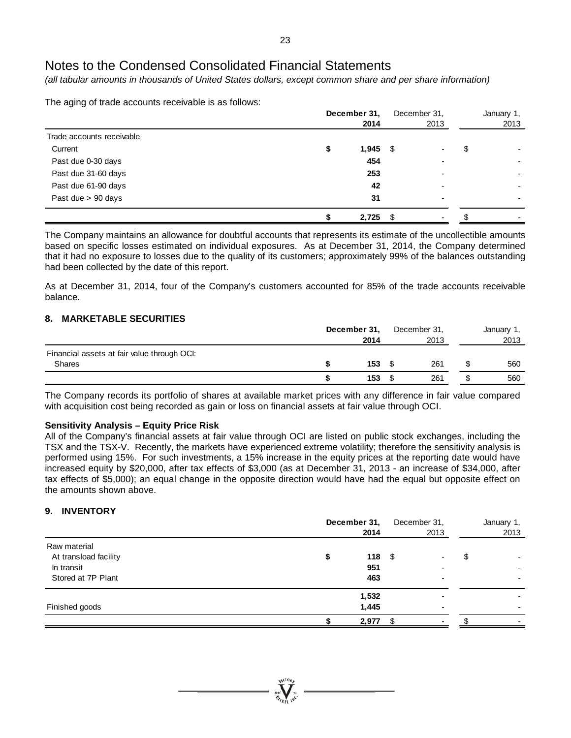*(all tabular amounts in thousands of United States dollars, except common share and per share information)*

The aging of trade accounts receivable is as follows:

|                           | December 31,<br>2014 |    | December 31,<br>2013 | January 1,<br>2013       |
|---------------------------|----------------------|----|----------------------|--------------------------|
| Trade accounts receivable |                      |    |                      |                          |
| Current                   | \$<br>$1,945$ \$     |    |                      | \$                       |
| Past due 0-30 days        | 454                  |    | ۰                    | $\overline{\phantom{a}}$ |
| Past due 31-60 days       | 253                  |    | ۰                    |                          |
| Past due 61-90 days       | 42                   |    | ۰                    |                          |
| Past due > 90 days        | 31                   |    | ۰                    | $\blacksquare$           |
|                           | 2,725                | -S |                      |                          |

The Company maintains an allowance for doubtful accounts that represents its estimate of the uncollectible amounts based on specific losses estimated on individual exposures. As at December 31, 2014, the Company determined that it had no exposure to losses due to the quality of its customers; approximately 99% of the balances outstanding had been collected by the date of this report.

As at December 31, 2014, four of the Company's customers accounted for 85% of the trade accounts receivable balance.

### **8. MARKETABLE SECURITIES**

|                                                              | December 31,<br>2014 |  |     | January 1,<br>2013 |     |
|--------------------------------------------------------------|----------------------|--|-----|--------------------|-----|
| Financial assets at fair value through OCI:<br><b>Shares</b> | 153                  |  | 261 |                    | 560 |
|                                                              | 153                  |  | 261 |                    | 560 |

The Company records its portfolio of shares at available market prices with any difference in fair value compared with acquisition cost being recorded as gain or loss on financial assets at fair value through OCI.

#### **Sensitivity Analysis – Equity Price Risk**

All of the Company's financial assets at fair value through OCI are listed on public stock exchanges, including the TSX and the TSX-V. Recently, the markets have experienced extreme volatility; therefore the sensitivity analysis is performed using 15%. For such investments, a 15% increase in the equity prices at the reporting date would have increased equity by \$20,000, after tax effects of \$3,000 (as at December 31, 2013 - an increase of \$34,000, after tax effects of \$5,000); an equal change in the opposite direction would have had the equal but opposite effect on the amounts shown above.

#### **9. INVENTORY**

|                                                                           | December 31,<br>2014           | December 31,<br>2013 | January 1,<br>2013 |
|---------------------------------------------------------------------------|--------------------------------|----------------------|--------------------|
| Raw material<br>At transload facility<br>In transit<br>Stored at 7P Plant | 118 <sup>°</sup><br>951<br>463 |                      | \$                 |
| Finished goods                                                            | 1,532<br>1,445<br>2,977        |                      |                    |

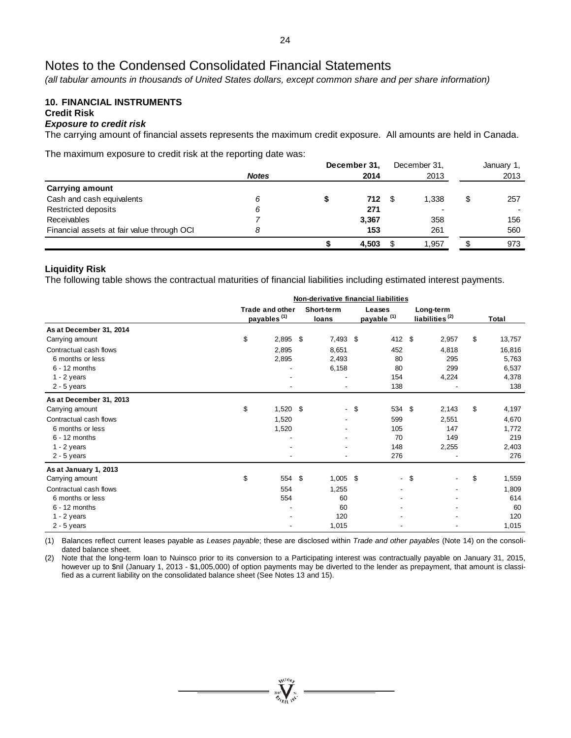*(all tabular amounts in thousands of United States dollars, except common share and per share information)*

#### **10. FINANCIAL INSTRUMENTS Credit Risk**

#### *Exposure to credit risk*

The carrying amount of financial assets represents the maximum credit exposure. All amounts are held in Canada.

The maximum exposure to credit risk at the reporting date was:

|                                            |              | December 31, |               | December 31, | January 1, |
|--------------------------------------------|--------------|--------------|---------------|--------------|------------|
|                                            | <b>Notes</b> |              | 2014          | 2013         | 2013       |
| Carrying amount                            |              |              |               |              |            |
| Cash and cash equivalents                  | 6            |              | $712 \quad $$ | 1.338        | \$<br>257  |
| Restricted deposits                        | 6            |              | 271           |              |            |
| Receivables                                |              |              | 3.367         | 358          | 156        |
| Financial assets at fair value through OCI |              |              | 153           | 261          | 560        |
|                                            |              |              | 4.503         | 1.957        | 973        |

#### **Liquidity Risk**

The following table shows the contractual maturities of financial liabilities including estimated interest payments.

|                         |                                                   |  | Non-derivative financial liabilities |                                  |        |                                         |       |              |
|-------------------------|---------------------------------------------------|--|--------------------------------------|----------------------------------|--------|-----------------------------------------|-------|--------------|
|                         | <b>Trade and other</b><br>payables <sup>(1)</sup> |  |                                      | Leases<br>payable <sup>(1)</sup> |        | Long-term<br>liabilities <sup>(2)</sup> |       | <b>Total</b> |
| As at December 31, 2014 |                                                   |  |                                      |                                  |        |                                         |       |              |
| Carrying amount         | \$<br>$2,895$ \$                                  |  | $7,493$ \$                           |                                  | 412 \$ |                                         | 2,957 | \$<br>13,757 |
| Contractual cash flows  | 2,895                                             |  | 8,651                                |                                  | 452    |                                         | 4,818 | 16,816       |
| 6 months or less        | 2,895                                             |  | 2,493                                |                                  | 80     |                                         | 295   | 5,763        |
| $6 - 12$ months         |                                                   |  | 6,158                                |                                  | 80     |                                         | 299   | 6,537        |
| $1 - 2$ years           |                                                   |  |                                      |                                  | 154    |                                         | 4,224 | 4,378        |
| $2 - 5$ years           |                                                   |  | $\overline{\phantom{a}}$             |                                  | 138    |                                         |       | 138          |
| As at December 31, 2013 |                                                   |  |                                      |                                  |        |                                         |       |              |
| Carrying amount         | \$<br>$1,520$ \$                                  |  | $\sim$                               | \$                               | 534 \$ |                                         | 2,143 | \$<br>4,197  |
| Contractual cash flows  | 1,520                                             |  |                                      |                                  | 599    |                                         | 2,551 | 4,670        |
| 6 months or less        | 1,520                                             |  |                                      |                                  | 105    |                                         | 147   | 1,772        |
| $6 - 12$ months         |                                                   |  |                                      |                                  | 70     |                                         | 149   | 219          |
| $1 - 2$ years           |                                                   |  |                                      |                                  | 148    |                                         | 2,255 | 2,403        |
| $2 - 5$ years           | $\qquad \qquad \blacksquare$                      |  | $\overline{\phantom{a}}$             |                                  | 276    |                                         |       | 276          |
| As at January 1, 2013   |                                                   |  |                                      |                                  |        |                                         |       |              |
| Carrying amount         | \$<br>554 \$                                      |  | $1,005$ \$                           |                                  | $\sim$ | \$                                      |       | \$<br>1,559  |
| Contractual cash flows  | 554                                               |  | 1,255                                |                                  |        |                                         |       | 1,809        |
| 6 months or less        | 554                                               |  | 60                                   |                                  |        |                                         |       | 614          |
| $6 - 12$ months         |                                                   |  | 60                                   |                                  |        |                                         |       | 60           |
| $1 - 2$ years           |                                                   |  | 120                                  |                                  |        |                                         |       | 120          |
| $2 - 5$ years           |                                                   |  | 1,015                                |                                  |        |                                         |       | 1,015        |

(1) Balances reflect current leases payable as *Leases payable*; these are disclosed within *Trade and other payables* (Note 14) on the consolidated balance sheet.

(2) Note that the long-term loan to Nuinsco prior to its conversion to a Participating interest was contractually payable on January 31, 2015, however up to \$nil (January 1, 2013 - \$1,005,000) of option payments may be diverted to the lender as prepayment, that amount is classified as a current liability on the consolidated balance sheet (See Notes 13 and 15).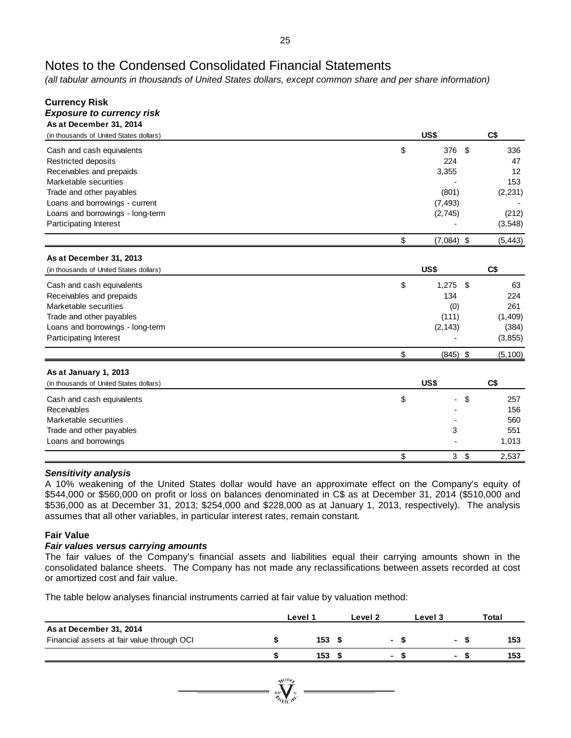*(all tabular amounts in thousands of United States dollars, except common share and per share information)*

| Currency Risk                           |                    |          |
|-----------------------------------------|--------------------|----------|
| <b>Exposure to currency risk</b>        |                    |          |
| As at December 31, 2014                 |                    |          |
| (in thousands of United States dollars) | US\$               | C\$      |
| Cash and cash equivalents               | \$<br>376<br>\$    | 336      |
| <b>Restricted deposits</b>              | 224                | 47       |
| Receivables and prepaids                | 3,355              | 12       |
| Marketable securities                   |                    | 153      |
| Trade and other payables                | (801)              | (2, 231) |
| Loans and borrowings - current          | (7, 493)           |          |
| Loans and borrowings - long-term        | (2,745)            | (212)    |
| Participating Interest                  |                    | (3, 548) |
|                                         | \$<br>$(7,084)$ \$ | (5, 443) |
| As at December 31, 2013                 |                    |          |
| (in thousands of United States dollars) | US\$               | C\$      |
| Cash and cash equivalents               | \$<br>1,275<br>-\$ | 63       |
| Receivables and prepaids                | 134                | 224      |
| Marketable securities                   | (0)                | 261      |
| Trade and other payables                | (111)              | (1,409)  |
| Loans and borrowings - long-term        | (2, 143)           | (384)    |
| Participating Interest                  |                    | (3, 855) |
|                                         | \$<br>$(845)$ \$   | (5, 100) |
| As at January 1, 2013                   |                    |          |
| (in thousands of United States dollars) | US\$               | C\$      |
|                                         |                    |          |
| Cash and cash equivalents               | \$<br>\$           | 257      |
| Receivables                             |                    | 156      |
| Marketable securities                   |                    | 560      |
| Trade and other payables                | 3                  | 551      |
| Loans and borrowings                    |                    | 1,013    |
|                                         | \$<br>3<br>\$      | 2,537    |

#### *Sensitivity analysis*

A 10% weakening of the United States dollar would have an approximate effect on the Company's equity of \$544,000 or \$560,000 on profit or loss on balances denominated in C\$ as at December 31, 2014 (\$510,000 and \$536,000 as at December 31, 2013; \$254,000 and \$228,000 as at January 1, 2013, respectively). The analysis assumes that all other variables, in particular interest rates, remain constant.

### **Fair Value**

#### *Fair values versus carrying amounts*

The fair values of the Company's financial assets and liabilities equal their carrying amounts shown in the consolidated balance sheets. The Company has not made any reclassifications between assets recorded at cost or amortized cost and fair value.

The table below analyses financial instruments carried at fair value by valuation method:

|                                                                       | Level 1 |  | Level 2 | Level 3              | Total |
|-----------------------------------------------------------------------|---------|--|---------|----------------------|-------|
| As at December 31, 2014<br>Financial assets at fair value through OCI | 153S    |  | $\sim$  | <b>Service</b> State | 153   |
|                                                                       | 153     |  |         |                      | 153   |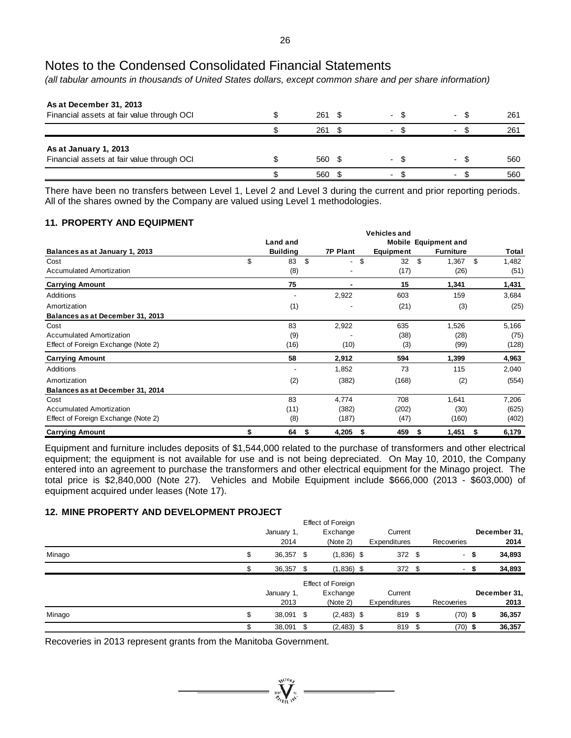*(all tabular amounts in thousands of United States dollars, except common share and per share information)*

| As at December 31, 2013<br>Financial assets at fair value through OCI | $261 \text{ } $$ | $\sim$                   | $\overline{\phantom{0}}$ | 261 |
|-----------------------------------------------------------------------|------------------|--------------------------|--------------------------|-----|
|                                                                       | 261              | $\overline{\phantom{a}}$ |                          | 261 |
| As at January 1, 2013<br>Financial assets at fair value through OCI   | 560 \$           | $\overline{\phantom{a}}$ |                          | 560 |
|                                                                       | 560              | $\overline{\phantom{a}}$ |                          | 560 |

There have been no transfers between Level 1, Level 2 and Level 3 during the current and prior reporting periods. All of the shares owned by the Company are valued using Level 1 methodologies.

### **11. PROPERTY AND EQUIPMENT**

|                                     |    | Land and        |                 |           | <b>Mobile Equipment and</b> |       |  |
|-------------------------------------|----|-----------------|-----------------|-----------|-----------------------------|-------|--|
| Balances as at January 1, 2013      |    | <b>Building</b> | <b>7P Plant</b> | Equipment | <b>Furniture</b>            | Total |  |
| Cost                                | \$ | 83<br>\$        | \$<br>٠         | 32<br>\$  | \$<br>1,367                 | 1,482 |  |
| <b>Accumulated Amortization</b>     |    | (8)             |                 | (17)      | (26)                        | (51)  |  |
| <b>Carrying Amount</b>              |    | 75              |                 | 15        | 1,341                       | 1,431 |  |
| Additions                           |    |                 | 2,922           | 603       | 159                         | 3,684 |  |
| Amortization                        |    | (1)             |                 | (21)      | (3)                         | (25)  |  |
| Balances as at December 31, 2013    |    |                 |                 |           |                             |       |  |
| Cost                                |    | 83              | 2,922           | 635       | 1,526                       | 5,166 |  |
| Accumulated Amortization            |    | (9)             |                 | (38)      | (28)                        | (75)  |  |
| Effect of Foreign Exchange (Note 2) |    | (16)            | (10)            | (3)       | (99)                        | (128) |  |
| <b>Carrying Amount</b>              |    | 58              | 2,912           | 594       | 1,399                       | 4,963 |  |
| Additions                           |    |                 | 1,852           | 73        | 115                         | 2,040 |  |
| Amortization                        |    | (2)             | (382)           | (168)     | (2)                         | (554) |  |
| Balances as at December 31, 2014    |    |                 |                 |           |                             |       |  |
| Cost                                |    | 83              | 4,774           | 708       | 1,641                       | 7,206 |  |
| <b>Accumulated Amortization</b>     |    | (11)            | (382)           | (202)     | (30)                        | (625) |  |
| Effect of Foreign Exchange (Note 2) |    | (8)             | (187)           | (47)      | (160)                       | (402) |  |
| <b>Carrying Amount</b>              |    | 64<br>S         | 4,205<br>S      | 459<br>Ъ  | 1,451<br>S                  | 6,179 |  |

Equipment and furniture includes deposits of \$1,544,000 related to the purchase of transformers and other electrical equipment; the equipment is not available for use and is not being depreciated. On May 10, 2010, the Company entered into an agreement to purchase the transformers and other electrical equipment for the Minago project. The total price is \$2,840,000 (Note 27). Vehicles and Mobile Equipment include \$666,000 (2013 - \$603,000) of equipment acquired under leases (Note 17).

### **12. MINE PROPERTY AND DEVELOPMENT PROJECT**

|        | <b>Effect of Foreign</b> |            |          |                          |         |              |      |            |      |              |  |  |  |
|--------|--------------------------|------------|----------|--------------------------|---------|--------------|------|------------|------|--------------|--|--|--|
|        |                          | January 1, | Exchange |                          | Current |              |      |            |      | December 31, |  |  |  |
|        |                          | 2014       |          | (Note 2)                 |         | Expenditures |      | Recoveries |      | 2014         |  |  |  |
| Minago | \$                       | 36,357 \$  |          | $(1,836)$ \$             |         | $372$ \$     |      |            | - \$ | 34,893       |  |  |  |
|        |                          | 36,357 \$  |          | $(1,836)$ \$             |         | $372$ \$     |      | $\sim$     |      | 34,893       |  |  |  |
|        |                          |            |          | <b>Effect of Foreign</b> |         |              |      |            |      |              |  |  |  |
|        |                          | January 1, |          | Exchange                 |         | Current      |      |            |      | December 31, |  |  |  |
|        |                          | 2013       |          | (Note 2)                 |         | Expenditures |      | Recoveries |      | 2013         |  |  |  |
| Minago | \$                       | 38,091 \$  |          | $(2,483)$ \$             |         | 819 \$       |      | $(70)$ \$  |      | 36,357       |  |  |  |
|        |                          | 38,091 \$  |          | $(2,483)$ \$             |         | 819          | - \$ | $(70)$ \$  |      | 36,357       |  |  |  |

Recoveries in 2013 represent grants from the Manitoba Government.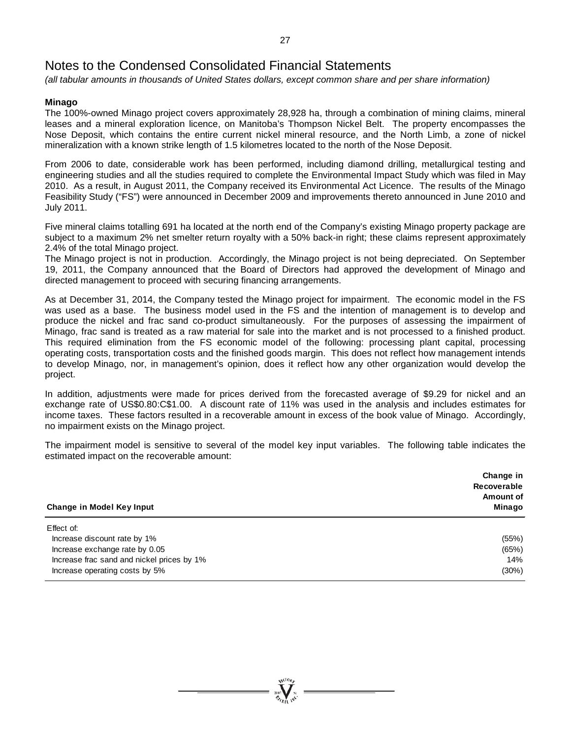*(all tabular amounts in thousands of United States dollars, except common share and per share information)*

### **Minago**

The 100%-owned Minago project covers approximately 28,928 ha, through a combination of mining claims, mineral leases and a mineral exploration licence, on Manitoba's Thompson Nickel Belt. The property encompasses the Nose Deposit, which contains the entire current nickel mineral resource, and the North Limb, a zone of nickel mineralization with a known strike length of 1.5 kilometres located to the north of the Nose Deposit.

From 2006 to date, considerable work has been performed, including diamond drilling, metallurgical testing and engineering studies and all the studies required to complete the Environmental Impact Study which was filed in May 2010. As a result, in August 2011, the Company received its Environmental Act Licence. The results of the Minago Feasibility Study ("FS") were announced in December 2009 and improvements thereto announced in June 2010 and July 2011.

Five mineral claims totalling 691 ha located at the north end of the Company's existing Minago property package are subject to a maximum 2% net smelter return royalty with a 50% back-in right; these claims represent approximately 2.4% of the total Minago project.

The Minago project is not in production. Accordingly, the Minago project is not being depreciated. On September 19, 2011, the Company announced that the Board of Directors had approved the development of Minago and directed management to proceed with securing financing arrangements.

As at December 31, 2014, the Company tested the Minago project for impairment. The economic model in the FS was used as a base. The business model used in the FS and the intention of management is to develop and produce the nickel and frac sand co-product simultaneously. For the purposes of assessing the impairment of Minago, frac sand is treated as a raw material for sale into the market and is not processed to a finished product. This required elimination from the FS economic model of the following: processing plant capital, processing operating costs, transportation costs and the finished goods margin. This does not reflect how management intends to develop Minago, nor, in management's opinion, does it reflect how any other organization would develop the project.

In addition, adjustments were made for prices derived from the forecasted average of \$9.29 for nickel and an exchange rate of US\$0.80:C\$1.00. A discount rate of 11% was used in the analysis and includes estimates for income taxes. These factors resulted in a recoverable amount in excess of the book value of Minago. Accordingly, no impairment exists on the Minago project.

The impairment model is sensitive to several of the model key input variables. The following table indicates the estimated impact on the recoverable amount:

| Change in Model Key Input                  | Change in<br>Recoverable<br>Amount of<br>Minago |
|--------------------------------------------|-------------------------------------------------|
| Effect of:                                 |                                                 |
| Increase discount rate by 1%               | (55%)                                           |
| Increase exchange rate by 0.05             | (65%)                                           |
| Increase frac sand and nickel prices by 1% | 14%                                             |
| Increase operating costs by 5%             | (30%)                                           |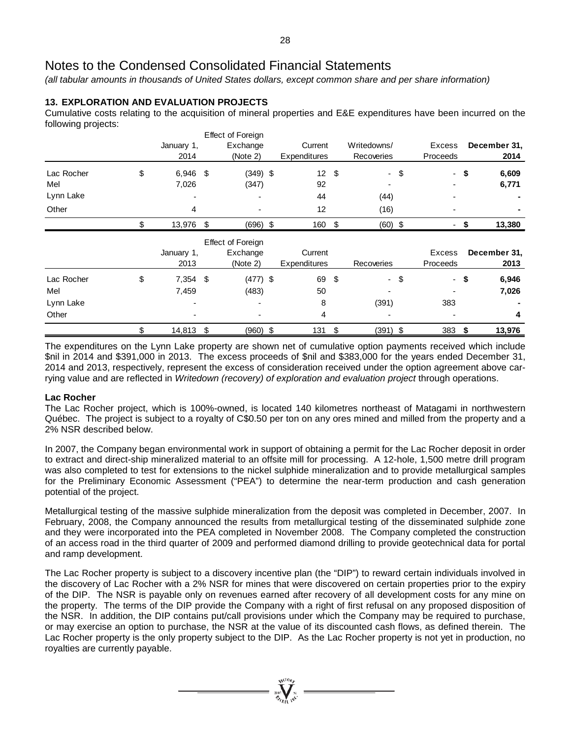*(all tabular amounts in thousands of United States dollars, except common share and per share information)*

## **13. EXPLORATION AND EVALUATION PROJECTS**

Cumulative costs relating to the acquisition of mineral properties and E&E expenditures have been incurred on the following projects:

|            |                          |            |    | <b>Effect of Foreign</b> |                 |                           |                   |                                |      |              |
|------------|--------------------------|------------|----|--------------------------|-----------------|---------------------------|-------------------|--------------------------------|------|--------------|
|            |                          | January 1, |    | Exchange                 | Current         |                           | Writedowns/       | <b>Excess</b>                  |      | December 31, |
|            |                          | 2014       |    | (Note 2)                 | Expenditures    |                           | Recoveries        | Proceeds                       |      | 2014         |
| Lac Rocher | \$                       | 6,946      | \$ | $(349)$ \$               | 12 <sup>°</sup> | \$                        | $\blacksquare$    | \$<br>$\overline{\phantom{a}}$ | \$   | 6,609        |
| Mel        |                          | 7,026      |    | (347)                    | 92              |                           |                   |                                |      | 6,771        |
| Lynn Lake  |                          |            |    |                          | 44              |                           | (44)              |                                |      |              |
| Other      |                          | 4          |    |                          | 12              |                           | (16)              |                                |      |              |
|            | \$                       | 13,976 \$  |    | $(696)$ \$               | 160 \$          |                           | $(60)$ \$         | ٠                              | \$   | 13,380       |
|            | <b>Effect of Foreign</b> |            |    |                          |                 |                           |                   |                                |      |              |
|            |                          | January 1, |    | Exchange                 | Current         |                           |                   | Excess                         |      | December 31, |
|            |                          | 2013       |    | (Note 2)                 | Expenditures    |                           | <b>Recoveries</b> | Proceeds                       |      | 2013         |
| Lac Rocher | \$                       | $7,354$ \$ |    | $(477)$ \$               | 69              | $\boldsymbol{\mathsf{S}}$ | $-$ \$            |                                | - \$ | 6,946        |
| Mel        |                          | 7,459      |    | (483)                    | 50              |                           |                   |                                |      | 7,026        |
| Lynn Lake  |                          |            |    |                          | 8               |                           | (391)             | 383                            |      |              |
| Other      |                          |            |    |                          | 4               |                           |                   |                                |      | 4            |
|            | \$                       | 14,813     | \$ | $(960)$ \$               | 131             | \$                        | $(391)$ \$        | 383                            | \$   | 13,976       |

The expenditures on the Lynn Lake property are shown net of cumulative option payments received which include \$nil in 2014 and \$391,000 in 2013. The excess proceeds of \$nil and \$383,000 for the years ended December 31, 2014 and 2013, respectively, represent the excess of consideration received under the option agreement above carrying value and are reflected in *Writedown (recovery) of exploration and evaluation project* through operations.

### **Lac Rocher**

The Lac Rocher project, which is 100%-owned, is located 140 kilometres northeast of Matagami in northwestern Québec. The project is subject to a royalty of C\$0.50 per ton on any ores mined and milled from the property and a 2% NSR described below.

In 2007, the Company began environmental work in support of obtaining a permit for the Lac Rocher deposit in order to extract and direct-ship mineralized material to an offsite mill for processing. A 12-hole, 1,500 metre drill program was also completed to test for extensions to the nickel sulphide mineralization and to provide metallurgical samples for the Preliminary Economic Assessment ("PEA") to determine the near-term production and cash generation potential of the project.

Metallurgical testing of the massive sulphide mineralization from the deposit was completed in December, 2007. In February, 2008, the Company announced the results from metallurgical testing of the disseminated sulphide zone and they were incorporated into the PEA completed in November 2008. The Company completed the construction of an access road in the third quarter of 2009 and performed diamond drilling to provide geotechnical data for portal and ramp development.

The Lac Rocher property is subject to a discovery incentive plan (the "DIP") to reward certain individuals involved in the discovery of Lac Rocher with a 2% NSR for mines that were discovered on certain properties prior to the expiry of the DIP. The NSR is payable only on revenues earned after recovery of all development costs for any mine on the property. The terms of the DIP provide the Company with a right of first refusal on any proposed disposition of the NSR. In addition, the DIP contains put/call provisions under which the Company may be required to purchase, or may exercise an option to purchase, the NSR at the value of its discounted cash flows, as defined therein. The Lac Rocher property is the only property subject to the DIP. As the Lac Rocher property is not yet in production, no royalties are currently payable.

 $\sum_{n=1}^{\infty}$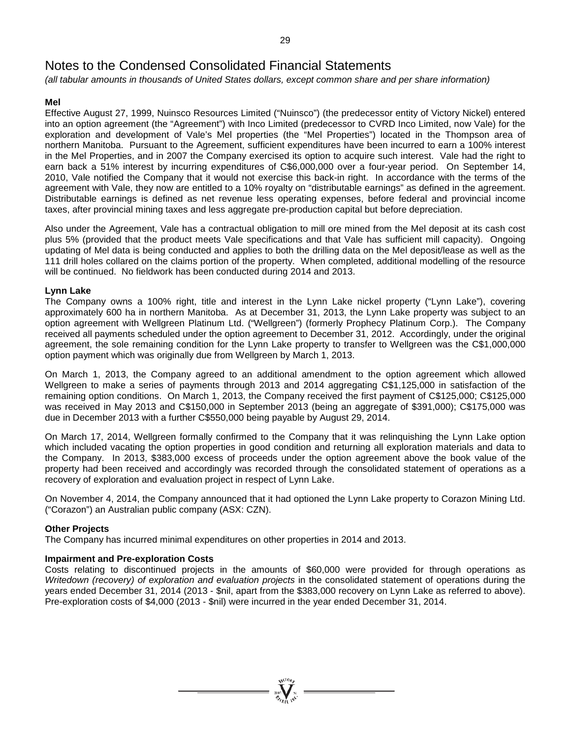*(all tabular amounts in thousands of United States dollars, except common share and per share information)*

### **Mel**

Effective August 27, 1999, Nuinsco Resources Limited ("Nuinsco") (the predecessor entity of Victory Nickel) entered into an option agreement (the "Agreement") with Inco Limited (predecessor to CVRD Inco Limited, now Vale) for the exploration and development of Vale's Mel properties (the "Mel Properties") located in the Thompson area of northern Manitoba. Pursuant to the Agreement, sufficient expenditures have been incurred to earn a 100% interest in the Mel Properties, and in 2007 the Company exercised its option to acquire such interest. Vale had the right to earn back a 51% interest by incurring expenditures of C\$6,000,000 over a four-year period. On September 14, 2010, Vale notified the Company that it would not exercise this back-in right. In accordance with the terms of the agreement with Vale, they now are entitled to a 10% royalty on "distributable earnings" as defined in the agreement. Distributable earnings is defined as net revenue less operating expenses, before federal and provincial income taxes, after provincial mining taxes and less aggregate pre-production capital but before depreciation.

Also under the Agreement, Vale has a contractual obligation to mill ore mined from the Mel deposit at its cash cost plus 5% (provided that the product meets Vale specifications and that Vale has sufficient mill capacity). Ongoing updating of Mel data is being conducted and applies to both the drilling data on the Mel deposit/lease as well as the 111 drill holes collared on the claims portion of the property. When completed, additional modelling of the resource will be continued. No fieldwork has been conducted during 2014 and 2013.

### **Lynn Lake**

The Company owns a 100% right, title and interest in the Lynn Lake nickel property ("Lynn Lake"), covering approximately 600 ha in northern Manitoba. As at December 31, 2013, the Lynn Lake property was subject to an option agreement with Wellgreen Platinum Ltd. ("Wellgreen") (formerly Prophecy Platinum Corp.). The Company received all payments scheduled under the option agreement to December 31, 2012. Accordingly, under the original agreement, the sole remaining condition for the Lynn Lake property to transfer to Wellgreen was the C\$1,000,000 option payment which was originally due from Wellgreen by March 1, 2013.

On March 1, 2013, the Company agreed to an additional amendment to the option agreement which allowed Wellgreen to make a series of payments through 2013 and 2014 aggregating C\$1,125,000 in satisfaction of the remaining option conditions. On March 1, 2013, the Company received the first payment of C\$125,000; C\$125,000 was received in May 2013 and C\$150,000 in September 2013 (being an aggregate of \$391,000); C\$175,000 was due in December 2013 with a further C\$550,000 being payable by August 29, 2014.

On March 17, 2014, Wellgreen formally confirmed to the Company that it was relinquishing the Lynn Lake option which included vacating the option properties in good condition and returning all exploration materials and data to the Company. In 2013, \$383,000 excess of proceeds under the option agreement above the book value of the property had been received and accordingly was recorded through the consolidated statement of operations as a recovery of exploration and evaluation project in respect of Lynn Lake.

On November 4, 2014, the Company announced that it had optioned the Lynn Lake property to Corazon Mining Ltd. ("Corazon") an Australian public company (ASX: CZN).

#### **Other Projects**

The Company has incurred minimal expenditures on other properties in 2014 and 2013.

#### **Impairment and Pre-exploration Costs**

Costs relating to discontinued projects in the amounts of \$60,000 were provided for through operations as *Writedown (recovery) of exploration and evaluation projects* in the consolidated statement of operations during the years ended December 31, 2014 (2013 - \$nil, apart from the \$383,000 recovery on Lynn Lake as referred to above). Pre-exploration costs of \$4,000 (2013 - \$nil) were incurred in the year ended December 31, 2014.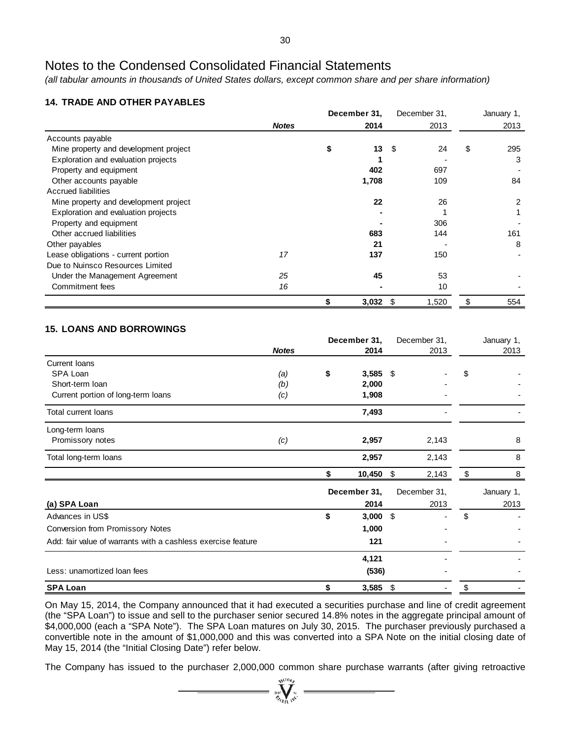*(all tabular amounts in thousands of United States dollars, except common share and per share information)*

## **14. TRADE AND OTHER PAYABLES**

|                                       |              |    | December 31,     |      | December 31, | January 1, |
|---------------------------------------|--------------|----|------------------|------|--------------|------------|
|                                       | <b>Notes</b> |    | 2014             |      | 2013         | 2013       |
| Accounts payable                      |              |    |                  |      |              |            |
| Mine property and development project |              | S  | 13 <sup>13</sup> | - \$ | 24           | \$<br>295  |
| Exploration and evaluation projects   |              |    |                  |      |              | 3          |
| Property and equipment                |              |    | 402              |      | 697          |            |
| Other accounts payable                |              |    | 1,708            |      | 109          | 84         |
| <b>Accrued liabilities</b>            |              |    |                  |      |              |            |
| Mine property and development project |              |    | 22               |      | 26           |            |
| Exploration and evaluation projects   |              |    |                  |      |              |            |
| Property and equipment                |              |    |                  |      | 306          |            |
| Other accrued liabilities             |              |    | 683              |      | 144          | 161        |
| Other payables                        |              |    | 21               |      |              | 8          |
| Lease obligations - current portion   | 17           |    | 137              |      | 150          |            |
| Due to Nuinsco Resources Limited      |              |    |                  |      |              |            |
| Under the Management Agreement        | 25           |    | 45               |      | 53           |            |
| Commitment fees                       | 16           |    |                  |      | 10           |            |
|                                       |              | \$ | 3,032            | - \$ | 1,520        | \$<br>554  |

# **15. LOANS AND BORROWINGS**

|                                                              |              | December 31,      |     | December 31,             | January 1, |
|--------------------------------------------------------------|--------------|-------------------|-----|--------------------------|------------|
|                                                              | <b>Notes</b> | 2014              |     | 2013                     | 2013       |
| Current Ioans                                                |              |                   |     |                          |            |
| SPA Loan                                                     | (a)          | \$<br>$3,585$ \$  |     |                          | \$         |
| Short-term loan                                              | (b)          | 2,000             |     |                          |            |
| Current portion of long-term loans                           | (c)          | 1,908             |     |                          |            |
| Total current loans                                          |              | 7,493             |     |                          |            |
| Long-term loans                                              |              |                   |     |                          |            |
| Promissory notes                                             | (c)          | 2,957             |     | 2,143                    | 8          |
| Total long-term loans                                        |              | 2,957             |     | 2,143                    | 8          |
|                                                              |              | \$<br>$10,450$ \$ |     | 2,143                    | \$<br>8    |
|                                                              |              | December 31,      |     | December 31,             | January 1, |
| (a) SPA Loan                                                 |              | 2014              |     | 2013                     | 2013       |
| Advances in US\$                                             |              | \$<br>$3,000$ \$  |     | $\overline{\phantom{a}}$ | \$         |
| Conversion from Promissory Notes                             |              | 1,000             |     |                          |            |
| Add: fair value of warrants with a cashless exercise feature |              | 121               |     |                          |            |
|                                                              |              | 4,121             |     |                          |            |
| Less: unamortized loan fees                                  |              | (536)             |     |                          |            |
| <b>SPA Loan</b>                                              |              | \$<br>3,585       | -\$ | ٠                        | \$         |

On May 15, 2014, the Company announced that it had executed a securities purchase and line of credit agreement (the "SPA Loan") to issue and sell to the purchaser senior secured 14.8% notes in the aggregate principal amount of \$4,000,000 (each a "SPA Note"). The SPA Loan matures on July 30, 2015. The purchaser previously purchased a convertible note in the amount of \$1,000,000 and this was converted into a SPA Note on the initial closing date of May 15, 2014 (the "Initial Closing Date") refer below.

The Company has issued to the purchaser 2,000,000 common share purchase warrants (after giving retroactive

suctory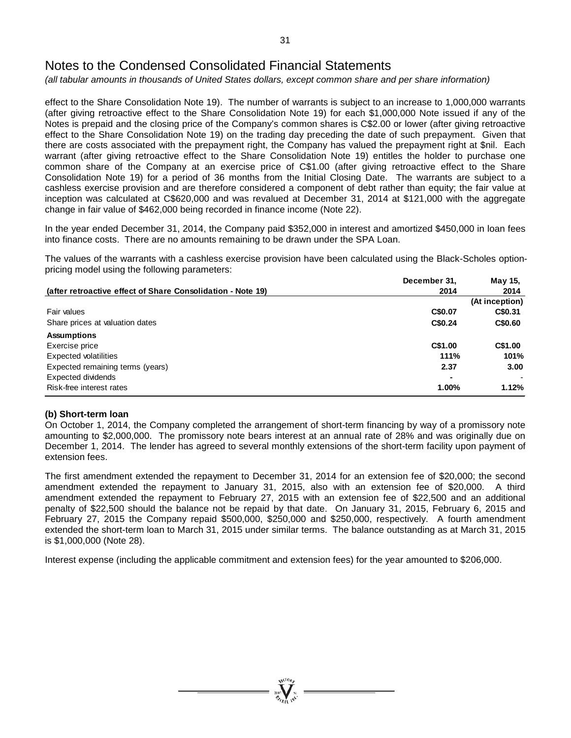*(all tabular amounts in thousands of United States dollars, except common share and per share information)*

effect to the Share Consolidation Note 19). The number of warrants is subject to an increase to 1,000,000 warrants (after giving retroactive effect to the Share Consolidation Note 19) for each \$1,000,000 Note issued if any of the Notes is prepaid and the closing price of the Company's common shares is C\$2.00 or lower (after giving retroactive effect to the Share Consolidation Note 19) on the trading day preceding the date of such prepayment. Given that there are costs associated with the prepayment right, the Company has valued the prepayment right at \$nil. Each warrant (after giving retroactive effect to the Share Consolidation Note 19) entitles the holder to purchase one common share of the Company at an exercise price of C\$1.00 (after giving retroactive effect to the Share Consolidation Note 19) for a period of 36 months from the Initial Closing Date. The warrants are subject to a cashless exercise provision and are therefore considered a component of debt rather than equity; the fair value at inception was calculated at C\$620,000 and was revalued at December 31, 2014 at \$121,000 with the aggregate change in fair value of \$462,000 being recorded in finance income (Note 22).

In the year ended December 31, 2014, the Company paid \$352,000 in interest and amortized \$450,000 in loan fees into finance costs. There are no amounts remaining to be drawn under the SPA Loan.

The values of the warrants with a cashless exercise provision have been calculated using the Black-Scholes optionpricing model using the following parameters:

|                                                                                                                                                                                                                                                                      | December 31, | May 15,        |
|----------------------------------------------------------------------------------------------------------------------------------------------------------------------------------------------------------------------------------------------------------------------|--------------|----------------|
| (after retroactive effect of Share Consolidation - Note 19)<br>Fair values<br>Share prices at valuation dates<br><b>Assumptions</b><br>Exercise price<br>Expected volatilities<br>Expected remaining terms (years)<br>Expected dividends<br>Risk-free interest rates | 2014         | 2014           |
|                                                                                                                                                                                                                                                                      |              | (At inception) |
|                                                                                                                                                                                                                                                                      | C\$0.07      | C\$0.31        |
|                                                                                                                                                                                                                                                                      | C\$0.24      | C\$0.60        |
|                                                                                                                                                                                                                                                                      |              |                |
|                                                                                                                                                                                                                                                                      | C\$1.00      | C\$1.00        |
|                                                                                                                                                                                                                                                                      | 111%         | 101%           |
|                                                                                                                                                                                                                                                                      | 2.37         | 3.00           |
|                                                                                                                                                                                                                                                                      |              |                |
|                                                                                                                                                                                                                                                                      | 1.00%        | 1.12%          |

#### **(b) Short-term loan**

On October 1, 2014, the Company completed the arrangement of short-term financing by way of a promissory note amounting to \$2,000,000. The promissory note bears interest at an annual rate of 28% and was originally due on December 1, 2014. The lender has agreed to several monthly extensions of the short-term facility upon payment of extension fees.

The first amendment extended the repayment to December 31, 2014 for an extension fee of \$20,000; the second amendment extended the repayment to January 31, 2015, also with an extension fee of \$20,000. A third amendment extended the repayment to February 27, 2015 with an extension fee of \$22,500 and an additional penalty of \$22,500 should the balance not be repaid by that date. On January 31, 2015, February 6, 2015 and February 27, 2015 the Company repaid \$500,000, \$250,000 and \$250,000, respectively. A fourth amendment extended the short-term loan to March 31, 2015 under similar terms. The balance outstanding as at March 31, 2015 is \$1,000,000 (Note 28).

Interest expense (including the applicable commitment and extension fees) for the year amounted to \$206,000.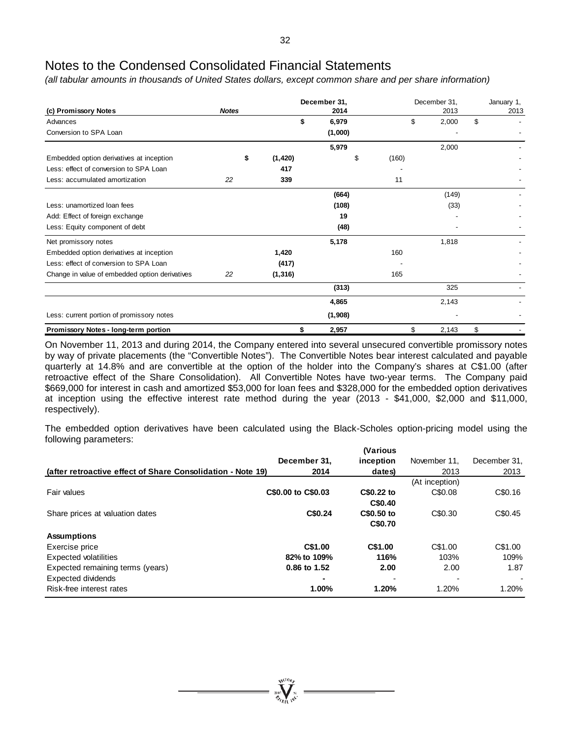*(all tabular amounts in thousands of United States dollars, except common share and per share information)*

|                                                |              |    | December 31, |             | December 31, |      | January 1,<br>2013 |    |  |
|------------------------------------------------|--------------|----|--------------|-------------|--------------|------|--------------------|----|--|
| (c) Promissory Notes                           | <b>Notes</b> |    |              | 2014        |              | 2013 |                    |    |  |
| Advances                                       |              |    |              | \$<br>6,979 |              | \$   | 2,000              | \$ |  |
| Conversion to SPA Loan                         |              |    |              | (1,000)     |              |      |                    |    |  |
|                                                |              |    |              | 5,979       |              |      | 2,000              |    |  |
| Embedded option derivatives at inception       |              | \$ | (1, 420)     | \$          | (160)        |      |                    |    |  |
| Less: effect of conversion to SPA Loan         |              |    | 417          |             |              |      |                    |    |  |
| Less: accumulated amortization                 | 22           |    | 339          |             | 11           |      |                    |    |  |
|                                                |              |    |              | (664)       |              |      | (149)              |    |  |
| Less: unamortized loan fees                    |              |    |              | (108)       |              |      | (33)               |    |  |
| Add: Effect of foreign exchange                |              |    |              | 19          |              |      |                    |    |  |
| Less: Equity component of debt                 |              |    |              | (48)        |              |      |                    |    |  |
| Net promissory notes                           |              |    |              | 5,178       |              |      | 1,818              |    |  |
| Embedded option derivatives at inception       |              |    | 1,420        |             | 160          |      |                    |    |  |
| Less: effect of conversion to SPA Loan         |              |    | (417)        |             |              |      |                    |    |  |
| Change in value of embedded option derivatives | 22           |    | (1, 316)     |             | 165          |      |                    |    |  |
|                                                |              |    |              | (313)       |              |      | 325                |    |  |
|                                                |              |    |              | 4,865       |              |      | 2,143              |    |  |
| Less: current portion of promissory notes      |              |    |              | (1,908)     |              |      |                    |    |  |
| Promissory Notes - long-term portion           |              |    | \$           | 2,957       |              | \$   | 2,143              | \$ |  |

On November 11, 2013 and during 2014, the Company entered into several unsecured convertible promissory notes by way of private placements (the "Convertible Notes"). The Convertible Notes bear interest calculated and payable quarterly at 14.8% and are convertible at the option of the holder into the Company's shares at C\$1.00 (after retroactive effect of the Share Consolidation). All Convertible Notes have two-year terms. The Company paid \$669,000 for interest in cash and amortized \$53,000 for loan fees and \$328,000 for the embedded option derivatives at inception using the effective interest rate method during the year (2013 - \$41,000, \$2,000 and \$11,000, respectively).

The embedded option derivatives have been calculated using the Black-Scholes option-pricing model using the following parameters:

|                                                             |                    | <i><b>Narious</b></i> |                |              |
|-------------------------------------------------------------|--------------------|-----------------------|----------------|--------------|
|                                                             | December 31,       | inception             | November 11.   | December 31, |
| (after retroactive effect of Share Consolidation - Note 19) | 2014               | dates)                | 2013           | 2013         |
|                                                             |                    |                       | (At inception) |              |
| Fair values                                                 | C\$0.00 to C\$0.03 | C\$0.22 to            | C\$0.08        | C\$0.16      |
|                                                             |                    | C\$0.40               |                |              |
| Share prices at valuation dates                             | C\$0.24            | C\$0.50 to            | C\$0.30        | C\$0.45      |
|                                                             |                    | C\$0.70               |                |              |
| <b>Assumptions</b>                                          |                    |                       |                |              |
| Exercise price                                              | C\$1.00            | C\$1.00               | C\$1.00        | C\$1.00      |
| <b>Expected volatilities</b>                                | 82% to 109%        | 116%                  | 103%           | 109%         |
| Expected remaining terms (years)                            | 0.86 to 1.52       | 2.00                  | 2.00           | 1.87         |
| <b>Expected dividends</b>                                   |                    |                       |                | $\sim$       |
| Risk-free interest rates                                    | 1.00%              | 1.20%                 | 1.20%          | 1.20%        |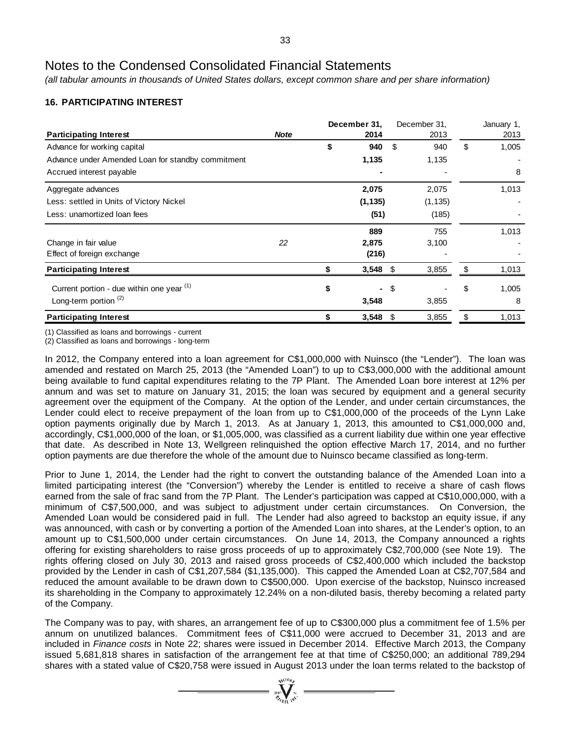*(all tabular amounts in thousands of United States dollars, except common share and per share information)*

# **16. PARTICIPATING INTEREST**

|                                                   | December 31, |    |            |      | December 31, | January 1,  |  |
|---------------------------------------------------|--------------|----|------------|------|--------------|-------------|--|
| <b>Participating Interest</b>                     | <b>Note</b>  |    | 2014       |      | 2013         | 2013        |  |
| Advance for working capital                       |              | \$ | 940        | \$   | 940          | \$<br>1,005 |  |
| Advance under Amended Loan for standby commitment |              |    | 1,135      |      | 1,135        |             |  |
| Accrued interest payable                          |              |    |            |      |              | 8           |  |
| Aggregate advances                                |              |    | 2,075      |      | 2,075        | 1,013       |  |
| Less: settled in Units of Victory Nickel          |              |    | (1, 135)   |      | (1, 135)     |             |  |
| Less: unamortized loan fees                       |              |    | (51)       |      | (185)        |             |  |
|                                                   |              |    | 889        |      | 755          | 1,013       |  |
| Change in fair value                              | 22           |    | 2,875      |      | 3,100        |             |  |
| Effect of foreign exchange                        |              |    | (216)      |      |              |             |  |
| <b>Participating Interest</b>                     |              | S  | $3,548$ \$ |      | 3,855        | \$<br>1,013 |  |
| Current portion - due within one year (1)         |              | \$ |            | - \$ |              | \$<br>1,005 |  |
| Long-term portion $(2)$                           |              |    | 3,548      |      | 3,855        | 8           |  |
| <b>Participating Interest</b>                     |              |    | 3,548      | -S   | 3,855        | \$<br>1,013 |  |

(1) Classified as loans and borrowings - current

(2) Classified as loans and borrowings - long-term

In 2012, the Company entered into a loan agreement for C\$1,000,000 with Nuinsco (the "Lender"). The loan was amended and restated on March 25, 2013 (the "Amended Loan") to up to C\$3,000,000 with the additional amount being available to fund capital expenditures relating to the 7P Plant. The Amended Loan bore interest at 12% per annum and was set to mature on January 31, 2015; the loan was secured by equipment and a general security agreement over the equipment of the Company. At the option of the Lender, and under certain circumstances, the Lender could elect to receive prepayment of the loan from up to C\$1,000,000 of the proceeds of the Lynn Lake option payments originally due by March 1, 2013. As at January 1, 2013, this amounted to C\$1,000,000 and, accordingly, C\$1,000,000 of the loan, or \$1,005,000, was classified as a current liability due within one year effective that date. As described in Note 13, Wellgreen relinquished the option effective March 17, 2014, and no further option payments are due therefore the whole of the amount due to Nuinsco became classified as long-term.

Prior to June 1, 2014, the Lender had the right to convert the outstanding balance of the Amended Loan into a limited participating interest (the "Conversion") whereby the Lender is entitled to receive a share of cash flows earned from the sale of frac sand from the 7P Plant. The Lender's participation was capped at C\$10,000,000, with a minimum of C\$7,500,000, and was subject to adjustment under certain circumstances. On Conversion, the Amended Loan would be considered paid in full. The Lender had also agreed to backstop an equity issue, if any was announced, with cash or by converting a portion of the Amended Loan into shares, at the Lender's option, to an amount up to C\$1,500,000 under certain circumstances. On June 14, 2013, the Company announced a rights offering for existing shareholders to raise gross proceeds of up to approximately C\$2,700,000 (see Note 19). The rights offering closed on July 30, 2013 and raised gross proceeds of C\$2,400,000 which included the backstop provided by the Lender in cash of C\$1,207,584 (\$1,135,000). This capped the Amended Loan at C\$2,707,584 and reduced the amount available to be drawn down to C\$500,000. Upon exercise of the backstop, Nuinsco increased its shareholding in the Company to approximately 12.24% on a non-diluted basis, thereby becoming a related party of the Company.

The Company was to pay, with shares, an arrangement fee of up to C\$300,000 plus a commitment fee of 1.5% per annum on unutilized balances. Commitment fees of C\$11,000 were accrued to December 31, 2013 and are included in *Finance costs* in Note 22; shares were issued in December 2014. Effective March 2013, the Company issued 5,681,818 shares in satisfaction of the arrangement fee at that time of C\$250,000; an additional 789,294 shares with a stated value of C\$20,758 were issued in August 2013 under the loan terms related to the backstop of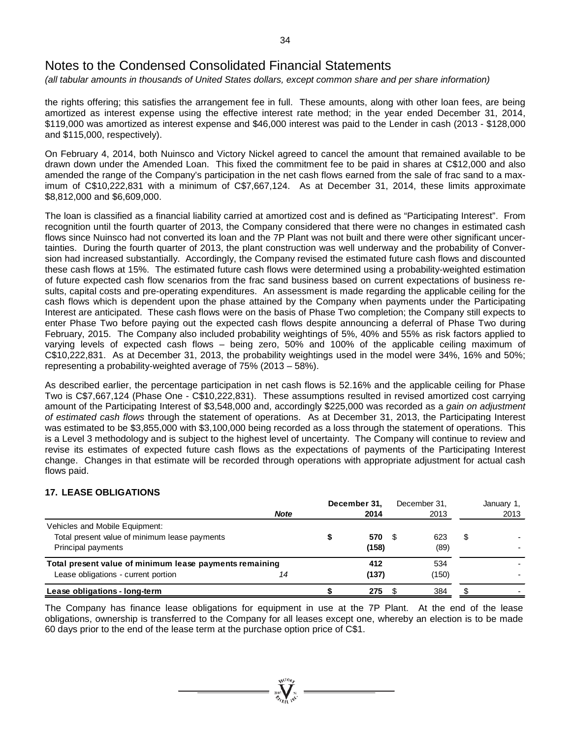*(all tabular amounts in thousands of United States dollars, except common share and per share information)*

the rights offering; this satisfies the arrangement fee in full. These amounts, along with other loan fees, are being amortized as interest expense using the effective interest rate method; in the year ended December 31, 2014, \$119,000 was amortized as interest expense and \$46,000 interest was paid to the Lender in cash (2013 - \$128,000 and \$115,000, respectively).

On February 4, 2014, both Nuinsco and Victory Nickel agreed to cancel the amount that remained available to be drawn down under the Amended Loan. This fixed the commitment fee to be paid in shares at C\$12,000 and also amended the range of the Company's participation in the net cash flows earned from the sale of frac sand to a maximum of C\$10,222,831 with a minimum of C\$7,667,124. As at December 31, 2014, these limits approximate \$8,812,000 and \$6,609,000.

The loan is classified as a financial liability carried at amortized cost and is defined as "Participating Interest". From recognition until the fourth quarter of 2013, the Company considered that there were no changes in estimated cash flows since Nuinsco had not converted its loan and the 7P Plant was not built and there were other significant uncertainties. During the fourth quarter of 2013, the plant construction was well underway and the probability of Conversion had increased substantially. Accordingly, the Company revised the estimated future cash flows and discounted these cash flows at 15%. The estimated future cash flows were determined using a probability-weighted estimation of future expected cash flow scenarios from the frac sand business based on current expectations of business results, capital costs and pre-operating expenditures. An assessment is made regarding the applicable ceiling for the cash flows which is dependent upon the phase attained by the Company when payments under the Participating Interest are anticipated. These cash flows were on the basis of Phase Two completion; the Company still expects to enter Phase Two before paying out the expected cash flows despite announcing a deferral of Phase Two during February, 2015. The Company also included probability weightings of 5%, 40% and 55% as risk factors applied to varying levels of expected cash flows – being zero, 50% and 100% of the applicable ceiling maximum of C\$10,222,831. As at December 31, 2013, the probability weightings used in the model were 34%, 16% and 50%; representing a probability-weighted average of 75% (2013 – 58%).

As described earlier, the percentage participation in net cash flows is 52.16% and the applicable ceiling for Phase Two is C\$7,667,124 (Phase One - C\$10,222,831). These assumptions resulted in revised amortized cost carrying amount of the Participating Interest of \$3,548,000 and, accordingly \$225,000 was recorded as a *gain on adjustment of estimated cash flows* through the statement of operations. As at December 31, 2013, the Participating Interest was estimated to be \$3,855,000 with \$3,100,000 being recorded as a loss through the statement of operations. This is a Level 3 methodology and is subject to the highest level of uncertainty. The Company will continue to review and revise its estimates of expected future cash flows as the expectations of payments of the Participating Interest change. Changes in that estimate will be recorded through operations with appropriate adjustment for actual cash flows paid.

### **17. LEASE OBLIGATIONS**

|                                                         |             | December 31. |     | December 31, |   | January 1, |
|---------------------------------------------------------|-------------|--------------|-----|--------------|---|------------|
|                                                         | <b>Note</b> | 2014         |     | 2013         |   | 2013       |
| Vehicles and Mobile Equipment:                          |             |              |     |              |   |            |
| Total present value of minimum lease payments           |             | 570          | \$. | 623          | S |            |
| Principal payments                                      |             | (158)        |     | (89)         |   |            |
| Total present value of minimum lease payments remaining |             | 412          |     | 534          |   |            |
| Lease obligations - current portion                     | 14          | (137)        |     | (150)        |   |            |
| Lease obligations - long-term                           |             | 275          |     | 384          |   |            |

The Company has finance lease obligations for equipment in use at the 7P Plant. At the end of the lease obligations, ownership is transferred to the Company for all leases except one, whereby an election is to be made 60 days prior to the end of the lease term at the purchase option price of C\$1.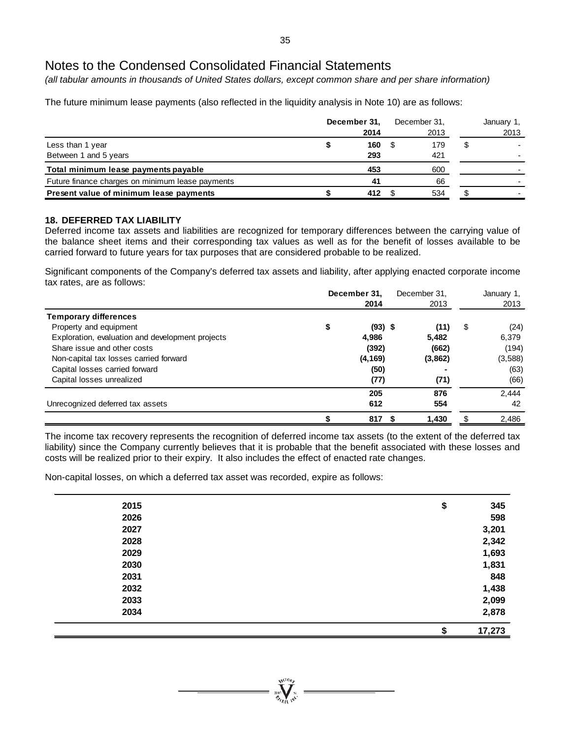*(all tabular amounts in thousands of United States dollars, except common share and per share information)*

The future minimum lease payments (also reflected in the liquidity analysis in Note 10) are as follows:

|                                                  | December 31.<br>2014 |   | December 31,<br>2013 |   | January 1,<br>2013 |
|--------------------------------------------------|----------------------|---|----------------------|---|--------------------|
| Less than 1 year                                 | 160                  | S | 179                  | Ъ |                    |
| Between 1 and 5 years                            | 293                  |   | 421                  |   |                    |
| Total minimum lease payments payable             | 453                  |   | 600                  |   |                    |
| Future finance charges on minimum lease payments | 41                   |   | 66                   |   |                    |
| Present value of minimum lease payments          | 412                  |   | 534                  |   |                    |

### **18. DEFERRED TAX LIABILITY**

Deferred income tax assets and liabilities are recognized for temporary differences between the carrying value of the balance sheet items and their corresponding tax values as well as for the benefit of losses available to be carried forward to future years for tax purposes that are considered probable to be realized.

Significant components of the Company's deferred tax assets and liability, after applying enacted corporate income tax rates, are as follows:

|                                                  | December 31, | December 31, |         | January 1, |         |
|--------------------------------------------------|--------------|--------------|---------|------------|---------|
|                                                  |              | 2014         | 2013    |            | 2013    |
| <b>Temporary differences</b>                     |              |              |         |            |         |
| Property and equipment                           | \$           | $(93)$ \$    | (11)    | \$         | (24)    |
| Exploration, evaluation and development projects |              | 4,986        | 5,482   |            | 6.379   |
| Share issue and other costs                      |              | (392)        | (662)   |            | (194)   |
| Non-capital tax losses carried forward           |              | (4, 169)     | (3,862) |            | (3,588) |
| Capital losses carried forward                   |              | (50)         |         |            | (63)    |
| Capital losses unrealized                        |              | (77)         | (71)    |            | (66)    |
|                                                  |              | 205          | 876     |            | 2.444   |
| Unrecognized deferred tax assets                 |              | 612          | 554     |            | 42      |
|                                                  |              | 817          | 1,430   | S          | 2.486   |

The income tax recovery represents the recognition of deferred income tax assets (to the extent of the deferred tax liability) since the Company currently believes that it is probable that the benefit associated with these losses and costs will be realized prior to their expiry. It also includes the effect of enacted rate changes.

Non-capital losses, on which a deferred tax asset was recorded, expire as follows:

| 2015 | \$<br>345    |
|------|--------------|
| 2026 | 598          |
| 2027 | 3,201        |
| 2028 | 2,342        |
| 2029 | 1,693        |
| 2030 | 1,831        |
| 2031 | 848          |
| 2032 | 1,438        |
| 2033 | 2,099        |
| 2034 | 2,878        |
|      | 17,273<br>\$ |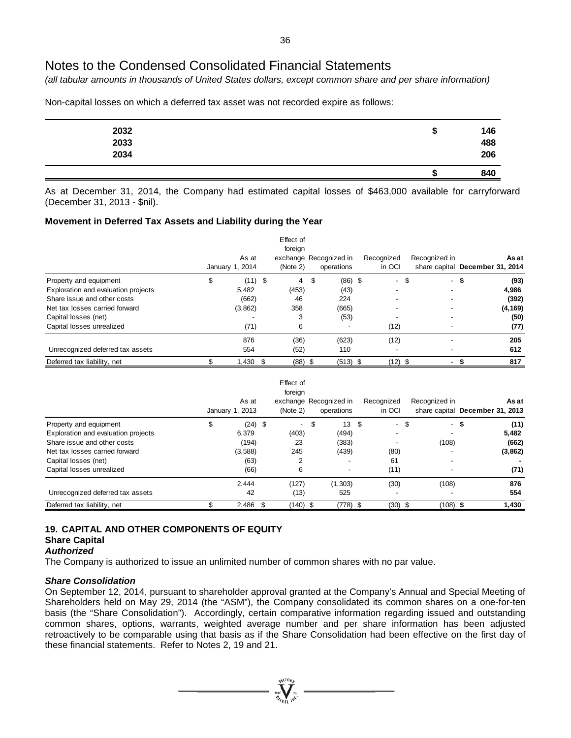*(all tabular amounts in thousands of United States dollars, except common share and per share information)*

Non-capital losses on which a deferred tax asset was not recorded expire as follows:

| 2032 | Ð | 146<br>488 |
|------|---|------------|
| 2033 |   |            |
| 2034 |   | 206        |
|      |   | 840        |

As at December 31, 2014, the Company had estimated capital losses of \$463,000 available for carryforward (December 31, 2013 - \$nil).

### **Movement in Deferred Tax Assets and Liability during the Year**

|                                     | As at<br>January 1, 2014 | Effect of<br>foreign<br>(Note 2) | exchange Recognized in<br>operations | Recognized<br>in OCI |      | Recognized in            |      | As at<br>share capital December 31, 2014 |
|-------------------------------------|--------------------------|----------------------------------|--------------------------------------|----------------------|------|--------------------------|------|------------------------------------------|
| Property and equipment              | \$<br>$(11)$ \$          | 4                                | \$<br>$(86)$ \$                      |                      | - \$ |                          | - \$ | (93)                                     |
| Exploration and evaluation projects | 5,482                    | (453)                            | (43)                                 |                      |      |                          |      | 4,986                                    |
| Share issue and other costs         | (662)                    | 46                               | 224                                  |                      |      | $\overline{\phantom{a}}$ |      | (392)                                    |
| Net tax losses carried forward      | (3,862)                  | 358                              | (665)                                |                      |      | $\overline{\phantom{a}}$ |      | (4, 169)                                 |
| Capital losses (net)                |                          | 3                                | (53)                                 |                      |      |                          |      | (50)                                     |
| Capital losses unrealized           | (71)                     | 6                                |                                      | (12)                 |      |                          |      | (77)                                     |
|                                     | 876                      | (36)                             | (623)                                | (12)                 |      |                          |      | 205                                      |
| Unrecognized deferred tax assets    | 554                      | (52)                             | 110                                  |                      |      |                          |      | 612                                      |
| Deferred tax liability, net         | 1,430                    | $(88)$ \$                        | $(513)$ \$                           | (12)                 | \$   | $\sim$                   |      | 817                                      |

|                                     |   | As at<br>January 1, 2013 |    | Effect of<br>foreign<br>(Note 2) | exchange Recognized in<br>operations | Recognized<br>in OCI |      | Recognized in | As at<br>share capital December 31, 2013 |
|-------------------------------------|---|--------------------------|----|----------------------------------|--------------------------------------|----------------------|------|---------------|------------------------------------------|
| Property and equipment              | S | $(24)$ \$                |    | $\overline{\phantom{0}}$         | \$<br>13S                            |                      | - \$ | - S           | (11)                                     |
| Exploration and evaluation projects |   | 6,379                    |    | (403)                            | (494)                                |                      |      |               | 5,482                                    |
| Share issue and other costs         |   | (194)                    |    | 23                               | (383)                                |                      |      | (108)         | (662)                                    |
| Net tax losses carried forward      |   | (3,588)                  |    | 245                              | (439)                                | (80)                 |      |               | (3,862)                                  |
| Capital losses (net)                |   | (63)                     |    |                                  | $\overline{\phantom{0}}$             | 61                   |      |               |                                          |
| Capital losses unrealized           |   | (66)                     |    | 6                                | -                                    | (11)                 |      | -             | (71)                                     |
|                                     |   | 2.444                    |    | (127)                            | (1,303)                              | (30)                 |      | (108)         | 876                                      |
| Unrecognized deferred tax assets    |   | 42                       |    | (13)                             | 525                                  |                      |      |               | 554                                      |
| Deferred tax liability, net         |   | 2,486                    | -S | (140) \$                         | (778) \$                             | (30)                 | - \$ | (108) \$      | 1,430                                    |

### **19. CAPITAL AND OTHER COMPONENTS OF EQUITY Share Capital**

#### *Authorized*

The Company is authorized to issue an unlimited number of common shares with no par value.

#### *Share Consolidation*

On September 12, 2014, pursuant to shareholder approval granted at the Company's Annual and Special Meeting of Shareholders held on May 29, 2014 (the "ASM"), the Company consolidated its common shares on a one-for-ten basis (the "Share Consolidation"). Accordingly, certain comparative information regarding issued and outstanding common shares, options, warrants, weighted average number and per share information has been adjusted retroactively to be comparable using that basis as if the Share Consolidation had been effective on the first day of these financial statements. Refer to Notes 2, 19 and 21.

 $\sum_{n=1}^{N_{\text{GLO},p}}$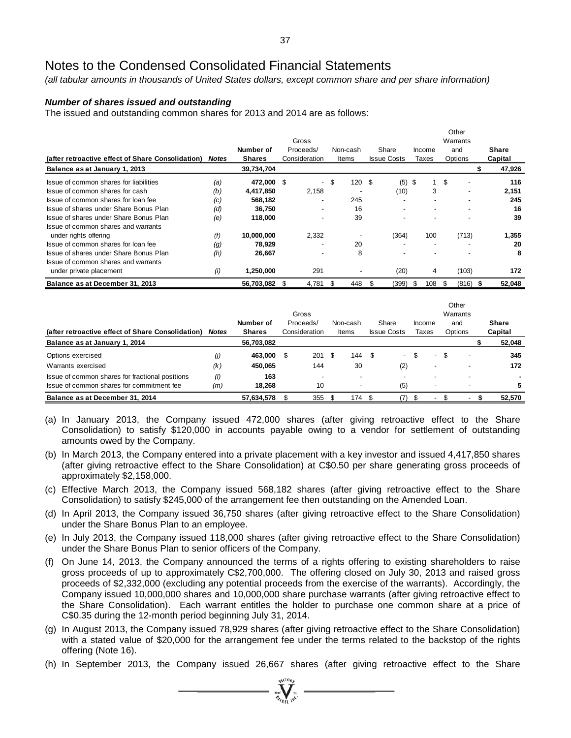*(all tabular amounts in thousands of United States dollars, except common share and per share information)*

### *Number of shares issued and outstanding*

The issued and outstanding common shares for 2013 and 2014 are as follows:

|                                                   |              | Gross         |   |                          |      |          |      | Other<br>Warrants  |    |                          |    |                |  |         |
|---------------------------------------------------|--------------|---------------|---|--------------------------|------|----------|------|--------------------|----|--------------------------|----|----------------|--|---------|
|                                                   |              | Number of     |   | Proceeds/                |      | Non-cash |      | Share              |    | Income                   |    | and            |  | Share   |
| (after retroactive effect of Share Consolidation) | <b>Notes</b> | <b>Shares</b> |   | Consideration            |      | Items    |      | <b>Issue Costs</b> |    | Taxes                    |    | Options        |  | Capital |
| Balance as at January 1, 2013                     |              | 39,734,704    |   |                          |      |          |      |                    |    |                          |    |                |  | 47,926  |
| Issue of common shares for liabilities            | (a)          | 472,000       | S | $\overline{\phantom{a}}$ | \$   | 120      | - \$ | (5)                | \$ | 1                        | \$ | $\blacksquare$ |  | 116     |
| Issue of common shares for cash                   | (b)          | 4,417,850     |   | 2,158                    |      |          |      | (10)               |    | 3                        |    | -              |  | 2,151   |
| Issue of common shares for loan fee               | (c)          | 568,182       |   |                          |      | 245      |      |                    |    | $\overline{\phantom{a}}$ |    |                |  | 245     |
| Issue of shares under Share Bonus Plan            | (d)          | 36,750        |   |                          |      | 16       |      |                    |    |                          |    |                |  | 16      |
| Issue of shares under Share Bonus Plan            | (e)          | 118,000       |   |                          |      | 39       |      |                    |    |                          |    |                |  | 39      |
| Issue of common shares and warrants               |              |               |   |                          |      |          |      |                    |    |                          |    |                |  |         |
| under rights offering                             | (f)          | 10,000,000    |   | 2,332                    |      |          |      | (364)              |    | 100                      |    | (713)          |  | 1,355   |
| Issue of common shares for loan fee               | (g)          | 78,929        |   |                          |      | 20       |      |                    |    | $\overline{\phantom{a}}$ |    |                |  | 20      |
| Issue of shares under Share Bonus Plan            | (h)          | 26,667        |   |                          |      | 8        |      |                    |    |                          |    |                |  | 8       |
| Issue of common shares and warrants               |              |               |   |                          |      |          |      |                    |    |                          |    |                |  |         |
| under private placement                           | (i)          | 1,250,000     |   | 291                      |      |          |      | (20)               |    | 4                        |    | (103)          |  | 172     |
| Balance as at December 31, 2013                   |              | 56,703,082    | S | 4,781                    | - \$ | 448      | \$   | (399)              | \$ | 108                      | S  | $(816)$ \$     |  | 52,048  |

|                                                   | Gross        |                            |  |                            |      |                   | Other<br>Warrants |                             |                          |    |                          |  |                  |
|---------------------------------------------------|--------------|----------------------------|--|----------------------------|------|-------------------|-------------------|-----------------------------|--------------------------|----|--------------------------|--|------------------|
| (after retroactive effect of Share Consolidation) | <b>Notes</b> | Number of<br><b>Shares</b> |  | Proceeds/<br>Consideration |      | Non-cash<br>Items |                   | Share<br><b>Issue Costs</b> | Income<br>Taxes          |    | and<br>Options           |  | Share<br>Capital |
| Balance as at January 1, 2014                     |              | 56,703,082                 |  |                            |      |                   |                   |                             |                          |    |                          |  | 52,048           |
| Options exercised                                 | (j)          | 463.000                    |  | 201                        | - \$ | 144               | - \$              | $\overline{\phantom{0}}$    | $\sim$                   | \$ | $\overline{\phantom{a}}$ |  | 345              |
| Warrants exercised                                | (k)          | 450.065                    |  | 144                        |      | 30                |                   | (2)                         | $\overline{\phantom{0}}$ |    | $\overline{\phantom{a}}$ |  | 172              |
| Issue of common shares for fractional positions   | (1)          | 163                        |  |                            |      |                   |                   |                             |                          |    |                          |  |                  |
| Issue of common shares for commitment fee         | (m)          | 18.268                     |  | 10                         |      |                   |                   | (5)                         |                          |    |                          |  | 5                |
| Balance as at December 31, 2014                   |              | 57,634,578                 |  | 355                        |      | 174S              |                   |                             | $\overline{\phantom{0}}$ |    | $\overline{\phantom{a}}$ |  | 52.570           |

- (a) In January 2013, the Company issued 472,000 shares (after giving retroactive effect to the Share Consolidation) to satisfy \$120,000 in accounts payable owing to a vendor for settlement of outstanding amounts owed by the Company.
- (b) In March 2013, the Company entered into a private placement with a key investor and issued 4,417,850 shares (after giving retroactive effect to the Share Consolidation) at C\$0.50 per share generating gross proceeds of approximately \$2,158,000.
- (c) Effective March 2013, the Company issued 568,182 shares (after giving retroactive effect to the Share Consolidation) to satisfy \$245,000 of the arrangement fee then outstanding on the Amended Loan.
- (d) In April 2013, the Company issued 36,750 shares (after giving retroactive effect to the Share Consolidation) under the Share Bonus Plan to an employee.
- (e) In July 2013, the Company issued 118,000 shares (after giving retroactive effect to the Share Consolidation) under the Share Bonus Plan to senior officers of the Company.
- (f) On June 14, 2013, the Company announced the terms of a rights offering to existing shareholders to raise gross proceeds of up to approximately C\$2,700,000. The offering closed on July 30, 2013 and raised gross proceeds of \$2,332,000 (excluding any potential proceeds from the exercise of the warrants). Accordingly, the Company issued 10,000,000 shares and 10,000,000 share purchase warrants (after giving retroactive effect to the Share Consolidation). Each warrant entitles the holder to purchase one common share at a price of C\$0.35 during the 12-month period beginning July 31, 2014.
- (g) In August 2013, the Company issued 78,929 shares (after giving retroactive effect to the Share Consolidation) with a stated value of \$20,000 for the arrangement fee under the terms related to the backstop of the rights offering (Note 16).
- (h) In September 2013, the Company issued 26,667 shares (after giving retroactive effect to the Share

 $\sum_{i=1}^{N^{(10)}_{\text{max}}}$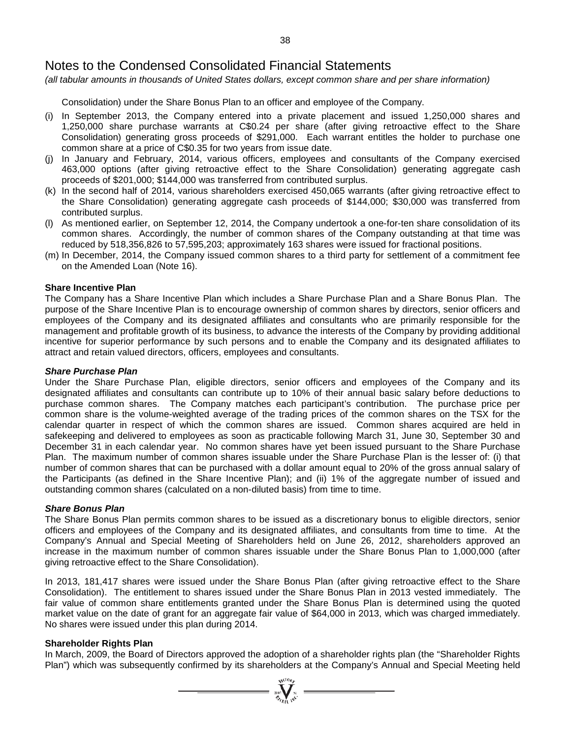*(all tabular amounts in thousands of United States dollars, except common share and per share information)*

Consolidation) under the Share Bonus Plan to an officer and employee of the Company.

- (i) In September 2013, the Company entered into a private placement and issued 1,250,000 shares and 1,250,000 share purchase warrants at C\$0.24 per share (after giving retroactive effect to the Share Consolidation) generating gross proceeds of \$291,000. Each warrant entitles the holder to purchase one common share at a price of C\$0.35 for two years from issue date.
- (j) In January and February, 2014, various officers, employees and consultants of the Company exercised 463,000 options (after giving retroactive effect to the Share Consolidation) generating aggregate cash proceeds of \$201,000; \$144,000 was transferred from contributed surplus.
- (k) In the second half of 2014, various shareholders exercised 450,065 warrants (after giving retroactive effect to the Share Consolidation) generating aggregate cash proceeds of \$144,000; \$30,000 was transferred from contributed surplus.
- (l) As mentioned earlier, on September 12, 2014, the Company undertook a one-for-ten share consolidation of its common shares. Accordingly, the number of common shares of the Company outstanding at that time was reduced by 518,356,826 to 57,595,203; approximately 163 shares were issued for fractional positions.
- (m) In December, 2014, the Company issued common shares to a third party for settlement of a commitment fee on the Amended Loan (Note 16).

## **Share Incentive Plan**

The Company has a Share Incentive Plan which includes a Share Purchase Plan and a Share Bonus Plan. The purpose of the Share Incentive Plan is to encourage ownership of common shares by directors, senior officers and employees of the Company and its designated affiliates and consultants who are primarily responsible for the management and profitable growth of its business, to advance the interests of the Company by providing additional incentive for superior performance by such persons and to enable the Company and its designated affiliates to attract and retain valued directors, officers, employees and consultants.

#### *Share Purchase Plan*

Under the Share Purchase Plan, eligible directors, senior officers and employees of the Company and its designated affiliates and consultants can contribute up to 10% of their annual basic salary before deductions to purchase common shares. The Company matches each participant's contribution. The purchase price per common share is the volume-weighted average of the trading prices of the common shares on the TSX for the calendar quarter in respect of which the common shares are issued. Common shares acquired are held in safekeeping and delivered to employees as soon as practicable following March 31, June 30, September 30 and December 31 in each calendar year. No common shares have yet been issued pursuant to the Share Purchase Plan. The maximum number of common shares issuable under the Share Purchase Plan is the lesser of: (i) that number of common shares that can be purchased with a dollar amount equal to 20% of the gross annual salary of the Participants (as defined in the Share Incentive Plan); and (ii) 1% of the aggregate number of issued and outstanding common shares (calculated on a non-diluted basis) from time to time.

#### *Share Bonus Plan*

The Share Bonus Plan permits common shares to be issued as a discretionary bonus to eligible directors, senior officers and employees of the Company and its designated affiliates, and consultants from time to time. At the Company's Annual and Special Meeting of Shareholders held on June 26, 2012, shareholders approved an increase in the maximum number of common shares issuable under the Share Bonus Plan to 1,000,000 (after giving retroactive effect to the Share Consolidation).

In 2013, 181,417 shares were issued under the Share Bonus Plan (after giving retroactive effect to the Share Consolidation). The entitlement to shares issued under the Share Bonus Plan in 2013 vested immediately. The fair value of common share entitlements granted under the Share Bonus Plan is determined using the quoted market value on the date of grant for an aggregate fair value of \$64,000 in 2013, which was charged immediately. No shares were issued under this plan during 2014.

#### **Shareholder Rights Plan**

In March, 2009, the Board of Directors approved the adoption of a shareholder rights plan (the "Shareholder Rights Plan") which was subsequently confirmed by its shareholders at the Company's Annual and Special Meeting held

 $\sum_{\alpha=1}^{\text{NCIO}}$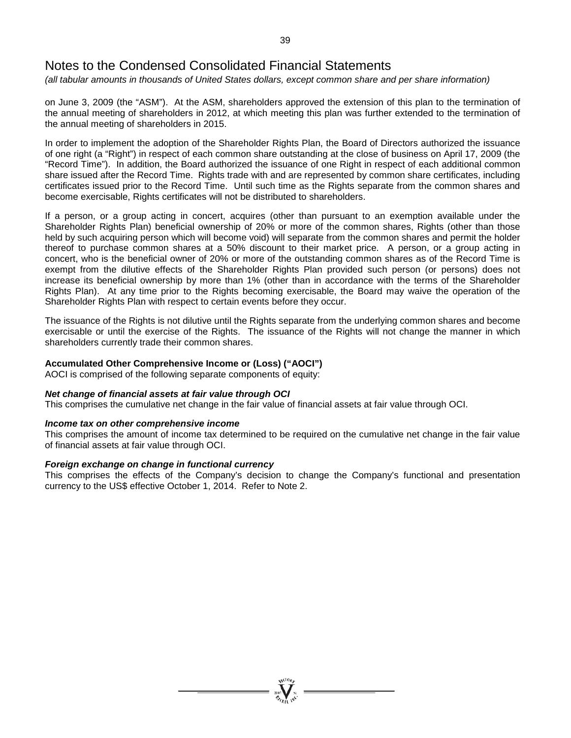*(all tabular amounts in thousands of United States dollars, except common share and per share information)*

on June 3, 2009 (the "ASM"). At the ASM, shareholders approved the extension of this plan to the termination of the annual meeting of shareholders in 2012, at which meeting this plan was further extended to the termination of the annual meeting of shareholders in 2015.

In order to implement the adoption of the Shareholder Rights Plan, the Board of Directors authorized the issuance of one right (a "Right") in respect of each common share outstanding at the close of business on April 17, 2009 (the "Record Time"). In addition, the Board authorized the issuance of one Right in respect of each additional common share issued after the Record Time. Rights trade with and are represented by common share certificates, including certificates issued prior to the Record Time. Until such time as the Rights separate from the common shares and become exercisable, Rights certificates will not be distributed to shareholders.

If a person, or a group acting in concert, acquires (other than pursuant to an exemption available under the Shareholder Rights Plan) beneficial ownership of 20% or more of the common shares, Rights (other than those held by such acquiring person which will become void) will separate from the common shares and permit the holder thereof to purchase common shares at a 50% discount to their market price. A person, or a group acting in concert, who is the beneficial owner of 20% or more of the outstanding common shares as of the Record Time is exempt from the dilutive effects of the Shareholder Rights Plan provided such person (or persons) does not increase its beneficial ownership by more than 1% (other than in accordance with the terms of the Shareholder Rights Plan). At any time prior to the Rights becoming exercisable, the Board may waive the operation of the Shareholder Rights Plan with respect to certain events before they occur.

The issuance of the Rights is not dilutive until the Rights separate from the underlying common shares and become exercisable or until the exercise of the Rights. The issuance of the Rights will not change the manner in which shareholders currently trade their common shares.

### **Accumulated Other Comprehensive Income or (Loss) ("AOCI")**

AOCI is comprised of the following separate components of equity:

#### *Net change of financial assets at fair value through OCI*

This comprises the cumulative net change in the fair value of financial assets at fair value through OCI.

#### *Income tax on other comprehensive income*

This comprises the amount of income tax determined to be required on the cumulative net change in the fair value of financial assets at fair value through OCI.

#### *Foreign exchange on change in functional currency*

This comprises the effects of the Company's decision to change the Company's functional and presentation currency to the US\$ effective October 1, 2014. Refer to Note 2.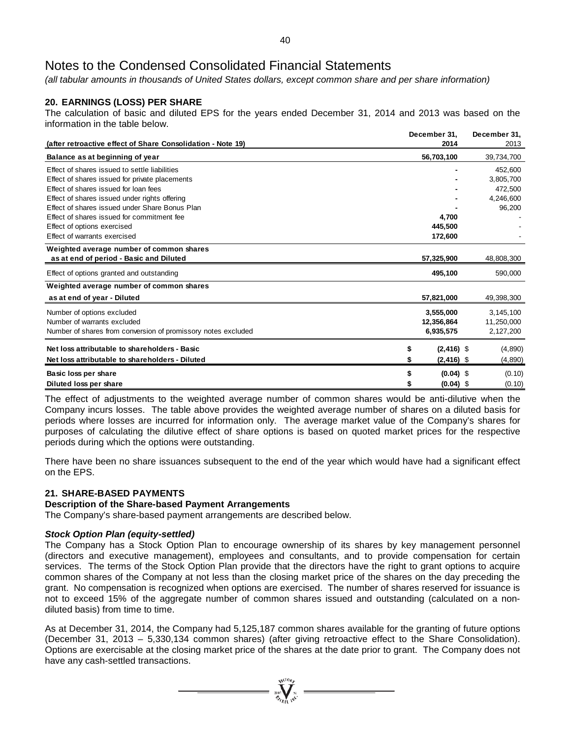*(all tabular amounts in thousands of United States dollars, except common share and per share information)*

# **20. EARNINGS (LOSS) PER SHARE**

The calculation of basic and diluted EPS for the years ended December 31, 2014 and 2013 was based on the information in the table below.

| (after retroactive effect of Share Consolidation - Note 19)   | December 31,<br>2014 | December 31,<br>2013 |
|---------------------------------------------------------------|----------------------|----------------------|
| Balance as at beginning of year                               | 56,703,100           | 39,734,700           |
|                                                               |                      |                      |
| Effect of shares issued to settle liabilities                 |                      | 452,600              |
| Effect of shares issued for private placements                |                      | 3,805,700            |
| Effect of shares issued for loan fees                         |                      | 472,500              |
| Effect of shares issued under rights offering                 |                      | 4,246,600            |
| Effect of shares issued under Share Bonus Plan                |                      | 96,200               |
| Effect of shares issued for commitment fee                    | 4.700                |                      |
| Effect of options exercised                                   | 445,500              |                      |
| Effect of warrants exercised                                  | 172,600              |                      |
| Weighted average number of common shares                      |                      |                      |
| as at end of period - Basic and Diluted                       | 57,325,900           | 48,808,300           |
| Effect of options granted and outstanding                     | 495,100              | 590,000              |
| Weighted average number of common shares                      |                      |                      |
| as at end of year - Diluted                                   | 57,821,000           | 49,398,300           |
| Number of options excluded                                    | 3,555,000            | 3,145,100            |
| Number of warrants excluded                                   | 12,356,864           | 11,250,000           |
| Number of shares from conversion of promissory notes excluded | 6,935,575            | 2,127,200            |
| Net loss attributable to shareholders - Basic                 | \$<br>$(2, 416)$ \$  | (4,890)              |
| Net loss attributable to shareholders - Diluted               | $(2, 416)$ \$<br>S   | (4,890)              |
|                                                               |                      |                      |
| Basic loss per share                                          | $(0.04)$ \$          | (0.10)               |
| Diluted loss per share                                        | $(0.04)$ \$          | (0.10)               |

The effect of adjustments to the weighted average number of common shares would be anti-dilutive when the Company incurs losses. The table above provides the weighted average number of shares on a diluted basis for periods where losses are incurred for information only. The average market value of the Company's shares for purposes of calculating the dilutive effect of share options is based on quoted market prices for the respective periods during which the options were outstanding.

There have been no share issuances subsequent to the end of the year which would have had a significant effect on the EPS.

# **21. SHARE-BASED PAYMENTS**

## **Description of the Share-based Payment Arrangements**

The Company's share-based payment arrangements are described below.

#### *Stock Option Plan (equity-settled)*

The Company has a Stock Option Plan to encourage ownership of its shares by key management personnel (directors and executive management), employees and consultants, and to provide compensation for certain services. The terms of the Stock Option Plan provide that the directors have the right to grant options to acquire common shares of the Company at not less than the closing market price of the shares on the day preceding the grant. No compensation is recognized when options are exercised. The number of shares reserved for issuance is not to exceed 15% of the aggregate number of common shares issued and outstanding (calculated on a nondiluted basis) from time to time.

As at December 31, 2014, the Company had 5,125,187 common shares available for the granting of future options (December 31, 2013 – 5,330,134 common shares) (after giving retroactive effect to the Share Consolidation). Options are exercisable at the closing market price of the shares at the date prior to grant. The Company does not have any cash-settled transactions.

 $\sum_{\substack{i=1\\i\neq j}}^{\infty} \sum_{\substack{i=1\\i\neq j}}^{\infty}$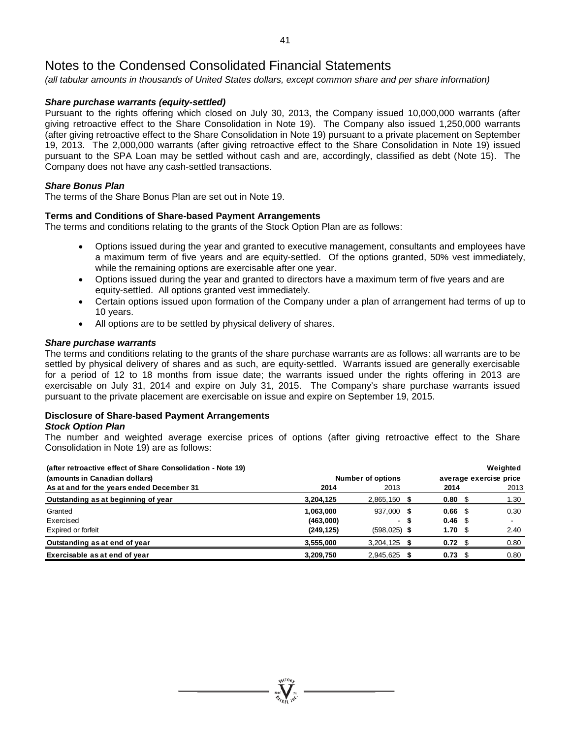*(all tabular amounts in thousands of United States dollars, except common share and per share information)*

# *Share purchase warrants (equity-settled)*

Pursuant to the rights offering which closed on July 30, 2013, the Company issued 10,000,000 warrants (after giving retroactive effect to the Share Consolidation in Note 19). The Company also issued 1,250,000 warrants (after giving retroactive effect to the Share Consolidation in Note 19) pursuant to a private placement on September 19, 2013. The 2,000,000 warrants (after giving retroactive effect to the Share Consolidation in Note 19) issued pursuant to the SPA Loan may be settled without cash and are, accordingly, classified as debt (Note 15). The Company does not have any cash-settled transactions.

### *Share Bonus Plan*

The terms of the Share Bonus Plan are set out in Note 19.

# **Terms and Conditions of Share-based Payment Arrangements**

The terms and conditions relating to the grants of the Stock Option Plan are as follows:

- Options issued during the year and granted to executive management, consultants and employees have a maximum term of five years and are equity-settled. Of the options granted, 50% vest immediately, while the remaining options are exercisable after one year.
- Options issued during the year and granted to directors have a maximum term of five years and are equity-settled. All options granted vest immediately.
- Certain options issued upon formation of the Company under a plan of arrangement had terms of up to 10 years.
- All options are to be settled by physical delivery of shares.

#### *Share purchase warrants*

The terms and conditions relating to the grants of the share purchase warrants are as follows: all warrants are to be settled by physical delivery of shares and as such, are equity-settled. Warrants issued are generally exercisable for a period of 12 to 18 months from issue date; the warrants issued under the rights offering in 2013 are exercisable on July 31, 2014 and expire on July 31, 2015. The Company's share purchase warrants issued pursuant to the private placement are exercisable on issue and expire on September 19, 2015.

### **Disclosure of Share-based Payment Arrangements**

#### *Stock Option Plan*

The number and weighted average exercise prices of options (after giving retroactive effect to the Share Consolidation in Note 19) are as follows:

| (after retroactive effect of Share Consolidation - Note 19) |            |                          |   |                        |  | Weighted |  |
|-------------------------------------------------------------|------------|--------------------------|---|------------------------|--|----------|--|
| (amounts in Canadian dollars)                               |            | <b>Number of options</b> |   | average exercise price |  |          |  |
| As at and for the years ended December 31                   | 2014       | 2013                     |   | 2014                   |  | 2013     |  |
| Outstanding as at beginning of year                         | 3,204,125  | $2,865,150$ \$           |   | $0.80 \, \hat{S}$      |  | 1.30     |  |
| Granted                                                     | 1,063,000  | 937,000 \$               |   | 0.66 <sup>5</sup>      |  | 0.30     |  |
| Exercised                                                   | (463,000)  |                          | S | 0.46 <sup>5</sup>      |  |          |  |
| Expired or forfeit                                          | (249, 125) | $(598, 025)$ \$          |   | 1.70 <sup>5</sup>      |  | 2.40     |  |
| Outstanding as at end of year                               | 3,555,000  | $3,204,125$ \$           |   | 0.72 <sup>°</sup>      |  | 0.80     |  |
| Exercisable as at end of year                               | 3,209,750  | 2,945,625 \$             |   | 0.73                   |  | 0.80     |  |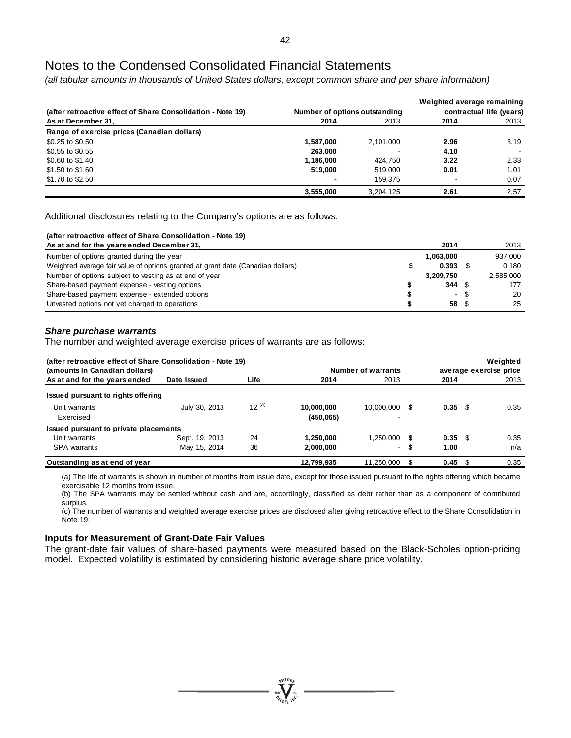*(all tabular amounts in thousands of United States dollars, except common share and per share information)*

|                                                             |                               |           | Weighted average remaining |      |  |
|-------------------------------------------------------------|-------------------------------|-----------|----------------------------|------|--|
| (after retroactive effect of Share Consolidation - Note 19) | Number of options outstanding |           | contractual life (years)   |      |  |
| As at December 31,                                          | 2014                          | 2013      | 2014                       | 2013 |  |
| Range of exercise prices (Canadian dollars)                 |                               |           |                            |      |  |
| \$0.25 to \$0.50                                            | 1.587.000                     | 2,101,000 | 2.96                       | 3.19 |  |
| \$0.55 to \$0.55                                            | 263,000                       |           | 4.10                       |      |  |
| \$0.60 to \$1.40                                            | 1,186,000                     | 424.750   | 3.22                       | 2.33 |  |
| \$1.50 to \$1.60                                            | 519,000                       | 519,000   | 0.01                       | 1.01 |  |
| \$1.70 to \$2.50                                            |                               | 159.375   |                            | 0.07 |  |
|                                                             | 3,555,000                     | 3,204,125 | 2.61                       | 2.57 |  |

Additional disclosures relating to the Company's options are as follows:

| (after retroactive effect of Share Consolidation - Note 19)                     |            |     |           |
|---------------------------------------------------------------------------------|------------|-----|-----------|
| As at and for the years ended December 31,                                      | 2014       |     | 2013      |
| Number of options granted during the year                                       | 1.063.000  |     | 937.000   |
| Weighted average fair value of options granted at grant date (Canadian dollars) | $0.393$ \$ |     | 0.180     |
| Number of options subject to vesting as at end of year                          | 3.209.750  |     | 2,585,000 |
| Share-based payment expense - vesting options                                   | 344S       |     | 177       |
| Share-based payment expense - extended options                                  | $\sim$     | \$. | 20        |
| Unvested options not yet charged to operations                                  | 58 \$      |     | 25        |

#### *Share purchase warrants*

The number and weighted average exercise prices of warrants are as follows:

| (amounts in Canadian dollars)         | (after retroactive effect of Share Consolidation - Note 19) |            |                          | Number of warrants |    |                 | Weighted<br>average exercise price |      |  |  |
|---------------------------------------|-------------------------------------------------------------|------------|--------------------------|--------------------|----|-----------------|------------------------------------|------|--|--|
| As at and for the years ended         | Date Issued                                                 | Life       | 2014                     | 2013               |    | 2014            |                                    | 2013 |  |  |
| Issued pursuant to rights offering    |                                                             |            |                          |                    |    |                 |                                    |      |  |  |
| Unit warrants<br>Exercised            | July 30, 2013                                               | $12^{(a)}$ | 10,000,000<br>(450, 065) | 10.000.000         | S  | $0.35 \quad$ \$ |                                    | 0.35 |  |  |
| Issued pursuant to private placements |                                                             |            |                          |                    |    |                 |                                    |      |  |  |
| Unit warrants                         | Sept. 19, 2013                                              | 24         | 1,250,000                | 1,250,000          | 55 | $0.35 \quad$ \$ |                                    | 0.35 |  |  |
| <b>SPA</b> warrants                   | May 15, 2014                                                | 36         | 2.000.000                | $\sim$             | S  | 1.00            |                                    | n/a  |  |  |
| Outstanding as at end of year         |                                                             |            | 12,799,935               | 11.250.000         |    | $0.45 \quad$ \$ |                                    | 0.35 |  |  |

(a) The life of warrants is shown in number of months from issue date, except for those issued pursuant to the rights offering which became exercisable 12 months from issue.

(b) The SPA warrants may be settled without cash and are, accordingly, classified as debt rather than as a component of contributed surplus.

(c) The number of warrants and weighted average exercise prices are disclosed after giving retroactive effect to the Share Consolidation in Note 19.

## **Inputs for Measurement of Grant-Date Fair Values**

The grant-date fair values of share-based payments were measured based on the Black-Scholes option-pricing model. Expected volatility is estimated by considering historic average share price volatility.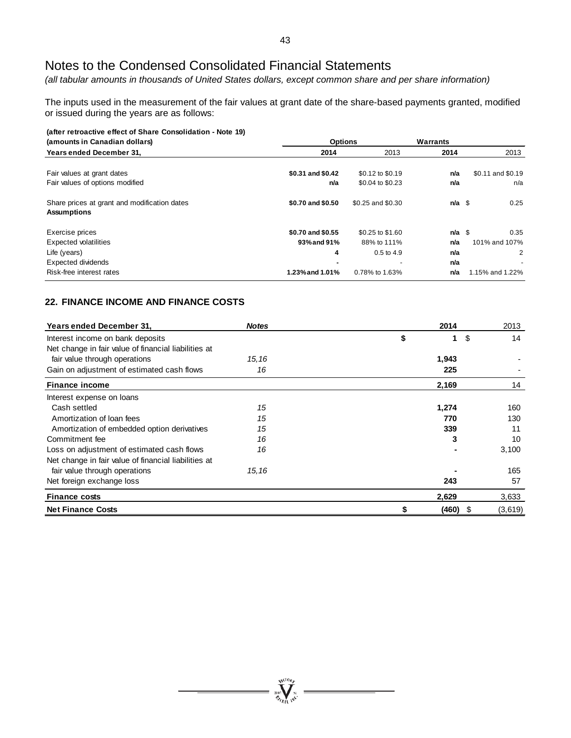*(all tabular amounts in thousands of United States dollars, except common share and per share information)*

The inputs used in the measurement of the fair values at grant date of the share-based payments granted, modified or issued during the years are as follows:

| (after retroactive effect of Share Consolidation - Note 19)        |                   |                          |                   |                   |  |
|--------------------------------------------------------------------|-------------------|--------------------------|-------------------|-------------------|--|
| (amounts in Canadian dollars)                                      | <b>Options</b>    |                          | Warrants          |                   |  |
| <b>Years ended December 31.</b>                                    | 2014              | 2013                     | 2014              | 2013              |  |
|                                                                    |                   |                          |                   |                   |  |
| Fair values at grant dates                                         | \$0.31 and \$0.42 | \$0.12 to \$0.19         | n/a               | \$0.11 and \$0.19 |  |
| Fair values of options modified                                    | n/a               | \$0.04 to \$0.23         | n/a               | n/a               |  |
| Share prices at grant and modification dates<br><b>Assumptions</b> | \$0.70 and \$0.50 | \$0.25 and \$0.30        | $n/a \text{ }$ \$ | 0.25              |  |
| Exercise prices                                                    | \$0.70 and \$0.55 | \$0.25 to \$1.60         | $n/a$ \$          | 0.35              |  |
| <b>Expected volatilities</b>                                       | 93% and 91%       | 88% to 111%              | n/a               | 101% and 107%     |  |
| Life (years)                                                       | 4                 | $0.5$ to 4.9             | n/a               | 2                 |  |
| Expected dividends                                                 |                   | $\overline{\phantom{0}}$ | n/a               |                   |  |
| Risk-free interest rates                                           | 1.23% and 1.01%   | 0.78% to 1.63%           | n/a               | 1.15% and 1.22%   |  |

# **22. FINANCE INCOME AND FINANCE COSTS**

| Years ended December 31,                             | <b>Notes</b> | 2014  |            | 2013    |
|------------------------------------------------------|--------------|-------|------------|---------|
| Interest income on bank deposits                     |              | \$    | \$<br>1    | 14      |
| Net change in fair value of financial liabilities at |              |       |            |         |
| fair value through operations                        | 15, 16       | 1,943 |            |         |
| Gain on adjustment of estimated cash flows           | 16           | 225   |            |         |
| <b>Finance income</b>                                |              | 2,169 |            | 14      |
| Interest expense on loans                            |              |       |            |         |
| Cash settled                                         | 15           | 1,274 |            | 160     |
| Amortization of loan fees                            | 15           | 770   |            | 130     |
| Amortization of embedded option derivatives          | 15           | 339   |            | 11      |
| Commitment fee                                       | 16           |       | 3          | 10      |
| Loss on adjustment of estimated cash flows           | 16           |       |            | 3,100   |
| Net change in fair value of financial liabilities at |              |       |            |         |
| fair value through operations                        | 15, 16       |       |            | 165     |
| Net foreign exchange loss                            |              | 243   |            | 57      |
| <b>Finance costs</b>                                 |              | 2,629 |            | 3,633   |
| <b>Net Finance Costs</b>                             |              | \$    | $(460)$ \$ | (3,619) |

**WEIORE**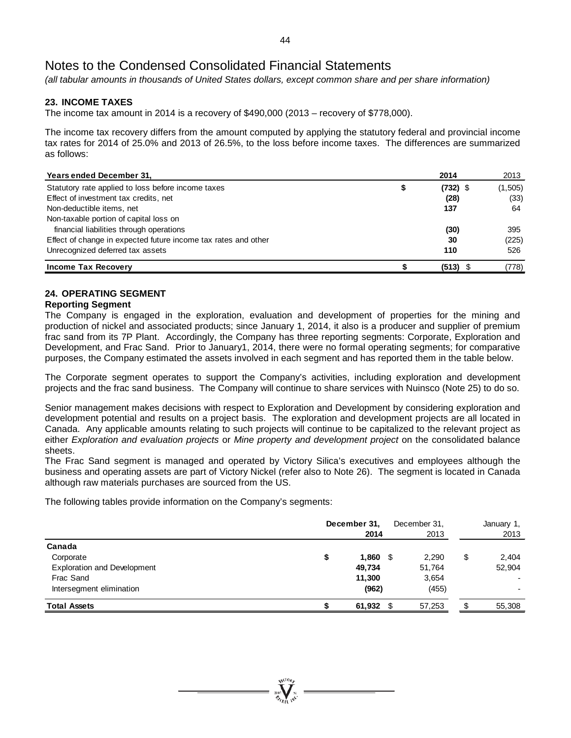*(all tabular amounts in thousands of United States dollars, except common share and per share information)*

# **23. INCOME TAXES**

The income tax amount in 2014 is a recovery of \$490,000 (2013 – recovery of \$778,000).

The income tax recovery differs from the amount computed by applying the statutory federal and provincial income tax rates for 2014 of 25.0% and 2013 of 26.5%, to the loss before income taxes. The differences are summarized as follows:

| Years ended December 31,                                       | 2014             | 2013     |
|----------------------------------------------------------------|------------------|----------|
| Statutory rate applied to loss before income taxes             | \$<br>$(732)$ \$ | (1, 505) |
| Effect of investment tax credits, net                          | (28)             | (33)     |
| Non-deductible items, net                                      | 137              | 64       |
| Non-taxable portion of capital loss on                         |                  |          |
| financial liabilities through operations                       | (30)             | 395      |
| Effect of change in expected future income tax rates and other | 30               | (225)    |
| Unrecognized deferred tax assets                               | 110              | 526      |
| <b>Income Tax Recovery</b>                                     | (513)            | (778)    |

# **24. OPERATING SEGMENT**

#### **Reporting Segment**

The Company is engaged in the exploration, evaluation and development of properties for the mining and production of nickel and associated products; since January 1, 2014, it also is a producer and supplier of premium frac sand from its 7P Plant. Accordingly, the Company has three reporting segments: Corporate, Exploration and Development, and Frac Sand. Prior to January1, 2014, there were no formal operating segments; for comparative purposes, the Company estimated the assets involved in each segment and has reported them in the table below.

The Corporate segment operates to support the Company's activities, including exploration and development projects and the frac sand business. The Company will continue to share services with Nuinsco (Note 25) to do so.

Senior management makes decisions with respect to Exploration and Development by considering exploration and development potential and results on a project basis. The exploration and development projects are all located in Canada. Any applicable amounts relating to such projects will continue to be capitalized to the relevant project as either *Exploration and evaluation projects* or *Mine property and development project* on the consolidated balance sheets.

The Frac Sand segment is managed and operated by Victory Silica's executives and employees although the business and operating assets are part of Victory Nickel (refer also to Note 26). The segment is located in Canada although raw materials purchases are sourced from the US.

The following tables provide information on the Company's segments:

|                                                 |    | December 31,<br>2014 | December 31,<br>2013 |     | January 1,<br>2013 |
|-------------------------------------------------|----|----------------------|----------------------|-----|--------------------|
| Canada                                          |    |                      |                      |     |                    |
| Corporate                                       | \$ | $1,860$ \$           | 2.290                | \$  | 2,404              |
| <b>Exploration and Development</b><br>Frac Sand |    | 49,734               | 51,764               |     | 52,904             |
|                                                 |    | 11,300               | 3,654                |     |                    |
| Intersegment elimination                        |    | (962)                | (455)                |     |                    |
| <b>Total Assets</b>                             |    | $61,932$ \$          | 57,253               | \$. | 55,308             |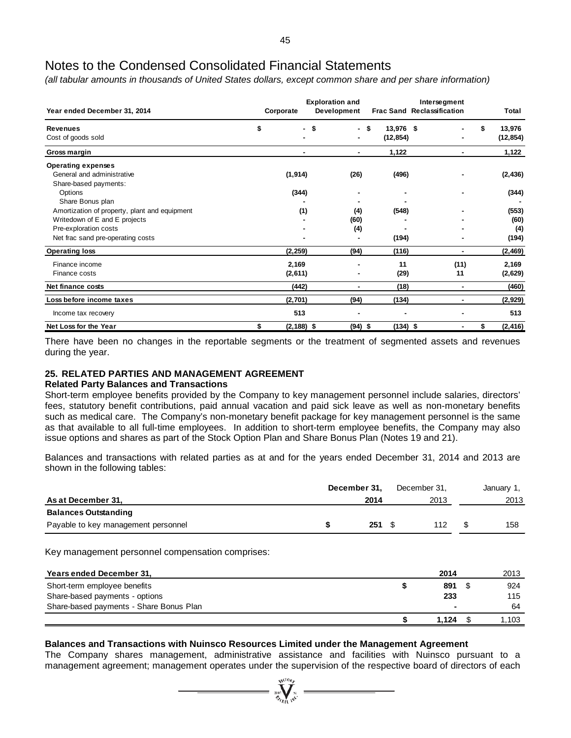*(all tabular amounts in thousands of United States dollars, except common share and per share information)*

| Year ended December 31, 2014                  | Corporate           | <b>Exploration and</b><br>Development |                   | Intersegment<br><b>Frac Sand Reclassification</b> | Total          |
|-----------------------------------------------|---------------------|---------------------------------------|-------------------|---------------------------------------------------|----------------|
| <b>Revenues</b>                               | \$                  | - \$                                  | 13,976 \$<br>- \$ |                                                   | \$<br>13,976   |
| Cost of goods sold                            |                     | ۰                                     | (12, 854)         |                                                   | (12, 854)      |
| Gross margin                                  |                     |                                       | 1,122             |                                                   | 1,122          |
| <b>Operating expenses</b>                     |                     |                                       |                   |                                                   |                |
| General and administrative                    | (1, 914)            | (26)                                  | (496)             |                                                   | (2, 436)       |
| Share-based payments:                         |                     |                                       |                   |                                                   |                |
| Options                                       | (344)               |                                       |                   |                                                   | (344)          |
| Share Bonus plan                              |                     |                                       |                   |                                                   |                |
| Amortization of property, plant and equipment | (1)                 | (4)                                   | (548)             |                                                   | (553)          |
| Writedown of E and E projects                 |                     | (60)                                  |                   |                                                   | (60)           |
| Pre-exploration costs                         |                     | (4)                                   |                   |                                                   | (4)            |
| Net frac sand pre-operating costs             |                     |                                       | (194)             |                                                   | (194)          |
| <b>Operating loss</b>                         | (2, 259)            | (94)                                  | (116)             |                                                   | (2, 469)       |
| Finance income                                | 2,169               |                                       | 11                | (11)                                              | 2,169          |
| Finance costs                                 | (2,611)             |                                       | (29)              | 11                                                | (2,629)        |
| Net finance costs                             | (442)               |                                       | (18)              |                                                   | (460)          |
| Loss before income taxes                      | (2,701)             | (94)                                  | (134)             | ٠                                                 | (2,929)        |
| Income tax recovery                           | 513                 |                                       |                   |                                                   | 513            |
| Net Loss for the Year                         | \$<br>$(2, 188)$ \$ | (94) \$                               |                   | (134) \$                                          | \$<br>(2, 416) |

There have been no changes in the reportable segments or the treatment of segmented assets and revenues during the year.

### **25. RELATED PARTIES AND MANAGEMENT AGREEMENT**

#### **Related Party Balances and Transactions**

Short-term employee benefits provided by the Company to key management personnel include salaries, directors' fees, statutory benefit contributions, paid annual vacation and paid sick leave as well as non-monetary benefits such as medical care. The Company's non-monetary benefit package for key management personnel is the same as that available to all full-time employees. In addition to short-term employee benefits, the Company may also issue options and shares as part of the Stock Option Plan and Share Bonus Plan (Notes 19 and 21).

Balances and transactions with related parties as at and for the years ended December 31, 2014 and 2013 are shown in the following tables:

|                                     | December 31, | December 31. | January 1, |
|-------------------------------------|--------------|--------------|------------|
| As at December 31,                  | 2014         | 2013         | 2013       |
| <b>Balances Outstanding</b>         |              |              |            |
| Payable to key management personnel | 251S         | 112          | 158        |

Key management personnel compensation comprises:

| Years ended December 31,                | 2014  | 2013  |
|-----------------------------------------|-------|-------|
| Short-term employee benefits            | 891   | 924   |
| Share-based payments - options          | 233   | 115   |
| Share-based payments - Share Bonus Plan | ۰     | 64    |
|                                         | 1.124 | 1.103 |

#### **Balances and Transactions with Nuinsco Resources Limited under the Management Agreement**

The Company shares management, administrative assistance and facilities with Nuinsco pursuant to a management agreement; management operates under the supervision of the respective board of directors of each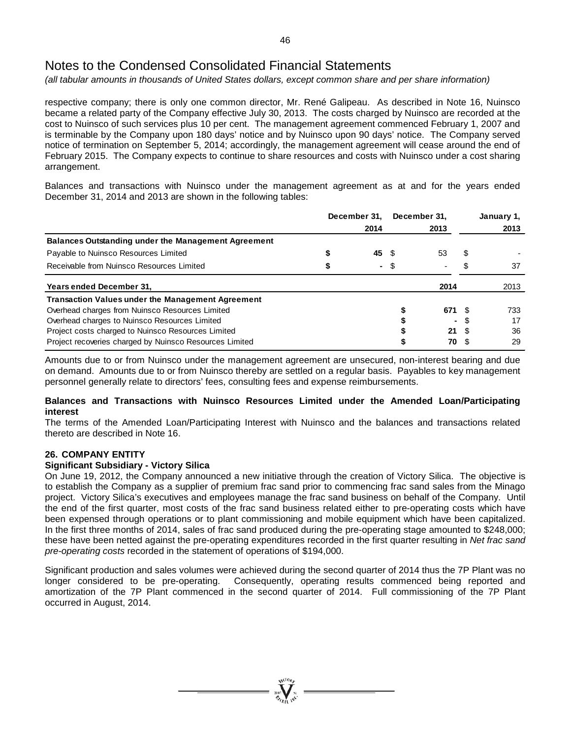*(all tabular amounts in thousands of United States dollars, except common share and per share information)*

respective company; there is only one common director, Mr. René Galipeau. As described in Note 16, Nuinsco became a related party of the Company effective July 30, 2013. The costs charged by Nuinsco are recorded at the cost to Nuinsco of such services plus 10 per cent. The management agreement commenced February 1, 2007 and is terminable by the Company upon 180 days' notice and by Nuinsco upon 90 days' notice. The Company served notice of termination on September 5, 2014; accordingly, the management agreement will cease around the end of February 2015. The Company expects to continue to share resources and costs with Nuinsco under a cost sharing arrangement.

Balances and transactions with Nuinsco under the management agreement as at and for the years ended December 31, 2014 and 2013 are shown in the following tables:

|                                                            | December 31. |       | December 31. |      |   | January 1, |  |
|------------------------------------------------------------|--------------|-------|--------------|------|---|------------|--|
|                                                            |              | 2014  | 2013         |      |   | 2013       |  |
| <b>Balances Outstanding under the Management Agreement</b> |              |       |              |      |   |            |  |
| Payable to Nuinsco Resources Limited                       |              | 45 \$ |              | 53   | S |            |  |
| Receivable from Nuinsco Resources Limited                  | จ            |       | - \$         | ٠    |   | 37         |  |
| Years ended December 31.                                   |              |       |              | 2014 |   | 2013       |  |
| <b>Transaction Values under the Management Agreement</b>   |              |       |              |      |   |            |  |
| Overhead charges from Nuinsco Resources Limited            |              |       |              | 671  |   | 733        |  |
| Overhead charges to Nuinsco Resources Limited              |              |       |              |      |   | 17         |  |
| Project costs charged to Nuinsco Resources Limited         |              |       |              | 21   |   | 36         |  |
| Project recoveries charged by Nuinsco Resources Limited    |              |       |              | 70   |   | 29         |  |

Amounts due to or from Nuinsco under the management agreement are unsecured, non-interest bearing and due on demand. Amounts due to or from Nuinsco thereby are settled on a regular basis. Payables to key management personnel generally relate to directors' fees, consulting fees and expense reimbursements.

## **Balances and Transactions with Nuinsco Resources Limited under the Amended Loan/Participating interest**

The terms of the Amended Loan/Participating Interest with Nuinsco and the balances and transactions related thereto are described in Note 16.

# **26. COMPANY ENTITY**

#### **Significant Subsidiary - Victory Silica**

On June 19, 2012, the Company announced a new initiative through the creation of Victory Silica. The objective is to establish the Company as a supplier of premium frac sand prior to commencing frac sand sales from the Minago project. Victory Silica's executives and employees manage the frac sand business on behalf of the Company. Until the end of the first quarter, most costs of the frac sand business related either to pre-operating costs which have been expensed through operations or to plant commissioning and mobile equipment which have been capitalized. In the first three months of 2014, sales of frac sand produced during the pre-operating stage amounted to \$248,000; these have been netted against the pre-operating expenditures recorded in the first quarter resulting in *Net frac sand pre-operating costs* recorded in the statement of operations of \$194,000.

Significant production and sales volumes were achieved during the second quarter of 2014 thus the 7P Plant was no longer considered to be pre-operating. Consequently, operating results commenced being reported and amortization of the 7P Plant commenced in the second quarter of 2014. Full commissioning of the 7P Plant occurred in August, 2014.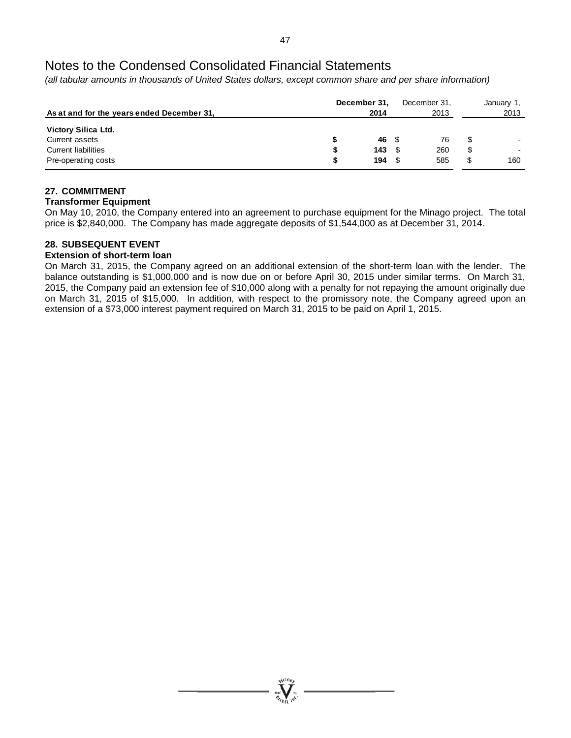*(all tabular amounts in thousands of United States dollars, except common share and per share information)*

| As at and for the years ended December 31,                                                        |   | December 31,<br>2014 | December 31.<br>2013 |                | January 1,<br>2013 |
|---------------------------------------------------------------------------------------------------|---|----------------------|----------------------|----------------|--------------------|
| <b>Victory Silica Ltd.</b><br>Current assets<br><b>Current liabilities</b><br>Pre-operating costs | S | 46 \$<br>143<br>194  | 76<br>260<br>585     | \$<br>\$<br>\$ | 160                |

# **27. COMMITMENT**

#### **Transformer Equipment**

On May 10, 2010, the Company entered into an agreement to purchase equipment for the Minago project. The total price is \$2,840,000. The Company has made aggregate deposits of \$1,544,000 as at December 31, 2014.

# **28. SUBSEQUENT EVENT**

### **Extension of short-term loan**

On March 31, 2015, the Company agreed on an additional extension of the short-term loan with the lender. The balance outstanding is \$1,000,000 and is now due on or before April 30, 2015 under similar terms. On March 31, 2015, the Company paid an extension fee of \$10,000 along with a penalty for not repaying the amount originally due on March 31, 2015 of \$15,000. In addition, with respect to the promissory note, the Company agreed upon an extension of a \$73,000 interest payment required on March 31, 2015 to be paid on April 1, 2015.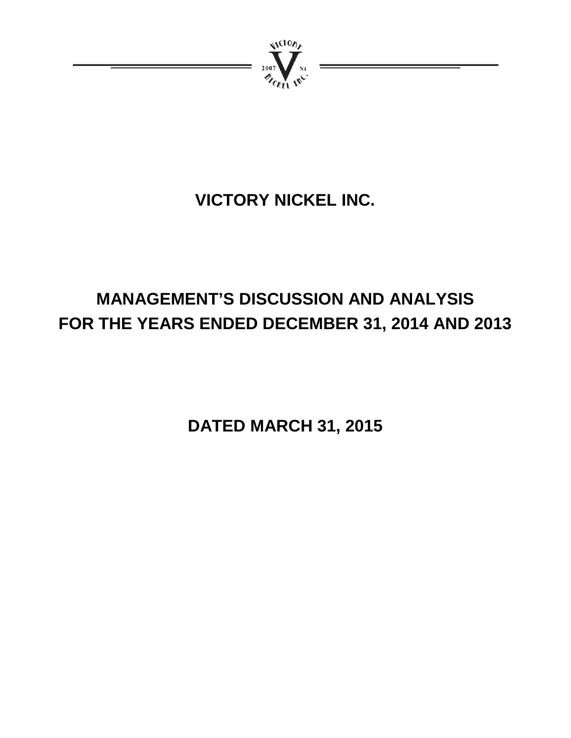

# **VICTORY NICKEL INC.**

# **MANAGEMENT'S DISCUSSION AND ANALYSIS FOR THE YEARS ENDED DECEMBER 31, 2014 AND 2013**

**DATED MARCH 31, 2015**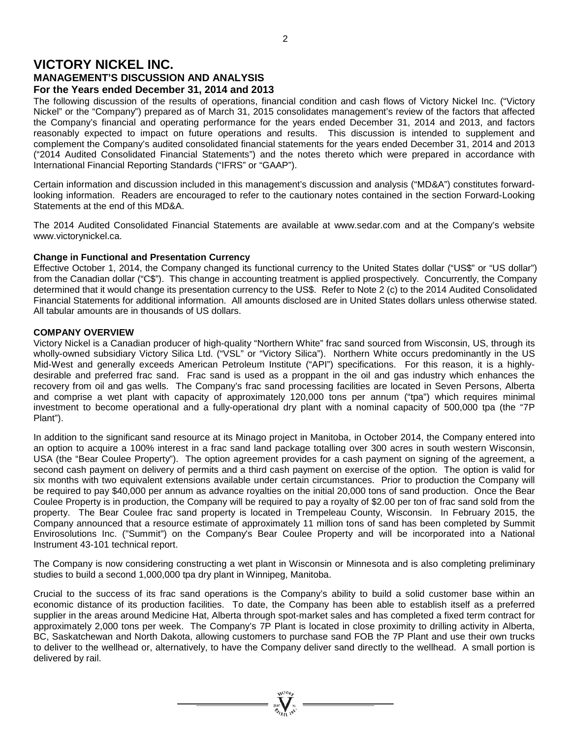# **VICTORY NICKEL INC. MANAGEMENT'S DISCUSSION AND ANALYSIS For the Years ended December 31, 2014 and 2013**

The following discussion of the results of operations, financial condition and cash flows of Victory Nickel Inc. ("Victory Nickel" or the "Company") prepared as of March 31, 2015 consolidates management's review of the factors that affected the Company's financial and operating performance for the years ended December 31, 2014 and 2013, and factors reasonably expected to impact on future operations and results. This discussion is intended to supplement and complement the Company's audited consolidated financial statements for the years ended December 31, 2014 and 2013 ("2014 Audited Consolidated Financial Statements") and the notes thereto which were prepared in accordance with International Financial Reporting Standards ("IFRS" or "GAAP").

Certain information and discussion included in this management's discussion and analysis ("MD&A") constitutes forwardlooking information. Readers are encouraged to refer to the cautionary notes contained in the section Forward-Looking Statements at the end of this MD&A.

The 2014 Audited Consolidated Financial Statements are available at www.sedar.com and at the Company's website www.victorynickel.ca.

#### **Change in Functional and Presentation Currency**

Effective October 1, 2014, the Company changed its functional currency to the United States dollar ("US\$" or "US dollar") from the Canadian dollar ("C\$"). This change in accounting treatment is applied prospectively. Concurrently, the Company determined that it would change its presentation currency to the US\$. Refer to Note 2 (c) to the 2014 Audited Consolidated Financial Statements for additional information. All amounts disclosed are in United States dollars unless otherwise stated. All tabular amounts are in thousands of US dollars.

#### **COMPANY OVERVIEW**

Victory Nickel is a Canadian producer of high-quality "Northern White" frac sand sourced from Wisconsin, US, through its wholly-owned subsidiary Victory Silica Ltd. ("VSL" or "Victory Silica"). Northern White occurs predominantly in the US Mid-West and generally exceeds American Petroleum Institute ("API") specifications. For this reason, it is a highlydesirable and preferred frac sand. Frac sand is used as a proppant in the oil and gas industry which enhances the recovery from oil and gas wells. The Company's frac sand processing facilities are located in Seven Persons, Alberta and comprise a wet plant with capacity of approximately 120,000 tons per annum ("tpa") which requires minimal investment to become operational and a fully-operational dry plant with a nominal capacity of 500,000 tpa (the "7P Plant").

In addition to the significant sand resource at its Minago project in Manitoba, in October 2014, the Company entered into an option to acquire a 100% interest in a frac sand land package totalling over 300 acres in south western Wisconsin, USA (the "Bear Coulee Property"). The option agreement provides for a cash payment on signing of the agreement, a second cash payment on delivery of permits and a third cash payment on exercise of the option. The option is valid for six months with two equivalent extensions available under certain circumstances. Prior to production the Company will be required to pay \$40,000 per annum as advance royalties on the initial 20,000 tons of sand production. Once the Bear Coulee Property is in production, the Company will be required to pay a royalty of \$2.00 per ton of frac sand sold from the property. The Bear Coulee frac sand property is located in Trempeleau County, Wisconsin. In February 2015, the Company announced that a resource estimate of approximately 11 million tons of sand has been completed by Summit Envirosolutions Inc. ("Summit") on the Company's Bear Coulee Property and will be incorporated into a National Instrument 43-101 technical report.

The Company is now considering constructing a wet plant in Wisconsin or Minnesota and is also completing preliminary studies to build a second 1,000,000 tpa dry plant in Winnipeg, Manitoba.

Crucial to the success of its frac sand operations is the Company's ability to build a solid customer base within an economic distance of its production facilities. To date, the Company has been able to establish itself as a preferred supplier in the areas around Medicine Hat, Alberta through spot-market sales and has completed a fixed term contract for approximately 2,000 tons per week. The Company's 7P Plant is located in close proximity to drilling activity in Alberta, BC, Saskatchewan and North Dakota, allowing customers to purchase sand FOB the 7P Plant and use their own trucks to deliver to the wellhead or, alternatively, to have the Company deliver sand directly to the wellhead. A small portion is delivered by rail.

 $= \prod_{y \in V^{(10)}}^{y \in V^{(10)}}$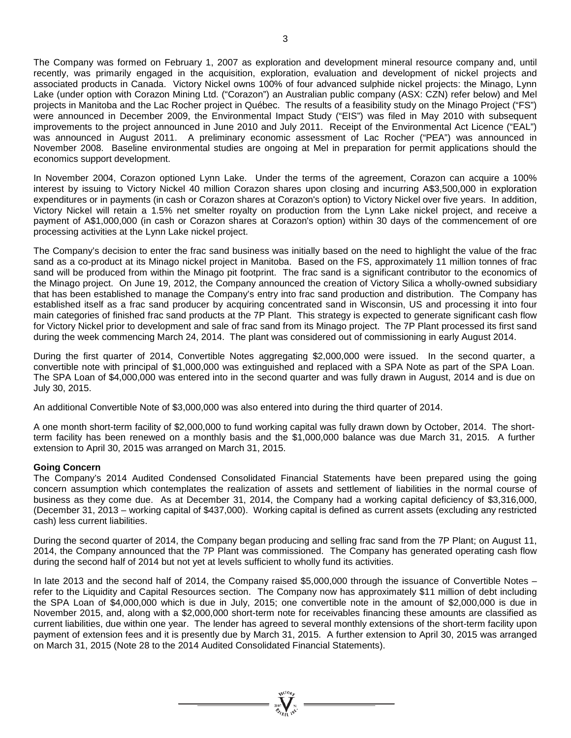The Company was formed on February 1, 2007 as exploration and development mineral resource company and, until recently, was primarily engaged in the acquisition, exploration, evaluation and development of nickel projects and associated products in Canada. Victory Nickel owns 100% of four advanced sulphide nickel projects: the Minago, Lynn Lake (under option with Corazon Mining Ltd. ("Corazon") an Australian public company (ASX: CZN) refer below) and Mel projects in Manitoba and the Lac Rocher project in Québec. The results of a feasibility study on the Minago Project ("FS") were announced in December 2009, the Environmental Impact Study ("EIS") was filed in May 2010 with subsequent improvements to the project announced in June 2010 and July 2011. Receipt of the Environmental Act Licence ("EAL") was announced in August 2011. A preliminary economic assessment of Lac Rocher ("PEA") was announced in November 2008. Baseline environmental studies are ongoing at Mel in preparation for permit applications should the economics support development.

In November 2004, Corazon optioned Lynn Lake. Under the terms of the agreement, Corazon can acquire a 100% interest by issuing to Victory Nickel 40 million Corazon shares upon closing and incurring A\$3,500,000 in exploration expenditures or in payments (in cash or Corazon shares at Corazon's option) to Victory Nickel over five years. In addition, Victory Nickel will retain a 1.5% net smelter royalty on production from the Lynn Lake nickel project, and receive a payment of A\$1,000,000 (in cash or Corazon shares at Corazon's option) within 30 days of the commencement of ore processing activities at the Lynn Lake nickel project.

The Company's decision to enter the frac sand business was initially based on the need to highlight the value of the frac sand as a co-product at its Minago nickel project in Manitoba. Based on the FS, approximately 11 million tonnes of frac sand will be produced from within the Minago pit footprint. The frac sand is a significant contributor to the economics of the Minago project. On June 19, 2012, the Company announced the creation of Victory Silica a wholly-owned subsidiary that has been established to manage the Company's entry into frac sand production and distribution. The Company has established itself as a frac sand producer by acquiring concentrated sand in Wisconsin, US and processing it into four main categories of finished frac sand products at the 7P Plant. This strategy is expected to generate significant cash flow for Victory Nickel prior to development and sale of frac sand from its Minago project. The 7P Plant processed its first sand during the week commencing March 24, 2014. The plant was considered out of commissioning in early August 2014.

During the first quarter of 2014, Convertible Notes aggregating \$2,000,000 were issued. In the second quarter, a convertible note with principal of \$1,000,000 was extinguished and replaced with a SPA Note as part of the SPA Loan. The SPA Loan of \$4,000,000 was entered into in the second quarter and was fully drawn in August, 2014 and is due on July 30, 2015.

An additional Convertible Note of \$3,000,000 was also entered into during the third quarter of 2014.

A one month short-term facility of \$2,000,000 to fund working capital was fully drawn down by October, 2014. The shortterm facility has been renewed on a monthly basis and the \$1,000,000 balance was due March 31, 2015. A further extension to April 30, 2015 was arranged on March 31, 2015.

#### **Going Concern**

The Company's 2014 Audited Condensed Consolidated Financial Statements have been prepared using the going concern assumption which contemplates the realization of assets and settlement of liabilities in the normal course of business as they come due. As at December 31, 2014, the Company had a working capital deficiency of \$3,316,000, (December 31, 2013 – working capital of \$437,000). Working capital is defined as current assets (excluding any restricted cash) less current liabilities.

During the second quarter of 2014, the Company began producing and selling frac sand from the 7P Plant; on August 11, 2014, the Company announced that the 7P Plant was commissioned. The Company has generated operating cash flow during the second half of 2014 but not yet at levels sufficient to wholly fund its activities.

In late 2013 and the second half of 2014, the Company raised \$5,000,000 through the issuance of Convertible Notes – refer to the Liquidity and Capital Resources section. The Company now has approximately \$11 million of debt including the SPA Loan of \$4,000,000 which is due in July, 2015; one convertible note in the amount of \$2,000,000 is due in November 2015, and, along with a \$2,000,000 short-term note for receivables financing these amounts are classified as current liabilities, due within one year. The lender has agreed to several monthly extensions of the short-term facility upon payment of extension fees and it is presently due by March 31, 2015. A further extension to April 30, 2015 was arranged on March 31, 2015 (Note 28 to the 2014 Audited Consolidated Financial Statements).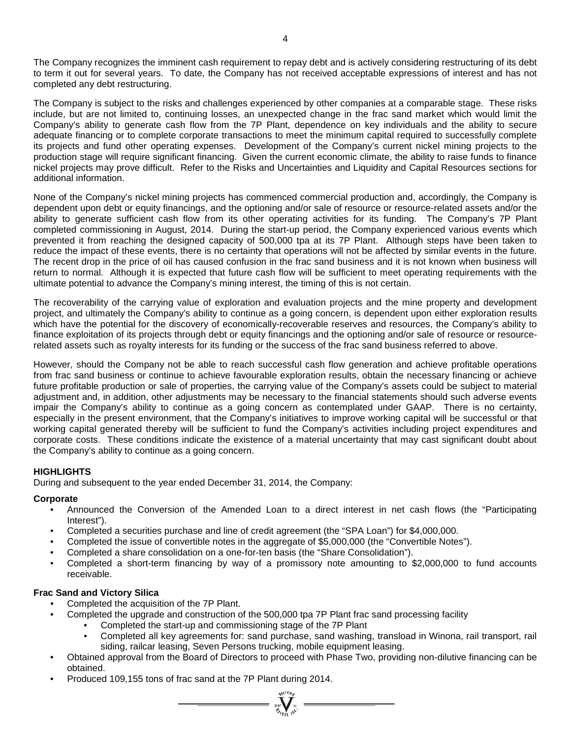The Company recognizes the imminent cash requirement to repay debt and is actively considering restructuring of its debt to term it out for several years. To date, the Company has not received acceptable expressions of interest and has not completed any debt restructuring.

The Company is subject to the risks and challenges experienced by other companies at a comparable stage. These risks include, but are not limited to, continuing losses, an unexpected change in the frac sand market which would limit the Company's ability to generate cash flow from the 7P Plant, dependence on key individuals and the ability to secure adequate financing or to complete corporate transactions to meet the minimum capital required to successfully complete its projects and fund other operating expenses. Development of the Company's current nickel mining projects to the production stage will require significant financing. Given the current economic climate, the ability to raise funds to finance nickel projects may prove difficult. Refer to the Risks and Uncertainties and Liquidity and Capital Resources sections for additional information.

None of the Company's nickel mining projects has commenced commercial production and, accordingly, the Company is dependent upon debt or equity financings, and the optioning and/or sale of resource or resource-related assets and/or the ability to generate sufficient cash flow from its other operating activities for its funding. The Company's 7P Plant completed commissioning in August, 2014. During the start-up period, the Company experienced various events which prevented it from reaching the designed capacity of 500,000 tpa at its 7P Plant. Although steps have been taken to reduce the impact of these events, there is no certainty that operations will not be affected by similar events in the future. The recent drop in the price of oil has caused confusion in the frac sand business and it is not known when business will return to normal. Although it is expected that future cash flow will be sufficient to meet operating requirements with the ultimate potential to advance the Company's mining interest, the timing of this is not certain.

The recoverability of the carrying value of exploration and evaluation projects and the mine property and development project, and ultimately the Company's ability to continue as a going concern, is dependent upon either exploration results which have the potential for the discovery of economically-recoverable reserves and resources, the Company's ability to finance exploitation of its projects through debt or equity financings and the optioning and/or sale of resource or resourcerelated assets such as royalty interests for its funding or the success of the frac sand business referred to above.

However, should the Company not be able to reach successful cash flow generation and achieve profitable operations from frac sand business or continue to achieve favourable exploration results, obtain the necessary financing or achieve future profitable production or sale of properties, the carrying value of the Company's assets could be subject to material adjustment and, in addition, other adjustments may be necessary to the financial statements should such adverse events impair the Company's ability to continue as a going concern as contemplated under GAAP. There is no certainty, especially in the present environment, that the Company's initiatives to improve working capital will be successful or that working capital generated thereby will be sufficient to fund the Company's activities including project expenditures and corporate costs. These conditions indicate the existence of a material uncertainty that may cast significant doubt about the Company's ability to continue as a going concern.

# **HIGHLIGHTS**

During and subsequent to the year ended December 31, 2014, the Company:

# **Corporate**

- Announced the Conversion of the Amended Loan to a direct interest in net cash flows (the "Participating Interest").
- Completed a securities purchase and line of credit agreement (the "SPA Loan") for \$4,000,000.
- Completed the issue of convertible notes in the aggregate of \$5,000,000 (the "Convertible Notes").
- Completed a share consolidation on a one-for-ten basis (the "Share Consolidation").
- Completed a short-term financing by way of a promissory note amounting to \$2,000,000 to fund accounts receivable.

#### **Frac Sand and Victory Silica**

- Completed the acquisition of the 7P Plant.
- Completed the upgrade and construction of the 500,000 tpa 7P Plant frac sand processing facility
	- Completed the start-up and commissioning stage of the 7P Plant
		- Completed all key agreements for: sand purchase, sand washing, transload in Winona, rail transport, rail siding, railcar leasing, Seven Persons trucking, mobile equipment leasing.
- Obtained approval from the Board of Directors to proceed with Phase Two, providing non-dilutive financing can be obtained.

 $= \sum_{n=1}^{\infty} \frac{1}{n!}$ 

• Produced 109,155 tons of frac sand at the 7P Plant during 2014.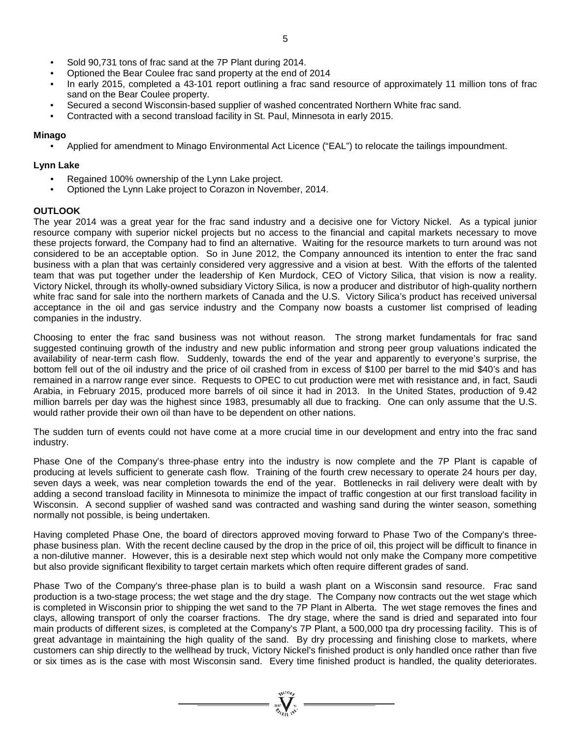- Sold 90,731 tons of frac sand at the 7P Plant during 2014.
- Optioned the Bear Coulee frac sand property at the end of 2014
- In early 2015, completed a 43-101 report outlining a frac sand resource of approximately 11 million tons of frac sand on the Bear Coulee property.
- Secured a second Wisconsin-based supplier of washed concentrated Northern White frac sand.
- Contracted with a second transload facility in St. Paul, Minnesota in early 2015.

#### **Minago**

• Applied for amendment to Minago Environmental Act Licence ("EAL") to relocate the tailings impoundment.

#### **Lynn Lake**

- Regained 100% ownership of the Lynn Lake project.
- Optioned the Lynn Lake project to Corazon in November, 2014.

#### **OUTLOOK**

The year 2014 was a great year for the frac sand industry and a decisive one for Victory Nickel. As a typical junior resource company with superior nickel projects but no access to the financial and capital markets necessary to move these projects forward, the Company had to find an alternative. Waiting for the resource markets to turn around was not considered to be an acceptable option. So in June 2012, the Company announced its intention to enter the frac sand business with a plan that was certainly considered very aggressive and a vision at best. With the efforts of the talented team that was put together under the leadership of Ken Murdock, CEO of Victory Silica, that vision is now a reality. Victory Nickel, through its wholly-owned subsidiary Victory Silica, is now a producer and distributor of high-quality northern white frac sand for sale into the northern markets of Canada and the U.S. Victory Silica's product has received universal acceptance in the oil and gas service industry and the Company now boasts a customer list comprised of leading companies in the industry.

Choosing to enter the frac sand business was not without reason. The strong market fundamentals for frac sand suggested continuing growth of the industry and new public information and strong peer group valuations indicated the availability of near-term cash flow. Suddenly, towards the end of the year and apparently to everyone's surprise, the bottom fell out of the oil industry and the price of oil crashed from in excess of \$100 per barrel to the mid \$40's and has remained in a narrow range ever since. Requests to OPEC to cut production were met with resistance and, in fact, Saudi Arabia, in February 2015, produced more barrels of oil since it had in 2013. In the United States, production of 9.42 million barrels per day was the highest since 1983, presumably all due to fracking. One can only assume that the U.S. would rather provide their own oil than have to be dependent on other nations.

The sudden turn of events could not have come at a more crucial time in our development and entry into the frac sand industry.

Phase One of the Company's three-phase entry into the industry is now complete and the 7P Plant is capable of producing at levels sufficient to generate cash flow. Training of the fourth crew necessary to operate 24 hours per day, seven days a week, was near completion towards the end of the year. Bottlenecks in rail delivery were dealt with by adding a second transload facility in Minnesota to minimize the impact of traffic congestion at our first transload facility in Wisconsin. A second supplier of washed sand was contracted and washing sand during the winter season, something normally not possible, is being undertaken.

Having completed Phase One, the board of directors approved moving forward to Phase Two of the Company's threephase business plan. With the recent decline caused by the drop in the price of oil, this project will be difficult to finance in a non-dilutive manner. However, this is a desirable next step which would not only make the Company more competitive but also provide significant flexibility to target certain markets which often require different grades of sand.

Phase Two of the Company's three-phase plan is to build a wash plant on a Wisconsin sand resource. Frac sand production is a two-stage process; the wet stage and the dry stage. The Company now contracts out the wet stage which is completed in Wisconsin prior to shipping the wet sand to the 7P Plant in Alberta. The wet stage removes the fines and clays, allowing transport of only the coarser fractions. The dry stage, where the sand is dried and separated into four main products of different sizes, is completed at the Company's 7P Plant, a 500,000 tpa dry processing facility. This is of great advantage in maintaining the high quality of the sand. By dry processing and finishing close to markets, where customers can ship directly to the wellhead by truck, Victory Nickel's finished product is only handled once rather than five or six times as is the case with most Wisconsin sand. Every time finished product is handled, the quality deteriorates.

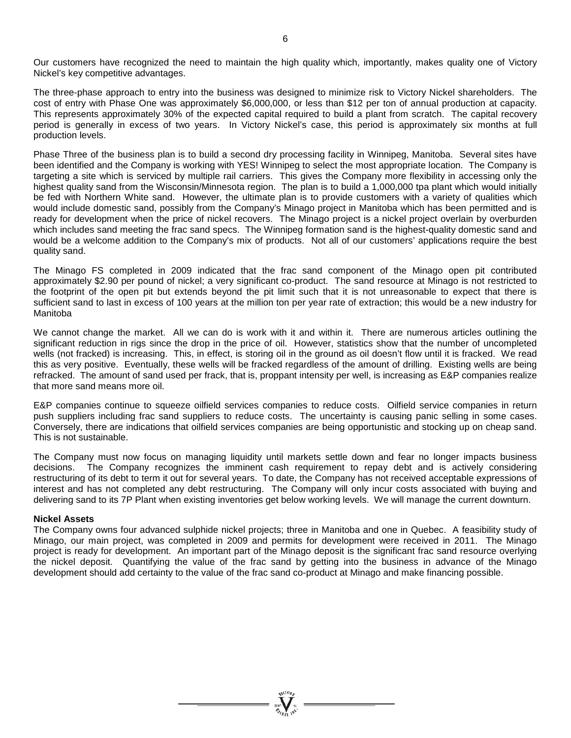Our customers have recognized the need to maintain the high quality which, importantly, makes quality one of Victory Nickel's key competitive advantages.

The three-phase approach to entry into the business was designed to minimize risk to Victory Nickel shareholders. The cost of entry with Phase One was approximately \$6,000,000, or less than \$12 per ton of annual production at capacity. This represents approximately 30% of the expected capital required to build a plant from scratch. The capital recovery period is generally in excess of two years. In Victory Nickel's case, this period is approximately six months at full production levels.

Phase Three of the business plan is to build a second dry processing facility in Winnipeg, Manitoba. Several sites have been identified and the Company is working with YES! Winnipeg to select the most appropriate location. The Company is targeting a site which is serviced by multiple rail carriers. This gives the Company more flexibility in accessing only the highest quality sand from the Wisconsin/Minnesota region. The plan is to build a 1,000,000 tpa plant which would initially be fed with Northern White sand. However, the ultimate plan is to provide customers with a variety of qualities which would include domestic sand, possibly from the Company's Minago project in Manitoba which has been permitted and is ready for development when the price of nickel recovers. The Minago project is a nickel project overlain by overburden which includes sand meeting the frac sand specs. The Winnipeg formation sand is the highest-quality domestic sand and would be a welcome addition to the Company's mix of products. Not all of our customers' applications require the best quality sand.

The Minago FS completed in 2009 indicated that the frac sand component of the Minago open pit contributed approximately \$2.90 per pound of nickel; a very significant co-product. The sand resource at Minago is not restricted to the footprint of the open pit but extends beyond the pit limit such that it is not unreasonable to expect that there is sufficient sand to last in excess of 100 years at the million ton per year rate of extraction; this would be a new industry for Manitoba

We cannot change the market. All we can do is work with it and within it. There are numerous articles outlining the significant reduction in rigs since the drop in the price of oil. However, statistics show that the number of uncompleted wells (not fracked) is increasing. This, in effect, is storing oil in the ground as oil doesn't flow until it is fracked. We read this as very positive. Eventually, these wells will be fracked regardless of the amount of drilling. Existing wells are being refracked. The amount of sand used per frack, that is, proppant intensity per well, is increasing as E&P companies realize that more sand means more oil.

E&P companies continue to squeeze oilfield services companies to reduce costs. Oilfield service companies in return push suppliers including frac sand suppliers to reduce costs. The uncertainty is causing panic selling in some cases. Conversely, there are indications that oilfield services companies are being opportunistic and stocking up on cheap sand. This is not sustainable.

The Company must now focus on managing liquidity until markets settle down and fear no longer impacts business decisions. The Company recognizes the imminent cash requirement to repay debt and is actively considering restructuring of its debt to term it out for several years. To date, the Company has not received acceptable expressions of interest and has not completed any debt restructuring. The Company will only incur costs associated with buying and delivering sand to its 7P Plant when existing inventories get below working levels. We will manage the current downturn.

#### **Nickel Assets**

The Company owns four advanced sulphide nickel projects; three in Manitoba and one in Quebec. A feasibility study of Minago, our main project, was completed in 2009 and permits for development were received in 2011. The Minago project is ready for development. An important part of the Minago deposit is the significant frac sand resource overlying the nickel deposit. Quantifying the value of the frac sand by getting into the business in advance of the Minago development should add certainty to the value of the frac sand co-product at Minago and make financing possible.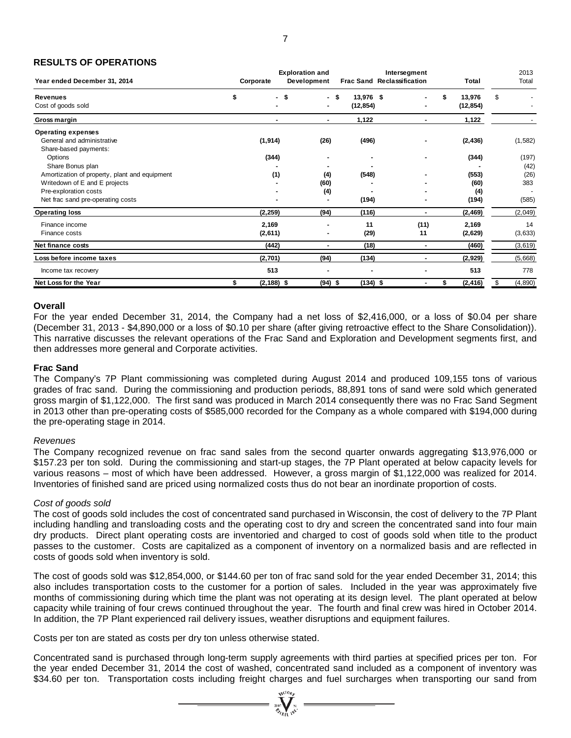## **RESULTS OF OPERATIONS**

| Year ended December 31, 2014                                                   | Corporate           | <b>Exploration and</b><br>Development |                        | Intersegment<br><b>Frac Sand Reclassification</b> | Total                     | 2013<br>Total  |
|--------------------------------------------------------------------------------|---------------------|---------------------------------------|------------------------|---------------------------------------------------|---------------------------|----------------|
| <b>Revenues</b><br>Cost of goods sold                                          | \$<br>- \$          | - \$<br>$\blacksquare$                | 13,976 \$<br>(12, 854) |                                                   | 13,976<br>\$<br>(12, 854) | \$             |
| Gross margin                                                                   |                     | ۰                                     | 1,122                  |                                                   | 1,122                     |                |
| <b>Operating expenses</b><br>General and administrative                        | (1, 914)            | (26)                                  | (496)                  |                                                   | (2, 436)                  | (1, 582)       |
| Share-based payments:<br>Options<br>Share Bonus plan                           | (344)               |                                       |                        |                                                   | (344)                     | (197)<br>(42)  |
| Amortization of property, plant and equipment<br>Writedown of E and E projects | (1)                 | (4)<br>(60)                           | (548)                  |                                                   | (553)<br>(60)             | (26)<br>383    |
| Pre-exploration costs<br>Net frac sand pre-operating costs                     |                     | (4)                                   | (194)                  |                                                   | (4)<br>(194)              | (585)          |
| <b>Operating loss</b>                                                          | (2, 259)            | (94)                                  | (116)                  | $\blacksquare$                                    | (2, 469)                  | (2,049)        |
| Finance income<br>Finance costs                                                | 2,169<br>(2,611)    |                                       | 11<br>(29)             | (11)<br>11                                        | 2,169<br>(2,629)          | 14<br>(3,633)  |
| Net finance costs                                                              | (442)               |                                       | (18)                   | $\blacksquare$                                    | (460)                     | (3,619)        |
| Loss before income taxes                                                       | (2,701)             | (94)                                  | (134)                  | $\overline{\phantom{a}}$                          | (2,929)                   | (5,668)        |
| Income tax recovery                                                            | 513                 |                                       |                        |                                                   | 513                       | 778            |
| Net Loss for the Year                                                          | \$<br>$(2, 188)$ \$ | $(94)$ \$                             | $(134)$ \$             | ۰                                                 | (2, 416)<br>\$            | (4, 890)<br>\$ |

#### **Overall**

For the year ended December 31, 2014, the Company had a net loss of \$2,416,000, or a loss of \$0.04 per share (December 31, 2013 - \$4,890,000 or a loss of \$0.10 per share (after giving retroactive effect to the Share Consolidation)). This narrative discusses the relevant operations of the Frac Sand and Exploration and Development segments first, and then addresses more general and Corporate activities.

#### **Frac Sand**

The Company's 7P Plant commissioning was completed during August 2014 and produced 109,155 tons of various grades of frac sand. During the commissioning and production periods, 88,891 tons of sand were sold which generated gross margin of \$1,122,000. The first sand was produced in March 2014 consequently there was no Frac Sand Segment in 2013 other than pre-operating costs of \$585,000 recorded for the Company as a whole compared with \$194,000 during the pre-operating stage in 2014.

#### *Revenues*

The Company recognized revenue on frac sand sales from the second quarter onwards aggregating \$13,976,000 or \$157.23 per ton sold. During the commissioning and start-up stages, the 7P Plant operated at below capacity levels for various reasons – most of which have been addressed. However, a gross margin of \$1,122,000 was realized for 2014. Inventories of finished sand are priced using normalized costs thus do not bear an inordinate proportion of costs.

#### *Cost of goods sold*

The cost of goods sold includes the cost of concentrated sand purchased in Wisconsin, the cost of delivery to the 7P Plant including handling and transloading costs and the operating cost to dry and screen the concentrated sand into four main dry products. Direct plant operating costs are inventoried and charged to cost of goods sold when title to the product passes to the customer. Costs are capitalized as a component of inventory on a normalized basis and are reflected in costs of goods sold when inventory is sold.

The cost of goods sold was \$12,854,000, or \$144.60 per ton of frac sand sold for the year ended December 31, 2014; this also includes transportation costs to the customer for a portion of sales. Included in the year was approximately five months of commissioning during which time the plant was not operating at its design level. The plant operated at below capacity while training of four crews continued throughout the year. The fourth and final crew was hired in October 2014. In addition, the 7P Plant experienced rail delivery issues, weather disruptions and equipment failures.

Costs per ton are stated as costs per dry ton unless otherwise stated.

Concentrated sand is purchased through long-term supply agreements with third parties at specified prices per ton. For the year ended December 31, 2014 the cost of washed, concentrated sand included as a component of inventory was \$34.60 per ton. Transportation costs including freight charges and fuel surcharges when transporting our sand from

 $\sum_{\alpha}$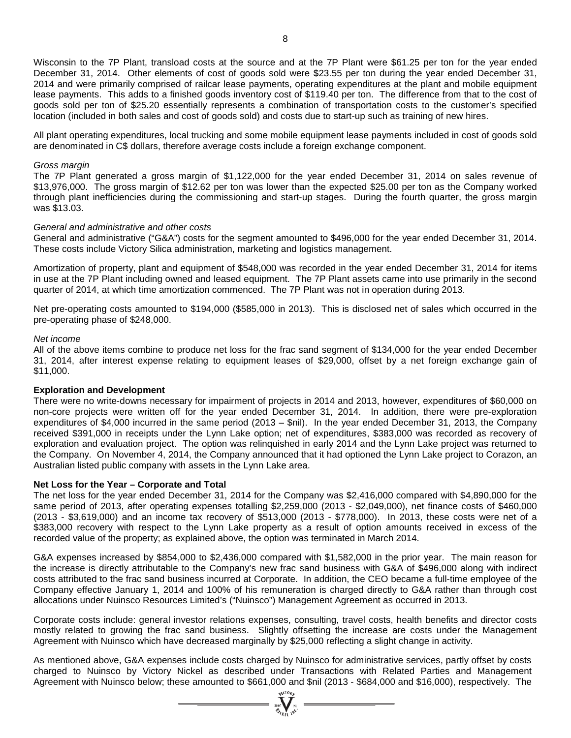Wisconsin to the 7P Plant, transload costs at the source and at the 7P Plant were \$61.25 per ton for the year ended December 31, 2014. Other elements of cost of goods sold were \$23.55 per ton during the year ended December 31, 2014 and were primarily comprised of railcar lease payments, operating expenditures at the plant and mobile equipment lease payments. This adds to a finished goods inventory cost of \$119.40 per ton. The difference from that to the cost of goods sold per ton of \$25.20 essentially represents a combination of transportation costs to the customer's specified location (included in both sales and cost of goods sold) and costs due to start-up such as training of new hires.

All plant operating expenditures, local trucking and some mobile equipment lease payments included in cost of goods sold are denominated in C\$ dollars, therefore average costs include a foreign exchange component.

#### *Gross margin*

The 7P Plant generated a gross margin of \$1,122,000 for the year ended December 31, 2014 on sales revenue of \$13,976,000. The gross margin of \$12.62 per ton was lower than the expected \$25.00 per ton as the Company worked through plant inefficiencies during the commissioning and start-up stages. During the fourth quarter, the gross margin was \$13.03.

#### *General and administrative and other costs*

General and administrative ("G&A") costs for the segment amounted to \$496,000 for the year ended December 31, 2014. These costs include Victory Silica administration, marketing and logistics management.

Amortization of property, plant and equipment of \$548,000 was recorded in the year ended December 31, 2014 for items in use at the 7P Plant including owned and leased equipment. The 7P Plant assets came into use primarily in the second quarter of 2014, at which time amortization commenced. The 7P Plant was not in operation during 2013.

Net pre-operating costs amounted to \$194,000 (\$585,000 in 2013). This is disclosed net of sales which occurred in the pre-operating phase of \$248,000.

#### *Net income*

All of the above items combine to produce net loss for the frac sand segment of \$134,000 for the year ended December 31, 2014, after interest expense relating to equipment leases of \$29,000, offset by a net foreign exchange gain of \$11,000.

#### **Exploration and Development**

There were no write-downs necessary for impairment of projects in 2014 and 2013, however, expenditures of \$60,000 on non-core projects were written off for the year ended December 31, 2014. In addition, there were pre-exploration expenditures of \$4,000 incurred in the same period (2013 – \$nil). In the year ended December 31, 2013, the Company received \$391,000 in receipts under the Lynn Lake option; net of expenditures, \$383,000 was recorded as recovery of exploration and evaluation project. The option was relinquished in early 2014 and the Lynn Lake project was returned to the Company. On November 4, 2014, the Company announced that it had optioned the Lynn Lake project to Corazon, an Australian listed public company with assets in the Lynn Lake area.

#### **Net Loss for the Year – Corporate and Total**

The net loss for the year ended December 31, 2014 for the Company was \$2,416,000 compared with \$4,890,000 for the same period of 2013, after operating expenses totalling \$2,259,000 (2013 - \$2,049,000), net finance costs of \$460,000 (2013 - \$3,619,000) and an income tax recovery of \$513,000 (2013 - \$778,000). In 2013, these costs were net of a \$383,000 recovery with respect to the Lynn Lake property as a result of option amounts received in excess of the recorded value of the property; as explained above, the option was terminated in March 2014.

G&A expenses increased by \$854,000 to \$2,436,000 compared with \$1,582,000 in the prior year. The main reason for the increase is directly attributable to the Company's new frac sand business with G&A of \$496,000 along with indirect costs attributed to the frac sand business incurred at Corporate. In addition, the CEO became a full-time employee of the Company effective January 1, 2014 and 100% of his remuneration is charged directly to G&A rather than through cost allocations under Nuinsco Resources Limited's ("Nuinsco") Management Agreement as occurred in 2013.

Corporate costs include: general investor relations expenses, consulting, travel costs, health benefits and director costs mostly related to growing the frac sand business. Slightly offsetting the increase are costs under the Management Agreement with Nuinsco which have decreased marginally by \$25,000 reflecting a slight change in activity.

As mentioned above, G&A expenses include costs charged by Nuinsco for administrative services, partly offset by costs charged to Nuinsco by Victory Nickel as described under Transactions with Related Parties and Management Agreement with Nuinsco below; these amounted to \$661,000 and \$nil (2013 - \$684,000 and \$16,000), respectively. The

 $\sum_{\alpha}$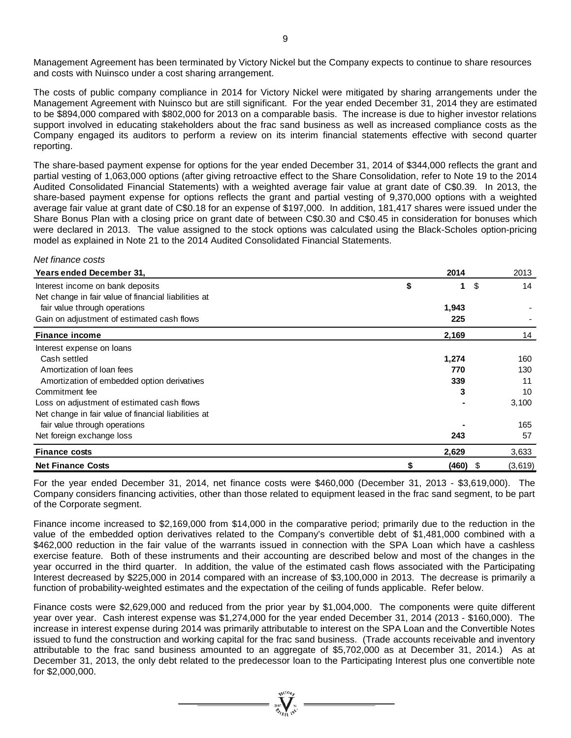Management Agreement has been terminated by Victory Nickel but the Company expects to continue to share resources and costs with Nuinsco under a cost sharing arrangement.

The costs of public company compliance in 2014 for Victory Nickel were mitigated by sharing arrangements under the Management Agreement with Nuinsco but are still significant. For the year ended December 31, 2014 they are estimated to be \$894,000 compared with \$802,000 for 2013 on a comparable basis. The increase is due to higher investor relations support involved in educating stakeholders about the frac sand business as well as increased compliance costs as the Company engaged its auditors to perform a review on its interim financial statements effective with second quarter reporting.

The share-based payment expense for options for the year ended December 31, 2014 of \$344,000 reflects the grant and partial vesting of 1,063,000 options (after giving retroactive effect to the Share Consolidation, refer to Note 19 to the 2014 Audited Consolidated Financial Statements) with a weighted average fair value at grant date of C\$0.39. In 2013, the share-based payment expense for options reflects the grant and partial vesting of 9,370,000 options with a weighted average fair value at grant date of C\$0.18 for an expense of \$197,000. In addition, 181,417 shares were issued under the Share Bonus Plan with a closing price on grant date of between C\$0.30 and C\$0.45 in consideration for bonuses which were declared in 2013. The value assigned to the stock options was calculated using the Black-Scholes option-pricing model as explained in Note 21 to the 2014 Audited Consolidated Financial Statements.

#### *Net finance costs*

| <b>Years ended December 31,</b>                      | 2014  |       |    | 2013    |
|------------------------------------------------------|-------|-------|----|---------|
| Interest income on bank deposits                     | \$    | 1     | \$ | 14      |
| Net change in fair value of financial liabilities at |       |       |    |         |
| fair value through operations                        | 1,943 |       |    |         |
| Gain on adjustment of estimated cash flows           |       | 225   |    |         |
| <b>Finance income</b>                                | 2,169 |       |    | 14      |
| Interest expense on loans                            |       |       |    |         |
| Cash settled                                         | 1,274 |       |    | 160     |
| Amortization of loan fees                            |       | 770   |    | 130     |
| Amortization of embedded option derivatives          |       | 339   |    | 11      |
| Commitment fee                                       |       | 3     |    | 10      |
| Loss on adjustment of estimated cash flows           |       |       |    | 3,100   |
| Net change in fair value of financial liabilities at |       |       |    |         |
| fair value through operations                        |       |       |    | 165     |
| Net foreign exchange loss                            |       | 243   |    | 57      |
| <b>Finance costs</b>                                 | 2,629 |       |    | 3,633   |
| <b>Net Finance Costs</b>                             |       | (460) | S  | (3,619) |

For the year ended December 31, 2014, net finance costs were \$460,000 (December 31, 2013 - \$3,619,000). The Company considers financing activities, other than those related to equipment leased in the frac sand segment, to be part of the Corporate segment.

Finance income increased to \$2,169,000 from \$14,000 in the comparative period; primarily due to the reduction in the value of the embedded option derivatives related to the Company's convertible debt of \$1,481,000 combined with a \$462,000 reduction in the fair value of the warrants issued in connection with the SPA Loan which have a cashless exercise feature. Both of these instruments and their accounting are described below and most of the changes in the year occurred in the third quarter. In addition, the value of the estimated cash flows associated with the Participating Interest decreased by \$225,000 in 2014 compared with an increase of \$3,100,000 in 2013. The decrease is primarily a function of probability-weighted estimates and the expectation of the ceiling of funds applicable. Refer below.

Finance costs were \$2,629,000 and reduced from the prior year by \$1,004,000. The components were quite different year over year. Cash interest expense was \$1,274,000 for the year ended December 31, 2014 (2013 - \$160,000). The increase in interest expense during 2014 was primarily attributable to interest on the SPA Loan and the Convertible Notes issued to fund the construction and working capital for the frac sand business. (Trade accounts receivable and inventory attributable to the frac sand business amounted to an aggregate of \$5,702,000 as at December 31, 2014.) As at December 31, 2013, the only debt related to the predecessor loan to the Participating Interest plus one convertible note for \$2,000,000.

=  $\sum_{x=0}^{\sqrt{100}h}$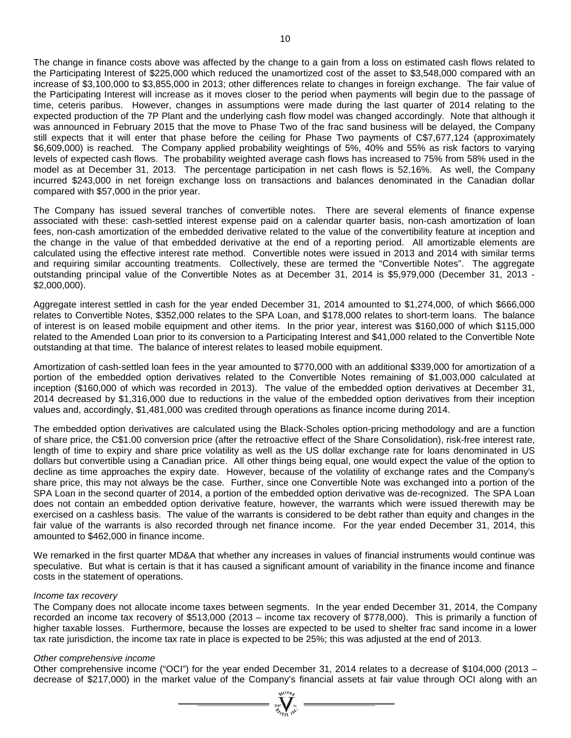The change in finance costs above was affected by the change to a gain from a loss on estimated cash flows related to the Participating Interest of \$225,000 which reduced the unamortized cost of the asset to \$3,548,000 compared with an increase of \$3,100,000 to \$3,855,000 in 2013; other differences relate to changes in foreign exchange. The fair value of the Participating Interest will increase as it moves closer to the period when payments will begin due to the passage of time, ceteris paribus. However, changes in assumptions were made during the last quarter of 2014 relating to the expected production of the 7P Plant and the underlying cash flow model was changed accordingly. Note that although it was announced in February 2015 that the move to Phase Two of the frac sand business will be delayed, the Company still expects that it will enter that phase before the ceiling for Phase Two payments of C\$7,677,124 (approximately \$6,609,000) is reached. The Company applied probability weightings of 5%, 40% and 55% as risk factors to varying levels of expected cash flows. The probability weighted average cash flows has increased to 75% from 58% used in the model as at December 31, 2013. The percentage participation in net cash flows is 52.16%. As well, the Company incurred \$243,000 in net foreign exchange loss on transactions and balances denominated in the Canadian dollar compared with \$57,000 in the prior year.

The Company has issued several tranches of convertible notes. There are several elements of finance expense associated with these: cash-settled interest expense paid on a calendar quarter basis, non-cash amortization of loan fees, non-cash amortization of the embedded derivative related to the value of the convertibility feature at inception and the change in the value of that embedded derivative at the end of a reporting period. All amortizable elements are calculated using the effective interest rate method. Convertible notes were issued in 2013 and 2014 with similar terms and requiring similar accounting treatments. Collectively, these are termed the "Convertible Notes". The aggregate outstanding principal value of the Convertible Notes as at December 31, 2014 is \$5,979,000 (December 31, 2013 - \$2,000,000).

Aggregate interest settled in cash for the year ended December 31, 2014 amounted to \$1,274,000, of which \$666,000 relates to Convertible Notes, \$352,000 relates to the SPA Loan, and \$178,000 relates to short-term loans. The balance of interest is on leased mobile equipment and other items. In the prior year, interest was \$160,000 of which \$115,000 related to the Amended Loan prior to its conversion to a Participating Interest and \$41,000 related to the Convertible Note outstanding at that time. The balance of interest relates to leased mobile equipment.

Amortization of cash-settled loan fees in the year amounted to \$770,000 with an additional \$339,000 for amortization of a portion of the embedded option derivatives related to the Convertible Notes remaining of \$1,003,000 calculated at inception (\$160,000 of which was recorded in 2013). The value of the embedded option derivatives at December 31, 2014 decreased by \$1,316,000 due to reductions in the value of the embedded option derivatives from their inception values and, accordingly, \$1,481,000 was credited through operations as finance income during 2014.

The embedded option derivatives are calculated using the Black-Scholes option-pricing methodology and are a function of share price, the C\$1.00 conversion price (after the retroactive effect of the Share Consolidation), risk-free interest rate, length of time to expiry and share price volatility as well as the US dollar exchange rate for loans denominated in US dollars but convertible using a Canadian price. All other things being equal, one would expect the value of the option to decline as time approaches the expiry date. However, because of the volatility of exchange rates and the Company's share price, this may not always be the case. Further, since one Convertible Note was exchanged into a portion of the SPA Loan in the second quarter of 2014, a portion of the embedded option derivative was de-recognized. The SPA Loan does not contain an embedded option derivative feature, however, the warrants which were issued therewith may be exercised on a cashless basis. The value of the warrants is considered to be debt rather than equity and changes in the fair value of the warrants is also recorded through net finance income. For the year ended December 31, 2014, this amounted to \$462,000 in finance income.

We remarked in the first quarter MD&A that whether any increases in values of financial instruments would continue was speculative. But what is certain is that it has caused a significant amount of variability in the finance income and finance costs in the statement of operations.

#### *Income tax recovery*

The Company does not allocate income taxes between segments. In the year ended December 31, 2014, the Company recorded an income tax recovery of \$513,000 (2013 – income tax recovery of \$778,000). This is primarily a function of higher taxable losses. Furthermore, because the losses are expected to be used to shelter frac sand income in a lower tax rate jurisdiction, the income tax rate in place is expected to be 25%; this was adjusted at the end of 2013.

#### *Other comprehensive income*

Other comprehensive income ("OCI") for the year ended December 31, 2014 relates to a decrease of \$104,000 (2013 – decrease of \$217,000) in the market value of the Company's financial assets at fair value through OCI along with an

 $\sum_{\alpha}$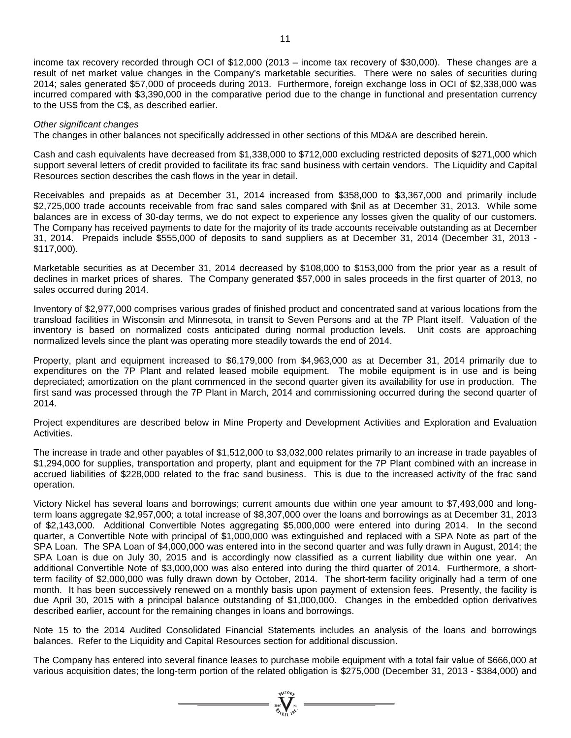income tax recovery recorded through OCI of \$12,000 (2013 – income tax recovery of \$30,000). These changes are a result of net market value changes in the Company's marketable securities. There were no sales of securities during 2014; sales generated \$57,000 of proceeds during 2013. Furthermore, foreign exchange loss in OCI of \$2,338,000 was incurred compared with \$3,390,000 in the comparative period due to the change in functional and presentation currency to the US\$ from the C\$, as described earlier.

#### *Other significant changes*

The changes in other balances not specifically addressed in other sections of this MD&A are described herein.

Cash and cash equivalents have decreased from \$1,338,000 to \$712,000 excluding restricted deposits of \$271,000 which support several letters of credit provided to facilitate its frac sand business with certain vendors. The Liquidity and Capital Resources section describes the cash flows in the year in detail.

Receivables and prepaids as at December 31, 2014 increased from \$358,000 to \$3,367,000 and primarily include \$2,725,000 trade accounts receivable from frac sand sales compared with \$nil as at December 31, 2013. While some balances are in excess of 30-day terms, we do not expect to experience any losses given the quality of our customers. The Company has received payments to date for the majority of its trade accounts receivable outstanding as at December 31, 2014. Prepaids include \$555,000 of deposits to sand suppliers as at December 31, 2014 (December 31, 2013 - \$117,000).

Marketable securities as at December 31, 2014 decreased by \$108,000 to \$153,000 from the prior year as a result of declines in market prices of shares. The Company generated \$57,000 in sales proceeds in the first quarter of 2013, no sales occurred during 2014.

Inventory of \$2,977,000 comprises various grades of finished product and concentrated sand at various locations from the transload facilities in Wisconsin and Minnesota, in transit to Seven Persons and at the 7P Plant itself. Valuation of the inventory is based on normalized costs anticipated during normal production levels. Unit costs are approaching normalized levels since the plant was operating more steadily towards the end of 2014.

Property, plant and equipment increased to \$6,179,000 from \$4,963,000 as at December 31, 2014 primarily due to expenditures on the 7P Plant and related leased mobile equipment. The mobile equipment is in use and is being depreciated; amortization on the plant commenced in the second quarter given its availability for use in production. The first sand was processed through the 7P Plant in March, 2014 and commissioning occurred during the second quarter of 2014.

Project expenditures are described below in Mine Property and Development Activities and Exploration and Evaluation **Activities** 

The increase in trade and other payables of \$1,512,000 to \$3,032,000 relates primarily to an increase in trade payables of \$1,294,000 for supplies, transportation and property, plant and equipment for the 7P Plant combined with an increase in accrued liabilities of \$228,000 related to the frac sand business. This is due to the increased activity of the frac sand operation.

Victory Nickel has several loans and borrowings; current amounts due within one year amount to \$7,493,000 and longterm loans aggregate \$2,957,000; a total increase of \$8,307,000 over the loans and borrowings as at December 31, 2013 of \$2,143,000. Additional Convertible Notes aggregating \$5,000,000 were entered into during 2014. In the second quarter, a Convertible Note with principal of \$1,000,000 was extinguished and replaced with a SPA Note as part of the SPA Loan. The SPA Loan of \$4,000,000 was entered into in the second quarter and was fully drawn in August, 2014; the SPA Loan is due on July 30, 2015 and is accordingly now classified as a current liability due within one year. An additional Convertible Note of \$3,000,000 was also entered into during the third quarter of 2014. Furthermore, a shortterm facility of \$2,000,000 was fully drawn down by October, 2014. The short-term facility originally had a term of one month. It has been successively renewed on a monthly basis upon payment of extension fees. Presently, the facility is due April 30, 2015 with a principal balance outstanding of \$1,000,000. Changes in the embedded option derivatives described earlier, account for the remaining changes in loans and borrowings.

Note 15 to the 2014 Audited Consolidated Financial Statements includes an analysis of the loans and borrowings balances. Refer to the Liquidity and Capital Resources section for additional discussion.

The Company has entered into several finance leases to purchase mobile equipment with a total fair value of \$666,000 at various acquisition dates; the long-term portion of the related obligation is \$275,000 (December 31, 2013 - \$384,000) and

=  $\sum_{n=1}^{\infty} \sum_{n=1}^{\infty} \sum_{n=1}^{\infty}$  =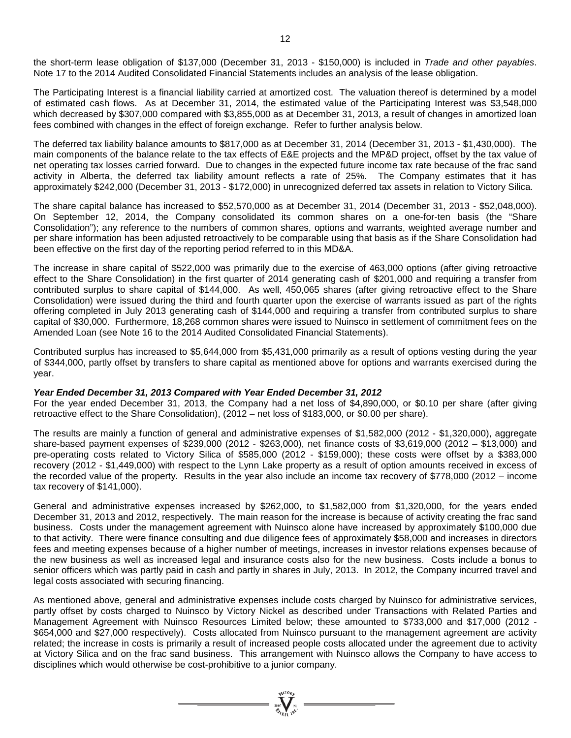the short-term lease obligation of \$137,000 (December 31, 2013 - \$150,000) is included in *Trade and other payables*. Note 17 to the 2014 Audited Consolidated Financial Statements includes an analysis of the lease obligation.

The Participating Interest is a financial liability carried at amortized cost. The valuation thereof is determined by a model of estimated cash flows. As at December 31, 2014, the estimated value of the Participating Interest was \$3,548,000 which decreased by \$307,000 compared with \$3,855,000 as at December 31, 2013, a result of changes in amortized loan fees combined with changes in the effect of foreign exchange. Refer to further analysis below.

The deferred tax liability balance amounts to \$817,000 as at December 31, 2014 (December 31, 2013 - \$1,430,000). The main components of the balance relate to the tax effects of E&E projects and the MP&D project, offset by the tax value of net operating tax losses carried forward. Due to changes in the expected future income tax rate because of the frac sand activity in Alberta, the deferred tax liability amount reflects a rate of 25%. The Company estimates that it has approximately \$242,000 (December 31, 2013 - \$172,000) in unrecognized deferred tax assets in relation to Victory Silica.

The share capital balance has increased to \$52,570,000 as at December 31, 2014 (December 31, 2013 - \$52,048,000). On September 12, 2014, the Company consolidated its common shares on a one-for-ten basis (the "Share Consolidation"); any reference to the numbers of common shares, options and warrants, weighted average number and per share information has been adjusted retroactively to be comparable using that basis as if the Share Consolidation had been effective on the first day of the reporting period referred to in this MD&A.

The increase in share capital of \$522,000 was primarily due to the exercise of 463,000 options (after giving retroactive effect to the Share Consolidation) in the first quarter of 2014 generating cash of \$201,000 and requiring a transfer from contributed surplus to share capital of \$144,000. As well, 450,065 shares (after giving retroactive effect to the Share Consolidation) were issued during the third and fourth quarter upon the exercise of warrants issued as part of the rights offering completed in July 2013 generating cash of \$144,000 and requiring a transfer from contributed surplus to share capital of \$30,000. Furthermore, 18,268 common shares were issued to Nuinsco in settlement of commitment fees on the Amended Loan (see Note 16 to the 2014 Audited Consolidated Financial Statements).

Contributed surplus has increased to \$5,644,000 from \$5,431,000 primarily as a result of options vesting during the year of \$344,000, partly offset by transfers to share capital as mentioned above for options and warrants exercised during the year.

#### *Year Ended December 31, 2013 Compared with Year Ended December 31, 2012*

For the year ended December 31, 2013, the Company had a net loss of \$4,890,000, or \$0.10 per share (after giving retroactive effect to the Share Consolidation), (2012 – net loss of \$183,000, or \$0.00 per share).

The results are mainly a function of general and administrative expenses of \$1,582,000 (2012 - \$1,320,000), aggregate share-based payment expenses of \$239,000 (2012 - \$263,000), net finance costs of \$3,619,000 (2012 – \$13,000) and pre-operating costs related to Victory Silica of \$585,000 (2012 - \$159,000); these costs were offset by a \$383,000 recovery (2012 - \$1,449,000) with respect to the Lynn Lake property as a result of option amounts received in excess of the recorded value of the property. Results in the year also include an income tax recovery of \$778,000 (2012 – income tax recovery of \$141,000).

General and administrative expenses increased by \$262,000, to \$1,582,000 from \$1,320,000, for the years ended December 31, 2013 and 2012, respectively. The main reason for the increase is because of activity creating the frac sand business. Costs under the management agreement with Nuinsco alone have increased by approximately \$100,000 due to that activity. There were finance consulting and due diligence fees of approximately \$58,000 and increases in directors fees and meeting expenses because of a higher number of meetings, increases in investor relations expenses because of the new business as well as increased legal and insurance costs also for the new business. Costs include a bonus to senior officers which was partly paid in cash and partly in shares in July, 2013. In 2012, the Company incurred travel and legal costs associated with securing financing.

As mentioned above, general and administrative expenses include costs charged by Nuinsco for administrative services, partly offset by costs charged to Nuinsco by Victory Nickel as described under Transactions with Related Parties and Management Agreement with Nuinsco Resources Limited below; these amounted to \$733,000 and \$17,000 (2012 - \$654,000 and \$27,000 respectively). Costs allocated from Nuinsco pursuant to the management agreement are activity related; the increase in costs is primarily a result of increased people costs allocated under the agreement due to activity at Victory Silica and on the frac sand business. This arrangement with Nuinsco allows the Company to have access to disciplines which would otherwise be cost-prohibitive to a junior company.

 $\sum_{\mathbf{y} \in \mathcal{Y}} \sum_{\mathbf{y} \in \mathcal{X}} \sum_{\mathbf{y} \in \mathcal{Y}} \mathbf{y} =$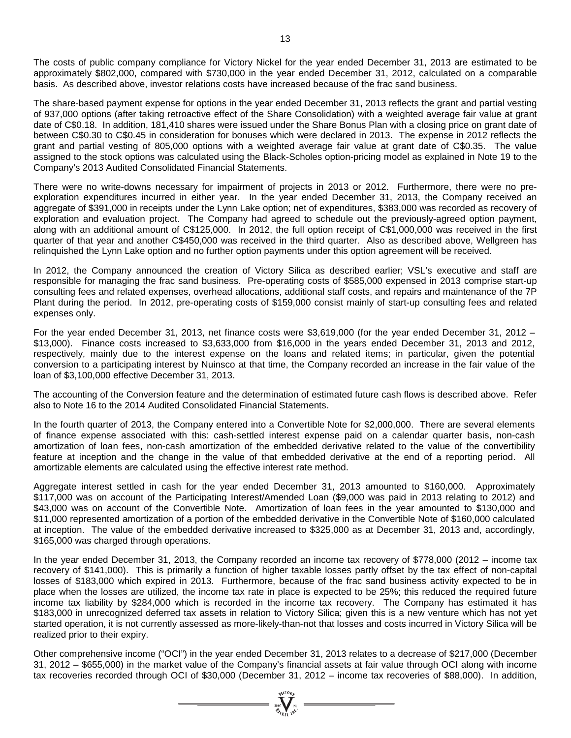The costs of public company compliance for Victory Nickel for the year ended December 31, 2013 are estimated to be approximately \$802,000, compared with \$730,000 in the year ended December 31, 2012, calculated on a comparable basis. As described above, investor relations costs have increased because of the frac sand business.

The share-based payment expense for options in the year ended December 31, 2013 reflects the grant and partial vesting of 937,000 options (after taking retroactive effect of the Share Consolidation) with a weighted average fair value at grant date of C\$0.18. In addition, 181,410 shares were issued under the Share Bonus Plan with a closing price on grant date of between C\$0.30 to C\$0.45 in consideration for bonuses which were declared in 2013. The expense in 2012 reflects the grant and partial vesting of 805,000 options with a weighted average fair value at grant date of C\$0.35. The value assigned to the stock options was calculated using the Black-Scholes option-pricing model as explained in Note 19 to the Company's 2013 Audited Consolidated Financial Statements.

There were no write-downs necessary for impairment of projects in 2013 or 2012. Furthermore, there were no preexploration expenditures incurred in either year. In the year ended December 31, 2013, the Company received an aggregate of \$391,000 in receipts under the Lynn Lake option; net of expenditures, \$383,000 was recorded as recovery of exploration and evaluation project. The Company had agreed to schedule out the previously-agreed option payment, along with an additional amount of C\$125,000. In 2012, the full option receipt of C\$1,000,000 was received in the first quarter of that year and another C\$450,000 was received in the third quarter. Also as described above, Wellgreen has relinquished the Lynn Lake option and no further option payments under this option agreement will be received.

In 2012, the Company announced the creation of Victory Silica as described earlier; VSL's executive and staff are responsible for managing the frac sand business. Pre-operating costs of \$585,000 expensed in 2013 comprise start-up consulting fees and related expenses, overhead allocations, additional staff costs, and repairs and maintenance of the 7P Plant during the period. In 2012, pre-operating costs of \$159,000 consist mainly of start-up consulting fees and related expenses only.

For the year ended December 31, 2013, net finance costs were \$3,619,000 (for the year ended December 31, 2012 – \$13,000). Finance costs increased to \$3,633,000 from \$16,000 in the years ended December 31, 2013 and 2012, respectively, mainly due to the interest expense on the loans and related items; in particular, given the potential conversion to a participating interest by Nuinsco at that time, the Company recorded an increase in the fair value of the loan of \$3,100,000 effective December 31, 2013.

The accounting of the Conversion feature and the determination of estimated future cash flows is described above. Refer also to Note 16 to the 2014 Audited Consolidated Financial Statements.

In the fourth quarter of 2013, the Company entered into a Convertible Note for \$2,000,000. There are several elements of finance expense associated with this: cash-settled interest expense paid on a calendar quarter basis, non-cash amortization of loan fees, non-cash amortization of the embedded derivative related to the value of the convertibility feature at inception and the change in the value of that embedded derivative at the end of a reporting period. All amortizable elements are calculated using the effective interest rate method.

Aggregate interest settled in cash for the year ended December 31, 2013 amounted to \$160,000. Approximately \$117,000 was on account of the Participating Interest/Amended Loan (\$9,000 was paid in 2013 relating to 2012) and \$43,000 was on account of the Convertible Note. Amortization of loan fees in the year amounted to \$130,000 and \$11,000 represented amortization of a portion of the embedded derivative in the Convertible Note of \$160,000 calculated at inception. The value of the embedded derivative increased to \$325,000 as at December 31, 2013 and, accordingly, \$165,000 was charged through operations.

In the year ended December 31, 2013, the Company recorded an income tax recovery of \$778,000 (2012 – income tax recovery of \$141,000). This is primarily a function of higher taxable losses partly offset by the tax effect of non-capital losses of \$183,000 which expired in 2013. Furthermore, because of the frac sand business activity expected to be in place when the losses are utilized, the income tax rate in place is expected to be 25%; this reduced the required future income tax liability by \$284,000 which is recorded in the income tax recovery. The Company has estimated it has \$183,000 in unrecognized deferred tax assets in relation to Victory Silica; given this is a new venture which has not yet started operation, it is not currently assessed as more-likely-than-not that losses and costs incurred in Victory Silica will be realized prior to their expiry.

Other comprehensive income ("OCI") in the year ended December 31, 2013 relates to a decrease of \$217,000 (December 31, 2012 – \$655,000) in the market value of the Company's financial assets at fair value through OCI along with income tax recoveries recorded through OCI of \$30,000 (December 31, 2012 – income tax recoveries of \$88,000). In addition,

 $\sum_{\substack{i=1\\ \ell_i\in\mathbb{N}\setminus\{0\}}}^{N^{(10)}_{N^{(1)}}}=$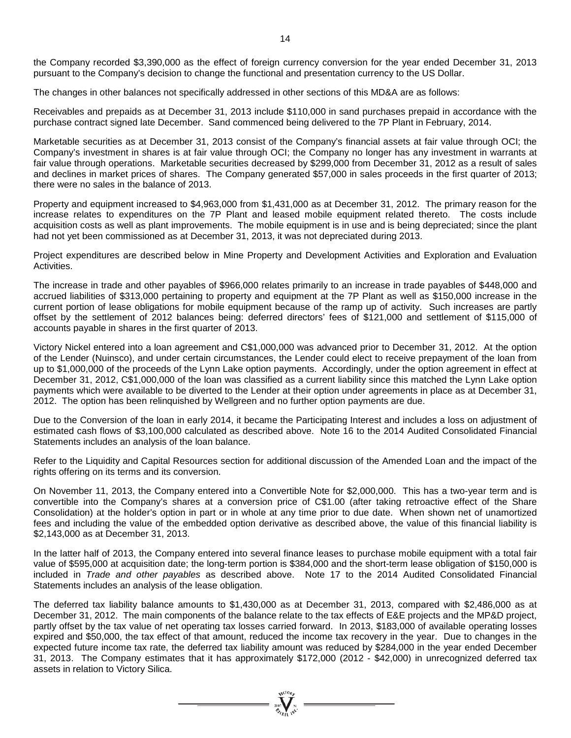the Company recorded \$3,390,000 as the effect of foreign currency conversion for the year ended December 31, 2013 pursuant to the Company's decision to change the functional and presentation currency to the US Dollar.

The changes in other balances not specifically addressed in other sections of this MD&A are as follows:

Receivables and prepaids as at December 31, 2013 include \$110,000 in sand purchases prepaid in accordance with the purchase contract signed late December. Sand commenced being delivered to the 7P Plant in February, 2014.

Marketable securities as at December 31, 2013 consist of the Company's financial assets at fair value through OCI; the Company's investment in shares is at fair value through OCI; the Company no longer has any investment in warrants at fair value through operations. Marketable securities decreased by \$299,000 from December 31, 2012 as a result of sales and declines in market prices of shares. The Company generated \$57,000 in sales proceeds in the first quarter of 2013; there were no sales in the balance of 2013.

Property and equipment increased to \$4,963,000 from \$1,431,000 as at December 31, 2012. The primary reason for the increase relates to expenditures on the 7P Plant and leased mobile equipment related thereto. The costs include acquisition costs as well as plant improvements. The mobile equipment is in use and is being depreciated; since the plant had not yet been commissioned as at December 31, 2013, it was not depreciated during 2013.

Project expenditures are described below in Mine Property and Development Activities and Exploration and Evaluation Activities.

The increase in trade and other payables of \$966,000 relates primarily to an increase in trade payables of \$448,000 and accrued liabilities of \$313,000 pertaining to property and equipment at the 7P Plant as well as \$150,000 increase in the current portion of lease obligations for mobile equipment because of the ramp up of activity. Such increases are partly offset by the settlement of 2012 balances being: deferred directors' fees of \$121,000 and settlement of \$115,000 of accounts payable in shares in the first quarter of 2013.

Victory Nickel entered into a loan agreement and C\$1,000,000 was advanced prior to December 31, 2012. At the option of the Lender (Nuinsco), and under certain circumstances, the Lender could elect to receive prepayment of the loan from up to \$1,000,000 of the proceeds of the Lynn Lake option payments. Accordingly, under the option agreement in effect at December 31, 2012, C\$1,000,000 of the loan was classified as a current liability since this matched the Lynn Lake option payments which were available to be diverted to the Lender at their option under agreements in place as at December 31, 2012. The option has been relinquished by Wellgreen and no further option payments are due.

Due to the Conversion of the loan in early 2014, it became the Participating Interest and includes a loss on adjustment of estimated cash flows of \$3,100,000 calculated as described above. Note 16 to the 2014 Audited Consolidated Financial Statements includes an analysis of the loan balance.

Refer to the Liquidity and Capital Resources section for additional discussion of the Amended Loan and the impact of the rights offering on its terms and its conversion.

On November 11, 2013, the Company entered into a Convertible Note for \$2,000,000. This has a two-year term and is convertible into the Company's shares at a conversion price of C\$1.00 (after taking retroactive effect of the Share Consolidation) at the holder's option in part or in whole at any time prior to due date. When shown net of unamortized fees and including the value of the embedded option derivative as described above, the value of this financial liability is \$2,143,000 as at December 31, 2013.

In the latter half of 2013, the Company entered into several finance leases to purchase mobile equipment with a total fair value of \$595,000 at acquisition date; the long-term portion is \$384,000 and the short-term lease obligation of \$150,000 is included in *Trade and other payables* as described above. Note 17 to the 2014 Audited Consolidated Financial Statements includes an analysis of the lease obligation.

The deferred tax liability balance amounts to \$1,430,000 as at December 31, 2013, compared with \$2,486,000 as at December 31, 2012. The main components of the balance relate to the tax effects of E&E projects and the MP&D project, partly offset by the tax value of net operating tax losses carried forward. In 2013, \$183,000 of available operating losses expired and \$50,000, the tax effect of that amount, reduced the income tax recovery in the year. Due to changes in the expected future income tax rate, the deferred tax liability amount was reduced by \$284,000 in the year ended December 31, 2013. The Company estimates that it has approximately \$172,000 (2012 - \$42,000) in unrecognized deferred tax assets in relation to Victory Silica.

 $\sum_{\substack{200\\ \text{200}}}\sum_{\substack{N=1\\ \text{200}}}\sum_{\substack{N=1}}$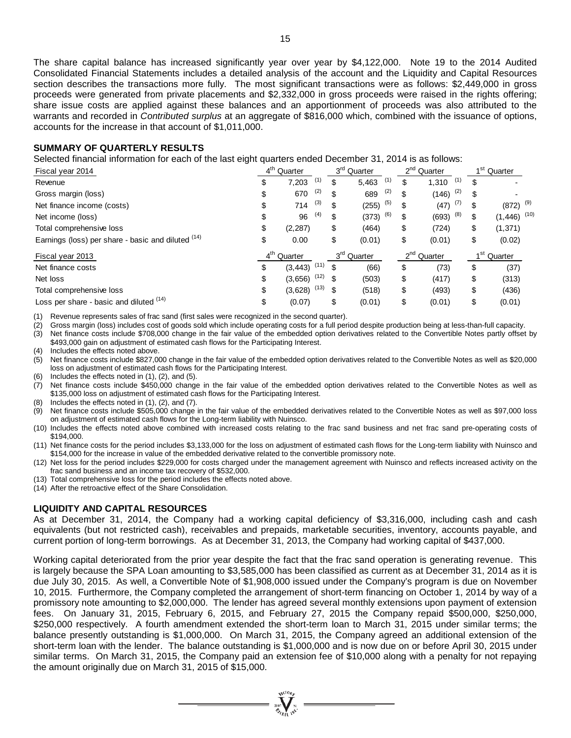The share capital balance has increased significantly year over year by \$4,122,000. Note 19 to the 2014 Audited Consolidated Financial Statements includes a detailed analysis of the account and the Liquidity and Capital Resources section describes the transactions more fully. The most significant transactions were as follows: \$2,449,000 in gross proceeds were generated from private placements and \$2,332,000 in gross proceeds were raised in the rights offering; share issue costs are applied against these balances and an apportionment of proceeds was also attributed to the warrants and recorded in *Contributed surplus* at an aggregate of \$816,000 which, combined with the issuance of options, accounts for the increase in that account of \$1,011,000.

## **SUMMARY OF QUARTERLY RESULTS**

Selected financial information for each of the last eight quarters ended December 31, 2014 is as follows:

| Fiscal year 2014                                   | 4 <sup>th</sup> Quarter |      | 3 <sup>rd</sup> Quarter | 2 <sup>nd</sup> Quarter | 4 <sup>St</sup><br>Quarter |      |
|----------------------------------------------------|-------------------------|------|-------------------------|-------------------------|----------------------------|------|
| Revenue                                            | \$<br>(1)<br>7,203      |      | \$<br>(1)<br>5,463      | \$<br>(1)<br>1,310      | \$                         |      |
| Gross margin (loss)                                | \$<br>(2)<br>670        |      | \$<br>(2)<br>689        | \$<br>(2)<br>(146)      | \$                         |      |
| Net finance income (costs)                         | \$<br>(3)<br>714        |      | \$<br>(5)<br>(255)      | \$<br>(7)<br>(47)       | \$<br>$(872)$ $^{(9)}$     |      |
| Net income (loss)                                  | \$<br>(4)<br>96         |      | \$<br>(6)<br>(373)      | \$<br>(8)<br>(693)      | \$<br>(1, 446)             | (10) |
| Total comprehensive loss                           | \$<br>(2, 287)          |      | \$<br>(464)             | \$<br>(724)             | \$<br>(1, 371)             |      |
| Earnings (loss) per share - basic and diluted (14) | \$<br>0.00              |      | \$<br>(0.01)            | \$<br>(0.01)            | \$<br>(0.02)               |      |
| Fiscal year 2013                                   | 4 <sup>th</sup> Quarter |      | 3 <sup>rd</sup> Quarter | 2 <sup>nd</sup> Quarter | 1 <sup>st</sup><br>Quarter |      |
| Net finance costs                                  | \$<br>(3, 443)          | (11) | \$<br>(66)              | \$<br>(73)              | \$<br>(37)                 |      |
| Net loss                                           | \$<br>(3,656)           | (12) | \$<br>(503)             | \$<br>(417)             | \$<br>(313)                |      |
| Total comprehensive loss                           | \$<br>(3,628)           | (13) | \$<br>(518)             | \$<br>(493)             | \$<br>(436)                |      |
| Loss per share - basic and diluted (14)            | \$<br>(0.07)            |      | \$<br>(0.01)            | \$<br>(0.01)            | \$<br>(0.01)               |      |

(1) Revenue represents sales of frac sand (first sales were recognized in the second quarter).

(2) Gross margin (loss) includes cost of goods sold which include operating costs for a full period despite production being at less-than-full capacity.

(3) Net finance costs include \$708,000 change in the fair value of the embedded option derivatives related to the Convertible Notes partly offset by \$493,000 gain on adjustment of estimated cash flows for the Participating Interest.

(4) Includes the effects noted above.

(5) Net finance costs include \$827,000 change in the fair value of the embedded option derivatives related to the Convertible Notes as well as \$20,000 loss on adjustment of estimated cash flows for the Participating Interest.

(6) Includes the effects noted in (1), (2), and (5).

(7) Net finance costs include \$450,000 change in the fair value of the embedded option derivatives related to the Convertible Notes as well as \$135,000 loss on adjustment of estimated cash flows for the Participating Interest.

(8) Includes the effects noted in (1), (2), and (7).

(9) Net finance costs include \$505,000 change in the fair value of the embedded derivatives related to the Convertible Notes as well as \$97,000 loss on adjustment of estimated cash flows for the Long-term liability with Nuinsco.

(10) Includes the effects noted above combined with increased costs relating to the frac sand business and net frac sand pre-operating costs of \$194,000.

(11) Net finance costs for the period includes \$3,133,000 for the loss on adjustment of estimated cash flows for the Long-term liability with Nuinsco and \$154,000 for the increase in value of the embedded derivative related to the convertible promissory note.

(12) Net loss for the period includes \$229,000 for costs charged under the management agreement with Nuinsco and reflects increased activity on the frac sand business and an income tax recovery of \$532,000.

- (13) Total comprehensive loss for the period includes the effects noted above.
- (14) After the retroactive effect of the Share Consolidation.

#### **LIQUIDITY AND CAPITAL RESOURCES**

As at December 31, 2014, the Company had a working capital deficiency of \$3,316,000, including cash and cash equivalents (but not restricted cash), receivables and prepaids, marketable securities, inventory, accounts payable, and current portion of long-term borrowings. As at December 31, 2013, the Company had working capital of \$437,000.

Working capital deteriorated from the prior year despite the fact that the frac sand operation is generating revenue. This is largely because the SPA Loan amounting to \$3,585,000 has been classified as current as at December 31, 2014 as it is due July 30, 2015. As well, a Convertible Note of \$1,908,000 issued under the Company's program is due on November 10, 2015. Furthermore, the Company completed the arrangement of short-term financing on October 1, 2014 by way of a promissory note amounting to \$2,000,000. The lender has agreed several monthly extensions upon payment of extension fees. On January 31, 2015, February 6, 2015, and February 27, 2015 the Company repaid \$500,000, \$250,000, \$250,000 respectively. A fourth amendment extended the short-term loan to March 31, 2015 under similar terms; the balance presently outstanding is \$1,000,000. On March 31, 2015, the Company agreed an additional extension of the short-term loan with the lender. The balance outstanding is \$1,000,000 and is now due on or before April 30, 2015 under similar terms. On March 31, 2015, the Company paid an extension fee of \$10,000 along with a penalty for not repaying the amount originally due on March 31, 2015 of \$15,000.

 $=\prod_{\nu \in \mathcal{N}_{\mathcal{M}}^{(1)}}^{\text{qtd}_\mathcal{M}}$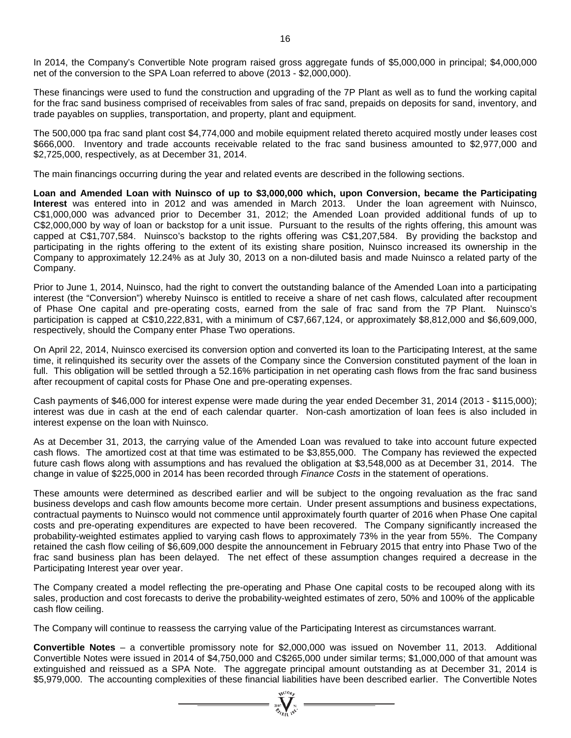In 2014, the Company's Convertible Note program raised gross aggregate funds of \$5,000,000 in principal; \$4,000,000 net of the conversion to the SPA Loan referred to above (2013 - \$2,000,000).

These financings were used to fund the construction and upgrading of the 7P Plant as well as to fund the working capital for the frac sand business comprised of receivables from sales of frac sand, prepaids on deposits for sand, inventory, and trade payables on supplies, transportation, and property, plant and equipment.

The 500,000 tpa frac sand plant cost \$4,774,000 and mobile equipment related thereto acquired mostly under leases cost \$666,000. Inventory and trade accounts receivable related to the frac sand business amounted to \$2,977,000 and \$2,725,000, respectively, as at December 31, 2014.

The main financings occurring during the year and related events are described in the following sections.

**Loan and Amended Loan with Nuinsco of up to \$3,000,000 which, upon Conversion, became the Participating Interest** was entered into in 2012 and was amended in March 2013. Under the loan agreement with Nuinsco, C\$1,000,000 was advanced prior to December 31, 2012; the Amended Loan provided additional funds of up to C\$2,000,000 by way of loan or backstop for a unit issue. Pursuant to the results of the rights offering, this amount was capped at C\$1,707,584. Nuinsco's backstop to the rights offering was C\$1,207,584. By providing the backstop and participating in the rights offering to the extent of its existing share position, Nuinsco increased its ownership in the Company to approximately 12.24% as at July 30, 2013 on a non-diluted basis and made Nuinsco a related party of the Company.

Prior to June 1, 2014, Nuinsco, had the right to convert the outstanding balance of the Amended Loan into a participating interest (the "Conversion") whereby Nuinsco is entitled to receive a share of net cash flows, calculated after recoupment of Phase One capital and pre-operating costs, earned from the sale of frac sand from the 7P Plant. Nuinsco's participation is capped at C\$10,222,831, with a minimum of C\$7,667,124, or approximately \$8,812,000 and \$6,609,000, respectively, should the Company enter Phase Two operations.

On April 22, 2014, Nuinsco exercised its conversion option and converted its loan to the Participating Interest, at the same time, it relinquished its security over the assets of the Company since the Conversion constituted payment of the loan in full. This obligation will be settled through a 52.16% participation in net operating cash flows from the frac sand business after recoupment of capital costs for Phase One and pre-operating expenses.

Cash payments of \$46,000 for interest expense were made during the year ended December 31, 2014 (2013 - \$115,000); interest was due in cash at the end of each calendar quarter. Non-cash amortization of loan fees is also included in interest expense on the loan with Nuinsco.

As at December 31, 2013, the carrying value of the Amended Loan was revalued to take into account future expected cash flows. The amortized cost at that time was estimated to be \$3,855,000. The Company has reviewed the expected future cash flows along with assumptions and has revalued the obligation at \$3,548,000 as at December 31, 2014. The change in value of \$225,000 in 2014 has been recorded through *Finance Costs* in the statement of operations.

These amounts were determined as described earlier and will be subject to the ongoing revaluation as the frac sand business develops and cash flow amounts become more certain. Under present assumptions and business expectations, contractual payments to Nuinsco would not commence until approximately fourth quarter of 2016 when Phase One capital costs and pre-operating expenditures are expected to have been recovered. The Company significantly increased the probability-weighted estimates applied to varying cash flows to approximately 73% in the year from 55%. The Company retained the cash flow ceiling of \$6,609,000 despite the announcement in February 2015 that entry into Phase Two of the frac sand business plan has been delayed. The net effect of these assumption changes required a decrease in the Participating Interest year over year.

The Company created a model reflecting the pre-operating and Phase One capital costs to be recouped along with its sales, production and cost forecasts to derive the probability-weighted estimates of zero, 50% and 100% of the applicable cash flow ceiling.

The Company will continue to reassess the carrying value of the Participating Interest as circumstances warrant.

**Convertible Notes** – a convertible promissory note for \$2,000,000 was issued on November 11, 2013. Additional Convertible Notes were issued in 2014 of \$4,750,000 and C\$265,000 under similar terms; \$1,000,000 of that amount was extinguished and reissued as a SPA Note. The aggregate principal amount outstanding as at December 31, 2014 is \$5,979,000. The accounting complexities of these financial liabilities have been described earlier. The Convertible Notes

=  $\sum_{n=1}^{\infty} \sum_{n=1}^{\infty} x^{n}$  =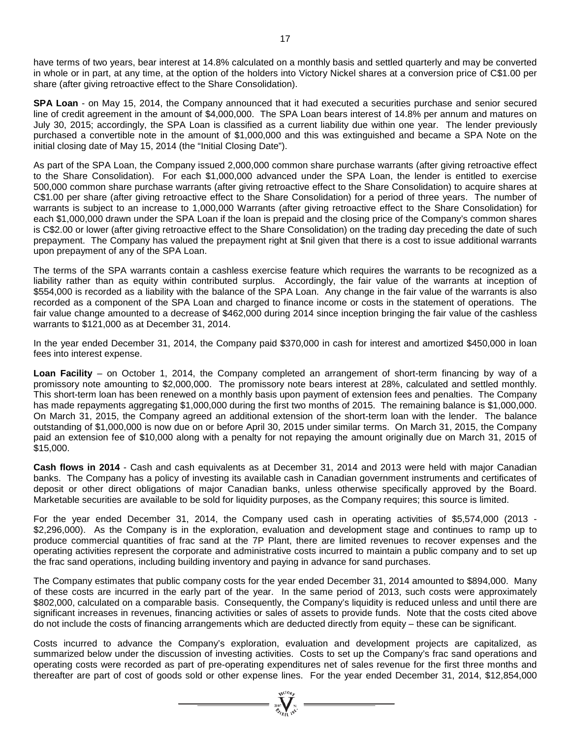have terms of two years, bear interest at 14.8% calculated on a monthly basis and settled quarterly and may be converted in whole or in part, at any time, at the option of the holders into Victory Nickel shares at a conversion price of C\$1.00 per share (after giving retroactive effect to the Share Consolidation).

**SPA Loan** - on May 15, 2014, the Company announced that it had executed a securities purchase and senior secured line of credit agreement in the amount of \$4,000,000. The SPA Loan bears interest of 14.8% per annum and matures on July 30, 2015; accordingly, the SPA Loan is classified as a current liability due within one year. The lender previously purchased a convertible note in the amount of \$1,000,000 and this was extinguished and became a SPA Note on the initial closing date of May 15, 2014 (the "Initial Closing Date").

As part of the SPA Loan, the Company issued 2,000,000 common share purchase warrants (after giving retroactive effect to the Share Consolidation). For each \$1,000,000 advanced under the SPA Loan, the lender is entitled to exercise 500,000 common share purchase warrants (after giving retroactive effect to the Share Consolidation) to acquire shares at C\$1.00 per share (after giving retroactive effect to the Share Consolidation) for a period of three years. The number of warrants is subject to an increase to 1,000,000 Warrants (after giving retroactive effect to the Share Consolidation) for each \$1,000,000 drawn under the SPA Loan if the loan is prepaid and the closing price of the Company's common shares is C\$2.00 or lower (after giving retroactive effect to the Share Consolidation) on the trading day preceding the date of such prepayment. The Company has valued the prepayment right at \$nil given that there is a cost to issue additional warrants upon prepayment of any of the SPA Loan.

The terms of the SPA warrants contain a cashless exercise feature which requires the warrants to be recognized as a liability rather than as equity within contributed surplus. Accordingly, the fair value of the warrants at inception of \$554,000 is recorded as a liability with the balance of the SPA Loan. Any change in the fair value of the warrants is also recorded as a component of the SPA Loan and charged to finance income or costs in the statement of operations. The fair value change amounted to a decrease of \$462,000 during 2014 since inception bringing the fair value of the cashless warrants to \$121,000 as at December 31, 2014.

In the year ended December 31, 2014, the Company paid \$370,000 in cash for interest and amortized \$450,000 in loan fees into interest expense.

**Loan Facility** – on October 1, 2014, the Company completed an arrangement of short-term financing by way of a promissory note amounting to \$2,000,000. The promissory note bears interest at 28%, calculated and settled monthly. This short-term loan has been renewed on a monthly basis upon payment of extension fees and penalties. The Company has made repayments aggregating \$1,000,000 during the first two months of 2015. The remaining balance is \$1,000,000. On March 31, 2015, the Company agreed an additional extension of the short-term loan with the lender. The balance outstanding of \$1,000,000 is now due on or before April 30, 2015 under similar terms. On March 31, 2015, the Company paid an extension fee of \$10,000 along with a penalty for not repaying the amount originally due on March 31, 2015 of \$15,000.

**Cash flows in 2014** - Cash and cash equivalents as at December 31, 2014 and 2013 were held with major Canadian banks. The Company has a policy of investing its available cash in Canadian government instruments and certificates of deposit or other direct obligations of major Canadian banks, unless otherwise specifically approved by the Board. Marketable securities are available to be sold for liquidity purposes, as the Company requires; this source is limited.

For the year ended December 31, 2014, the Company used cash in operating activities of \$5,574,000 (2013 - \$2,296,000). As the Company is in the exploration, evaluation and development stage and continues to ramp up to produce commercial quantities of frac sand at the 7P Plant, there are limited revenues to recover expenses and the operating activities represent the corporate and administrative costs incurred to maintain a public company and to set up the frac sand operations, including building inventory and paying in advance for sand purchases.

The Company estimates that public company costs for the year ended December 31, 2014 amounted to \$894,000. Many of these costs are incurred in the early part of the year. In the same period of 2013, such costs were approximately \$802,000, calculated on a comparable basis. Consequently, the Company's liquidity is reduced unless and until there are significant increases in revenues, financing activities or sales of assets to provide funds. Note that the costs cited above do not include the costs of financing arrangements which are deducted directly from equity – these can be significant.

Costs incurred to advance the Company's exploration, evaluation and development projects are capitalized, as summarized below under the discussion of investing activities. Costs to set up the Company's frac sand operations and operating costs were recorded as part of pre-operating expenditures net of sales revenue for the first three months and thereafter are part of cost of goods sold or other expense lines. For the year ended December 31, 2014, \$12,854,000

=  $\sum_{i=1}^{N} \sum_{j=1}^{N}$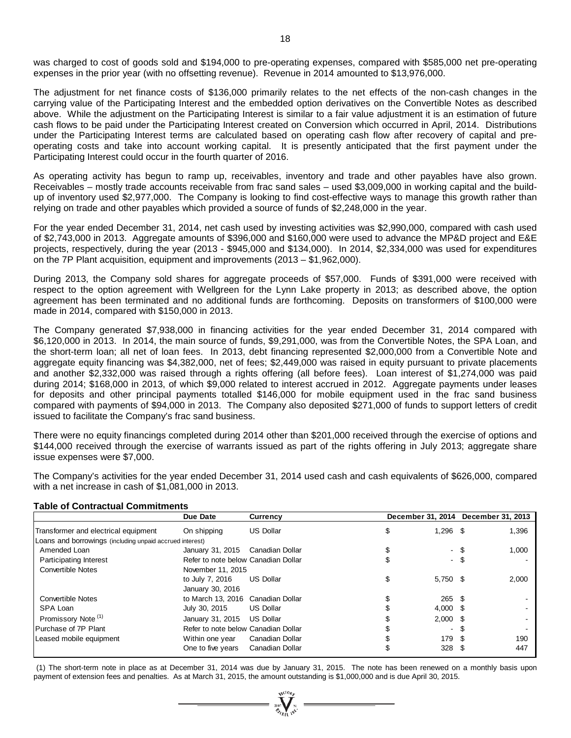was charged to cost of goods sold and \$194,000 to pre-operating expenses, compared with \$585,000 net pre-operating expenses in the prior year (with no offsetting revenue). Revenue in 2014 amounted to \$13,976,000.

The adjustment for net finance costs of \$136,000 primarily relates to the net effects of the non-cash changes in the carrying value of the Participating Interest and the embedded option derivatives on the Convertible Notes as described above. While the adjustment on the Participating Interest is similar to a fair value adjustment it is an estimation of future cash flows to be paid under the Participating Interest created on Conversion which occurred in April, 2014. Distributions under the Participating Interest terms are calculated based on operating cash flow after recovery of capital and preoperating costs and take into account working capital. It is presently anticipated that the first payment under the Participating Interest could occur in the fourth quarter of 2016.

As operating activity has begun to ramp up, receivables, inventory and trade and other payables have also grown. Receivables – mostly trade accounts receivable from frac sand sales – used \$3,009,000 in working capital and the buildup of inventory used \$2,977,000. The Company is looking to find cost-effective ways to manage this growth rather than relying on trade and other payables which provided a source of funds of \$2,248,000 in the year.

For the year ended December 31, 2014, net cash used by investing activities was \$2,990,000, compared with cash used of \$2,743,000 in 2013. Aggregate amounts of \$396,000 and \$160,000 were used to advance the MP&D project and E&E projects, respectively, during the year (2013 - \$945,000 and \$134,000). In 2014, \$2,334,000 was used for expenditures on the 7P Plant acquisition, equipment and improvements (2013 – \$1,962,000).

During 2013, the Company sold shares for aggregate proceeds of \$57,000. Funds of \$391,000 were received with respect to the option agreement with Wellgreen for the Lynn Lake property in 2013; as described above, the option agreement has been terminated and no additional funds are forthcoming. Deposits on transformers of \$100,000 were made in 2014, compared with \$150,000 in 2013.

The Company generated \$7,938,000 in financing activities for the year ended December 31, 2014 compared with \$6,120,000 in 2013. In 2014, the main source of funds, \$9,291,000, was from the Convertible Notes, the SPA Loan, and the short-term loan; all net of loan fees. In 2013, debt financing represented \$2,000,000 from a Convertible Note and aggregate equity financing was \$4,382,000, net of fees; \$2,449,000 was raised in equity pursuant to private placements and another \$2,332,000 was raised through a rights offering (all before fees). Loan interest of \$1,274,000 was paid during 2014; \$168,000 in 2013, of which \$9,000 related to interest accrued in 2012. Aggregate payments under leases for deposits and other principal payments totalled \$146,000 for mobile equipment used in the frac sand business compared with payments of \$94,000 in 2013. The Company also deposited \$271,000 of funds to support letters of credit issued to facilitate the Company's frac sand business.

There were no equity financings completed during 2014 other than \$201,000 received through the exercise of options and \$144,000 received through the exercise of warrants issued as part of the rights offering in July 2013; aggregate share issue expenses were \$7,000.

The Company's activities for the year ended December 31, 2014 used cash and cash equivalents of \$626,000, compared with a net increase in cash of \$1,081,000 in 2013.

#### **Table of Contractual Commitments**

|                                                          | Due Date                            | <b>Currency</b>  |                  |      | December 31, 2014 December 31, 2013 |
|----------------------------------------------------------|-------------------------------------|------------------|------------------|------|-------------------------------------|
| Transformer and electrical equipment                     | On shipping                         | <b>US Dollar</b> | \$<br>$1,296$ \$ |      | 1,396                               |
| Loans and borrowings (including unpaid accrued interest) |                                     |                  |                  |      |                                     |
| Amended Loan                                             | January 31, 2015                    | Canadian Dollar  | \$               | - \$ | 1,000                               |
| <b>Participating Interest</b>                            | Refer to note below Canadian Dollar |                  |                  | - \$ |                                     |
| <b>Convertible Notes</b>                                 | November 11, 2015                   |                  |                  |      |                                     |
|                                                          | to July 7, 2016                     | <b>US Dollar</b> | \$<br>5,750 \$   |      | 2,000                               |
|                                                          | January 30, 2016                    |                  |                  |      |                                     |
| <b>Convertible Notes</b>                                 | to March 13, 2016 Canadian Dollar   |                  | $265$ \$         |      |                                     |
| SPA Loan                                                 | July 30, 2015                       | <b>US Dollar</b> | $4,000$ \$       |      |                                     |
| Promissory Note <sup>(1)</sup>                           | January 31, 2015                    | <b>US Dollar</b> | $2,000$ \$       |      |                                     |
| Purchase of 7P Plant                                     | Refer to note below Canadian Dollar |                  | $\sim$           | - \$ |                                     |
| Leased mobile equipment                                  | Within one year                     | Canadian Dollar  | 179 \$           |      | 190                                 |
|                                                          | One to five years                   | Canadian Dollar  | 328 <sup>5</sup> |      | 447                                 |

(1) The short-term note in place as at December 31, 2014 was due by January 31, 2015. The note has been renewed on a monthly basis upon payment of extension fees and penalties. As at March 31, 2015, the amount outstanding is \$1,000,000 and is due April 30, 2015.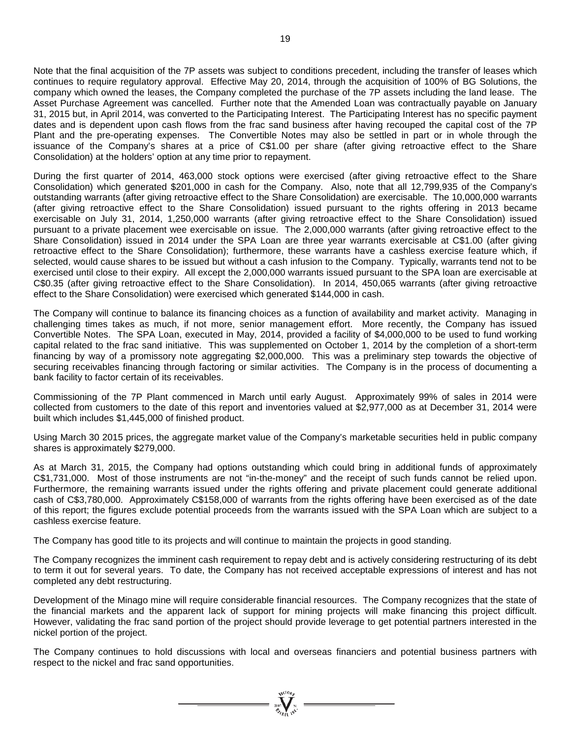Note that the final acquisition of the 7P assets was subject to conditions precedent, including the transfer of leases which continues to require regulatory approval. Effective May 20, 2014, through the acquisition of 100% of BG Solutions, the company which owned the leases, the Company completed the purchase of the 7P assets including the land lease. The Asset Purchase Agreement was cancelled. Further note that the Amended Loan was contractually payable on January 31, 2015 but, in April 2014, was converted to the Participating Interest. The Participating Interest has no specific payment dates and is dependent upon cash flows from the frac sand business after having recouped the capital cost of the 7P Plant and the pre-operating expenses. The Convertible Notes may also be settled in part or in whole through the issuance of the Company's shares at a price of C\$1.00 per share (after giving retroactive effect to the Share Consolidation) at the holders' option at any time prior to repayment.

During the first quarter of 2014, 463,000 stock options were exercised (after giving retroactive effect to the Share Consolidation) which generated \$201,000 in cash for the Company. Also, note that all 12,799,935 of the Company's outstanding warrants (after giving retroactive effect to the Share Consolidation) are exercisable. The 10,000,000 warrants (after giving retroactive effect to the Share Consolidation) issued pursuant to the rights offering in 2013 became exercisable on July 31, 2014, 1,250,000 warrants (after giving retroactive effect to the Share Consolidation) issued pursuant to a private placement wee exercisable on issue. The 2,000,000 warrants (after giving retroactive effect to the Share Consolidation) issued in 2014 under the SPA Loan are three year warrants exercisable at C\$1.00 (after giving retroactive effect to the Share Consolidation); furthermore, these warrants have a cashless exercise feature which, if selected, would cause shares to be issued but without a cash infusion to the Company. Typically, warrants tend not to be exercised until close to their expiry. All except the 2,000,000 warrants issued pursuant to the SPA loan are exercisable at C\$0.35 (after giving retroactive effect to the Share Consolidation). In 2014, 450,065 warrants (after giving retroactive effect to the Share Consolidation) were exercised which generated \$144,000 in cash.

The Company will continue to balance its financing choices as a function of availability and market activity. Managing in challenging times takes as much, if not more, senior management effort. More recently, the Company has issued Convertible Notes. The SPA Loan, executed in May, 2014, provided a facility of \$4,000,000 to be used to fund working capital related to the frac sand initiative. This was supplemented on October 1, 2014 by the completion of a short-term financing by way of a promissory note aggregating \$2,000,000. This was a preliminary step towards the objective of securing receivables financing through factoring or similar activities. The Company is in the process of documenting a bank facility to factor certain of its receivables.

Commissioning of the 7P Plant commenced in March until early August. Approximately 99% of sales in 2014 were collected from customers to the date of this report and inventories valued at \$2,977,000 as at December 31, 2014 were built which includes \$1,445,000 of finished product.

Using March 30 2015 prices, the aggregate market value of the Company's marketable securities held in public company shares is approximately \$279,000.

As at March 31, 2015, the Company had options outstanding which could bring in additional funds of approximately C\$1,731,000. Most of those instruments are not "in-the-money" and the receipt of such funds cannot be relied upon. Furthermore, the remaining warrants issued under the rights offering and private placement could generate additional cash of C\$3,780,000. Approximately C\$158,000 of warrants from the rights offering have been exercised as of the date of this report; the figures exclude potential proceeds from the warrants issued with the SPA Loan which are subject to a cashless exercise feature.

The Company has good title to its projects and will continue to maintain the projects in good standing.

The Company recognizes the imminent cash requirement to repay debt and is actively considering restructuring of its debt to term it out for several years. To date, the Company has not received acceptable expressions of interest and has not completed any debt restructuring.

Development of the Minago mine will require considerable financial resources. The Company recognizes that the state of the financial markets and the apparent lack of support for mining projects will make financing this project difficult. However, validating the frac sand portion of the project should provide leverage to get potential partners interested in the nickel portion of the project.

The Company continues to hold discussions with local and overseas financiers and potential business partners with respect to the nickel and frac sand opportunities.

 $= \prod_{i=1}^{N^{(10)}h_{i}}$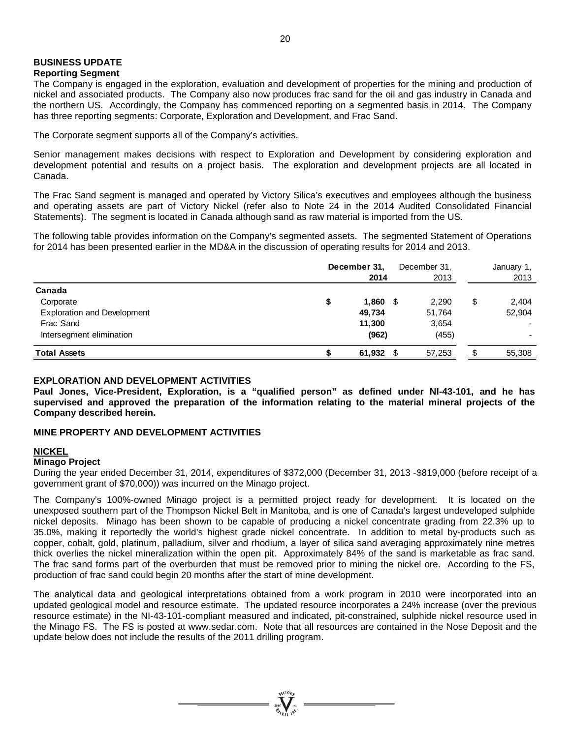#### **BUSINESS UPDATE Reporting Segment**

### The Company is engaged in the exploration, evaluation and development of properties for the mining and production of nickel and associated products. The Company also now produces frac sand for the oil and gas industry in Canada and the northern US. Accordingly, the Company has commenced reporting on a segmented basis in 2014. The Company has three reporting segments: Corporate, Exploration and Development, and Frac Sand.

The Corporate segment supports all of the Company's activities.

Senior management makes decisions with respect to Exploration and Development by considering exploration and development potential and results on a project basis. The exploration and development projects are all located in Canada.

The Frac Sand segment is managed and operated by Victory Silica's executives and employees although the business and operating assets are part of Victory Nickel (refer also to Note 24 in the 2014 Audited Consolidated Financial Statements). The segment is located in Canada although sand as raw material is imported from the US.

The following table provides information on the Company's segmented assets. The segmented Statement of Operations for 2014 has been presented earlier in the MD&A in the discussion of operating results for 2014 and 2013.

|                                    | December 31,<br>2014 |      | December 31,<br>2013 | January 1,<br>2013 |
|------------------------------------|----------------------|------|----------------------|--------------------|
| Canada                             |                      |      |                      |                    |
| Corporate                          | 1,860<br>\$          | - \$ | 2,290                | \$<br>2,404        |
| <b>Exploration and Development</b> | 49,734               |      | 51,764               | 52,904             |
| Frac Sand                          | 11,300               |      | 3,654                |                    |
| Intersegment elimination           | (962)                |      | (455)                |                    |
| <b>Total Assets</b>                | 61,932 $$$           |      | 57,253               | 55,308             |

#### **EXPLORATION AND DEVELOPMENT ACTIVITIES**

**Paul Jones, Vice-President, Exploration, is a "qualified person" as defined under NI-43-101, and he has supervised and approved the preparation of the information relating to the material mineral projects of the Company described herein.**

## **MINE PROPERTY AND DEVELOPMENT ACTIVITIES**

#### **NICKEL**

#### **Minago Project**

During the year ended December 31, 2014, expenditures of \$372,000 (December 31, 2013 -\$819,000 (before receipt of a government grant of \$70,000)) was incurred on the Minago project.

The Company's 100%-owned Minago project is a permitted project ready for development. It is located on the unexposed southern part of the Thompson Nickel Belt in Manitoba, and is one of Canada's largest undeveloped sulphide nickel deposits. Minago has been shown to be capable of producing a nickel concentrate grading from 22.3% up to 35.0%, making it reportedly the world's highest grade nickel concentrate. In addition to metal by-products such as copper, cobalt, gold, platinum, palladium, silver and rhodium, a layer of silica sand averaging approximately nine metres thick overlies the nickel mineralization within the open pit. Approximately 84% of the sand is marketable as frac sand. The frac sand forms part of the overburden that must be removed prior to mining the nickel ore. According to the FS, production of frac sand could begin 20 months after the start of mine development.

The analytical data and geological interpretations obtained from a work program in 2010 were incorporated into an updated geological model and resource estimate. The updated resource incorporates a 24% increase (over the previous resource estimate) in the NI-43-101-compliant measured and indicated, pit-constrained, sulphide nickel resource used in the Minago FS. The FS is posted at [www.sedar.com.](http://www.sedar.com/) Note that all resources are contained in the Nose Deposit and the update below does not include the results of the 2011 drilling program.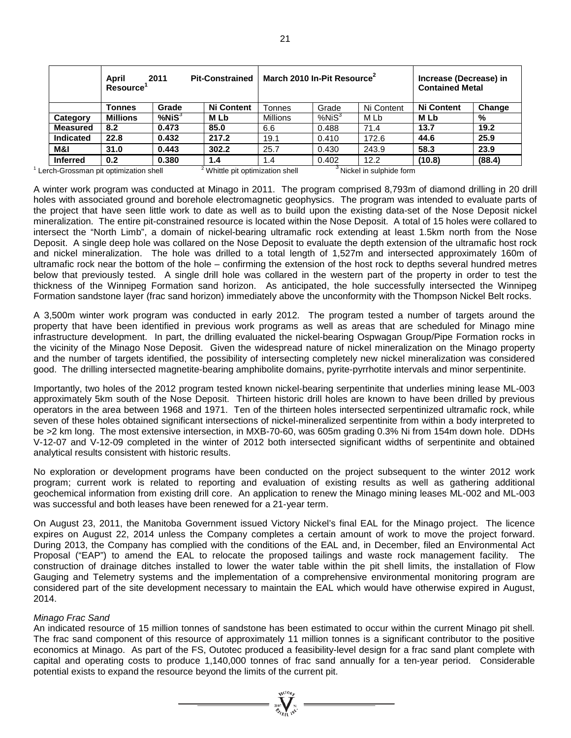| April<br><b>Pit-Constrained</b><br>2011<br>Resource <sup>'</sup> |                 |              |                   |                 | March 2010 In-Pit Resource <sup>2</sup> |            | Increase (Decrease) in<br><b>Contained Metal</b> |        |
|------------------------------------------------------------------|-----------------|--------------|-------------------|-----------------|-----------------------------------------|------------|--------------------------------------------------|--------|
|                                                                  | Tonnes          | Grade        | <b>Ni Content</b> | Tonnes          | Grade                                   | Ni Content | <b>Ni Content</b>                                | Change |
| Category                                                         | <b>Millions</b> | $%$ Ni $S^3$ | M Lb              | <b>Millions</b> | %NiS <sup>3</sup>                       | M Lb       | M Lb                                             | %      |
| <b>Measured</b>                                                  | 8.2             | 0.473        | 85.0              | 6.6             | 0.488                                   | 71.4       | 13.7                                             | 19.2   |
| Indicated                                                        | 22.8            | 0.432        | 217.2             | 19.1            | 0.410                                   | 172.6      | 44.6                                             | 25.9   |
| M&I                                                              | 31.0            | 0.443        | 302.2             | 25.7            | 0.430                                   | 243.9      | 58.3                                             | 23.9   |
| <b>Inferred</b>                                                  | 0.2             | 0.380        | 1.4               | 1.4             | 0.402                                   | 12.2       | (10.8)                                           | (88.4) |

 $1$  Lerch-Grossman pit optimization shell  $2$  Whittle pit optimization shell  $3$  Nickel in sulphide form

A winter work program was conducted at Minago in 2011. The program comprised 8,793m of diamond drilling in 20 drill holes with associated ground and borehole electromagnetic geophysics. The program was intended to evaluate parts of the project that have seen little work to date as well as to build upon the existing data-set of the Nose Deposit nickel mineralization. The entire pit-constrained resource is located within the Nose Deposit. A total of 15 holes were collared to intersect the "North Limb", a domain of nickel-bearing ultramafic rock extending at least 1.5km north from the Nose Deposit. A single deep hole was collared on the Nose Deposit to evaluate the depth extension of the ultramafic host rock and nickel mineralization. The hole was drilled to a total length of 1,527m and intersected approximately 160m of ultramafic rock near the bottom of the hole – confirming the extension of the host rock to depths several hundred metres below that previously tested. A single drill hole was collared in the western part of the property in order to test the thickness of the Winnipeg Formation sand horizon. As anticipated, the hole successfully intersected the Winnipeg Formation sandstone layer (frac sand horizon) immediately above the unconformity with the Thompson Nickel Belt rocks.

A 3,500m winter work program was conducted in early 2012. The program tested a number of targets around the property that have been identified in previous work programs as well as areas that are scheduled for Minago mine infrastructure development. In part, the drilling evaluated the nickel-bearing Ospwagan Group/Pipe Formation rocks in the vicinity of the Minago Nose Deposit. Given the widespread nature of nickel mineralization on the Minago property and the number of targets identified, the possibility of intersecting completely new nickel mineralization was considered good. The drilling intersected magnetite-bearing amphibolite domains, pyrite-pyrrhotite intervals and minor serpentinite.

Importantly, two holes of the 2012 program tested known nickel-bearing serpentinite that underlies mining lease ML-003 approximately 5km south of the Nose Deposit. Thirteen historic drill holes are known to have been drilled by previous operators in the area between 1968 and 1971. Ten of the thirteen holes intersected serpentinized ultramafic rock, while seven of these holes obtained significant intersections of nickel-mineralized serpentinite from within a body interpreted to be >2 km long. The most extensive intersection, in MXB-70-60, was 605m grading 0.3% Ni from 154m down hole. DDHs V-12-07 and V-12-09 completed in the winter of 2012 both intersected significant widths of serpentinite and obtained analytical results consistent with historic results.

No exploration or development programs have been conducted on the project subsequent to the winter 2012 work program; current work is related to reporting and evaluation of existing results as well as gathering additional geochemical information from existing drill core. An application to renew the Minago mining leases ML-002 and ML-003 was successful and both leases have been renewed for a 21-year term.

On August 23, 2011, the Manitoba Government issued Victory Nickel's final EAL for the Minago project. The licence expires on August 22, 2014 unless the Company completes a certain amount of work to move the project forward. During 2013, the Company has complied with the conditions of the EAL and, in December, filed an Environmental Act Proposal ("EAP") to amend the EAL to relocate the proposed tailings and waste rock management facility. The construction of drainage ditches installed to lower the water table within the pit shell limits, the installation of Flow Gauging and Telemetry systems and the implementation of a comprehensive environmental monitoring program are considered part of the site development necessary to maintain the EAL which would have otherwise expired in August, 2014.

#### *Minago Frac Sand*

An indicated resource of 15 million tonnes of sandstone has been estimated to occur within the current Minago pit shell. The frac sand component of this resource of approximately 11 million tonnes is a significant contributor to the positive economics at Minago. As part of the FS, Outotec produced a feasibility-level design for a frac sand plant complete with capital and operating costs to produce 1,140,000 tonnes of frac sand annually for a ten-year period. Considerable potential exists to expand the resource beyond the limits of the current pit.

 $= \prod_{\text{non-} \atop \text{on } \text{odd } \text{odd}}^{N}$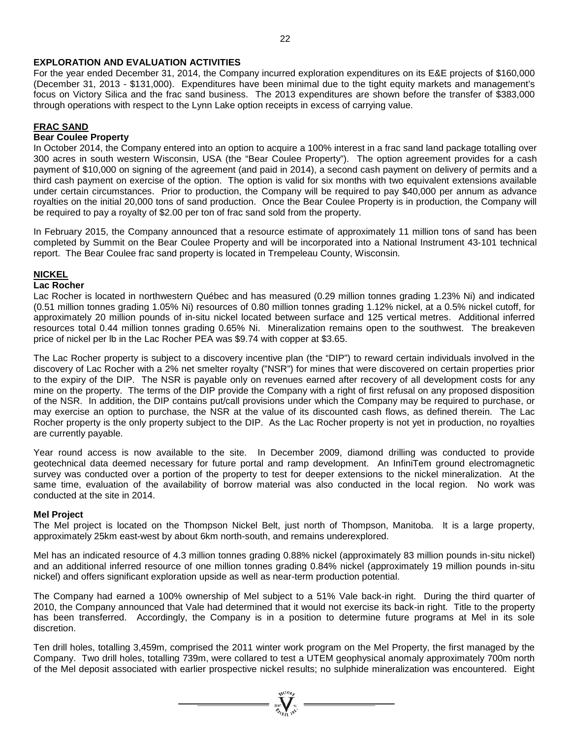### **EXPLORATION AND EVALUATION ACTIVITIES**

For the year ended December 31, 2014, the Company incurred exploration expenditures on its E&E projects of \$160,000 (December 31, 2013 - \$131,000). Expenditures have been minimal due to the tight equity markets and management's focus on Victory Silica and the frac sand business. The 2013 expenditures are shown before the transfer of \$383,000 through operations with respect to the Lynn Lake option receipts in excess of carrying value.

### **FRAC SAND**

#### **Bear Coulee Property**

In October 2014, the Company entered into an option to acquire a 100% interest in a frac sand land package totalling over 300 acres in south western Wisconsin, USA (the "Bear Coulee Property"). The option agreement provides for a cash payment of \$10,000 on signing of the agreement (and paid in 2014), a second cash payment on delivery of permits and a third cash payment on exercise of the option. The option is valid for six months with two equivalent extensions available under certain circumstances. Prior to production, the Company will be required to pay \$40,000 per annum as advance royalties on the initial 20,000 tons of sand production. Once the Bear Coulee Property is in production, the Company will be required to pay a royalty of \$2.00 per ton of frac sand sold from the property.

In February 2015, the Company announced that a resource estimate of approximately 11 million tons of sand has been completed by Summit on the Bear Coulee Property and will be incorporated into a National Instrument 43-101 technical report. The Bear Coulee frac sand property is located in Trempeleau County, Wisconsin.

#### **NICKEL**

#### **Lac Rocher**

Lac Rocher is located in northwestern Québec and has measured (0.29 million tonnes grading 1.23% Ni) and indicated (0.51 million tonnes grading 1.05% Ni) resources of 0.80 million tonnes grading 1.12% nickel, at a 0.5% nickel cutoff, for approximately 20 million pounds of in-situ nickel located between surface and 125 vertical metres. Additional inferred resources total 0.44 million tonnes grading 0.65% Ni. Mineralization remains open to the southwest. The breakeven price of nickel per lb in the Lac Rocher PEA was \$9.74 with copper at \$3.65.

The Lac Rocher property is subject to a discovery incentive plan (the "DIP") to reward certain individuals involved in the discovery of Lac Rocher with a 2% net smelter royalty ("NSR") for mines that were discovered on certain properties prior to the expiry of the DIP. The NSR is payable only on revenues earned after recovery of all development costs for any mine on the property. The terms of the DIP provide the Company with a right of first refusal on any proposed disposition of the NSR. In addition, the DIP contains put/call provisions under which the Company may be required to purchase, or may exercise an option to purchase, the NSR at the value of its discounted cash flows, as defined therein. The Lac Rocher property is the only property subject to the DIP. As the Lac Rocher property is not yet in production, no royalties are currently payable.

Year round access is now available to the site. In December 2009, diamond drilling was conducted to provide geotechnical data deemed necessary for future portal and ramp development. An InfiniTem ground electromagnetic survey was conducted over a portion of the property to test for deeper extensions to the nickel mineralization. At the same time, evaluation of the availability of borrow material was also conducted in the local region. No work was conducted at the site in 2014.

#### **Mel Project**

The Mel project is located on the Thompson Nickel Belt, just north of Thompson, Manitoba. It is a large property, approximately 25km east-west by about 6km north-south, and remains underexplored.

Mel has an indicated resource of 4.3 million tonnes grading 0.88% nickel (approximately 83 million pounds in-situ nickel) and an additional inferred resource of one million tonnes grading 0.84% nickel (approximately 19 million pounds in-situ nickel) and offers significant exploration upside as well as near-term production potential.

The Company had earned a 100% ownership of Mel subject to a 51% Vale back-in right. During the third quarter of 2010, the Company announced that Vale had determined that it would not exercise its back-in right. Title to the property has been transferred. Accordingly, the Company is in a position to determine future programs at Mel in its sole discretion.

Ten drill holes, totalling 3,459m, comprised the 2011 winter work program on the Mel Property, the first managed by the Company. Two drill holes, totalling 739m, were collared to test a UTEM geophysical anomaly approximately 700m north of the Mel deposit associated with earlier prospective nickel results; no sulphide mineralization was encountered. Eight

=  $\sum_{i=1}^{N} \sum_{j=1}^{N}$  =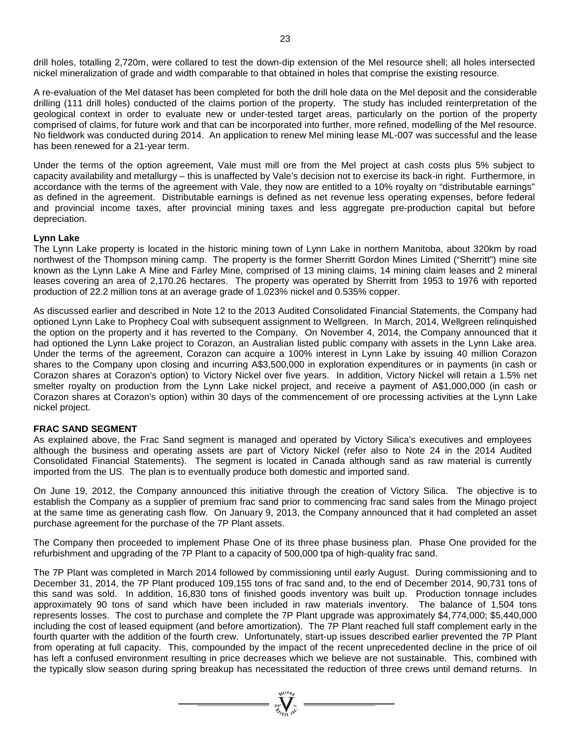drill holes, totalling 2,720m, were collared to test the down-dip extension of the Mel resource shell; all holes intersected nickel mineralization of grade and width comparable to that obtained in holes that comprise the existing resource.

A re-evaluation of the Mel dataset has been completed for both the drill hole data on the Mel deposit and the considerable drilling (111 drill holes) conducted of the claims portion of the property. The study has included reinterpretation of the geological context in order to evaluate new or under-tested target areas, particularly on the portion of the property comprised of claims, for future work and that can be incorporated into further, more refined, modelling of the Mel resource. No fieldwork was conducted during 2014. An application to renew Mel mining lease ML-007 was successful and the lease has been renewed for a 21-year term.

Under the terms of the option agreement, Vale must mill ore from the Mel project at cash costs plus 5% subject to capacity availability and metallurgy – this is unaffected by Vale's decision not to exercise its back-in right. Furthermore, in accordance with the terms of the agreement with Vale, they now are entitled to a 10% royalty on "distributable earnings" as defined in the agreement. Distributable earnings is defined as net revenue less operating expenses, before federal and provincial income taxes, after provincial mining taxes and less aggregate pre-production capital but before depreciation.

#### **Lynn Lake**

The Lynn Lake property is located in the historic mining town of Lynn Lake in northern Manitoba, about 320km by road northwest of the Thompson mining camp. The property is the former Sherritt Gordon Mines Limited ("Sherritt") mine site known as the Lynn Lake A Mine and Farley Mine, comprised of 13 mining claims, 14 mining claim leases and 2 mineral leases covering an area of 2,170.26 hectares. The property was operated by Sherritt from 1953 to 1976 with reported production of 22.2 million tons at an average grade of 1.023% nickel and 0.535% copper.

As discussed earlier and described in Note 12 to the 2013 Audited Consolidated Financial Statements, the Company had optioned Lynn Lake to Prophecy Coal with subsequent assignment to Wellgreen. In March, 2014, Wellgreen relinquished the option on the property and it has reverted to the Company. On November 4, 2014, the Company announced that it had optioned the Lynn Lake project to Corazon, an Australian listed public company with assets in the Lynn Lake area. Under the terms of the agreement, Corazon can acquire a 100% interest in Lynn Lake by issuing 40 million Corazon shares to the Company upon closing and incurring A\$3,500,000 in exploration expenditures or in payments (in cash or Corazon shares at Corazon's option) to Victory Nickel over five years. In addition, Victory Nickel will retain a 1.5% net smelter royalty on production from the Lynn Lake nickel project, and receive a payment of A\$1,000,000 (in cash or Corazon shares at Corazon's option) within 30 days of the commencement of ore processing activities at the Lynn Lake nickel project.

#### **FRAC SAND SEGMENT**

As explained above, the Frac Sand segment is managed and operated by Victory Silica's executives and employees although the business and operating assets are part of Victory Nickel (refer also to Note 24 in the 2014 Audited Consolidated Financial Statements). The segment is located in Canada although sand as raw material is currently imported from the US. The plan is to eventually produce both domestic and imported sand.

On June 19, 2012, the Company announced this initiative through the creation of Victory Silica. The objective is to establish the Company as a supplier of premium frac sand prior to commencing frac sand sales from the Minago project at the same time as generating cash flow. On January 9, 2013, the Company announced that it had completed an asset purchase agreement for the purchase of the 7P Plant assets.

The Company then proceeded to implement Phase One of its three phase business plan. Phase One provided for the refurbishment and upgrading of the 7P Plant to a capacity of 500,000 tpa of high-quality frac sand.

The 7P Plant was completed in March 2014 followed by commissioning until early August. During commissioning and to December 31, 2014, the 7P Plant produced 109,155 tons of frac sand and, to the end of December 2014, 90,731 tons of this sand was sold. In addition, 16,830 tons of finished goods inventory was built up. Production tonnage includes approximately 90 tons of sand which have been included in raw materials inventory. The balance of 1,504 tons represents losses. The cost to purchase and complete the 7P Plant upgrade was approximately \$4,774,000; \$5,440,000 including the cost of leased equipment (and before amortization). The 7P Plant reached full staff complement early in the fourth quarter with the addition of the fourth crew. Unfortunately, start-up issues described earlier prevented the 7P Plant from operating at full capacity. This, compounded by the impact of the recent unprecedented decline in the price of oil has left a confused environment resulting in price decreases which we believe are not sustainable. This, combined with the typically slow season during spring breakup has necessitated the reduction of three crews until demand returns. In

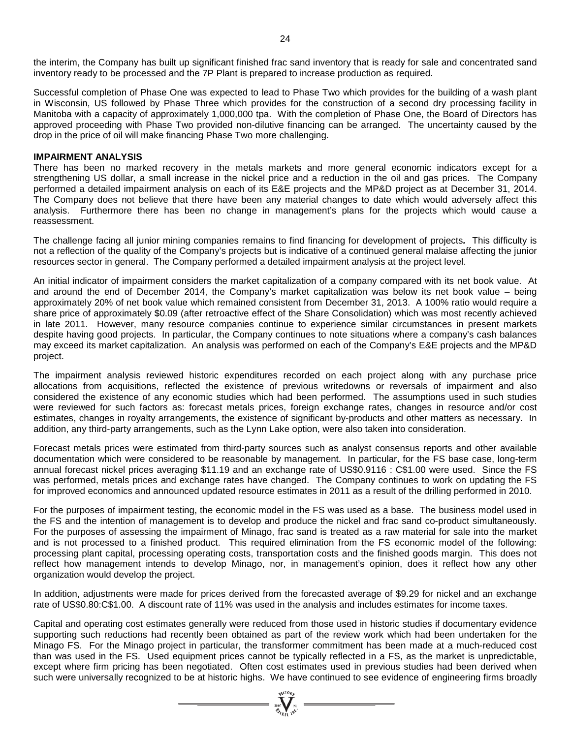Successful completion of Phase One was expected to lead to Phase Two which provides for the building of a wash plant in Wisconsin, US followed by Phase Three which provides for the construction of a second dry processing facility in Manitoba with a capacity of approximately 1,000,000 tpa. With the completion of Phase One, the Board of Directors has approved proceeding with Phase Two provided non-dilutive financing can be arranged. The uncertainty caused by the drop in the price of oil will make financing Phase Two more challenging.

#### **IMPAIRMENT ANALYSIS**

There has been no marked recovery in the metals markets and more general economic indicators except for a strengthening US dollar, a small increase in the nickel price and a reduction in the oil and gas prices. The Company performed a detailed impairment analysis on each of its E&E projects and the MP&D project as at December 31, 2014. The Company does not believe that there have been any material changes to date which would adversely affect this analysis. Furthermore there has been no change in management's plans for the projects which would cause a reassessment.

The challenge facing all junior mining companies remains to find financing for development of projects*.* This difficulty is not a reflection of the quality of the Company's projects but is indicative of a continued general malaise affecting the junior resources sector in general. The Company performed a detailed impairment analysis at the project level.

An initial indicator of impairment considers the market capitalization of a company compared with its net book value. At and around the end of December 2014, the Company's market capitalization was below its net book value – being approximately 20% of net book value which remained consistent from December 31, 2013. A 100% ratio would require a share price of approximately \$0.09 (after retroactive effect of the Share Consolidation) which was most recently achieved in late 2011. However, many resource companies continue to experience similar circumstances in present markets despite having good projects. In particular, the Company continues to note situations where a company's cash balances may exceed its market capitalization. An analysis was performed on each of the Company's E&E projects and the MP&D project.

The impairment analysis reviewed historic expenditures recorded on each project along with any purchase price allocations from acquisitions, reflected the existence of previous writedowns or reversals of impairment and also considered the existence of any economic studies which had been performed. The assumptions used in such studies were reviewed for such factors as: forecast metals prices, foreign exchange rates, changes in resource and/or cost estimates, changes in royalty arrangements, the existence of significant by-products and other matters as necessary. In addition, any third-party arrangements, such as the Lynn Lake option, were also taken into consideration.

Forecast metals prices were estimated from third-party sources such as analyst consensus reports and other available documentation which were considered to be reasonable by management. In particular, for the FS base case, long-term annual forecast nickel prices averaging \$11.19 and an exchange rate of US\$0.9116 : C\$1.00 were used. Since the FS was performed, metals prices and exchange rates have changed. The Company continues to work on updating the FS for improved economics and announced updated resource estimates in 2011 as a result of the drilling performed in 2010.

For the purposes of impairment testing, the economic model in the FS was used as a base. The business model used in the FS and the intention of management is to develop and produce the nickel and frac sand co-product simultaneously. For the purposes of assessing the impairment of Minago, frac sand is treated as a raw material for sale into the market and is not processed to a finished product. This required elimination from the FS economic model of the following: processing plant capital, processing operating costs, transportation costs and the finished goods margin. This does not reflect how management intends to develop Minago, nor, in management's opinion, does it reflect how any other organization would develop the project.

In addition, adjustments were made for prices derived from the forecasted average of \$9.29 for nickel and an exchange rate of US\$0.80:C\$1.00. A discount rate of 11% was used in the analysis and includes estimates for income taxes.

Capital and operating cost estimates generally were reduced from those used in historic studies if documentary evidence supporting such reductions had recently been obtained as part of the review work which had been undertaken for the Minago FS. For the Minago project in particular, the transformer commitment has been made at a much-reduced cost than was used in the FS. Used equipment prices cannot be typically reflected in a FS, as the market is unpredictable, except where firm pricing has been negotiated. Often cost estimates used in previous studies had been derived when such were universally recognized to be at historic highs. We have continued to see evidence of engineering firms broadly

 $\sum_{\substack{200\text{VU}(10\text{R})\\ \mathcal{B}_{\ell,\text{VUV}}} }^{N(\text{U0})} =$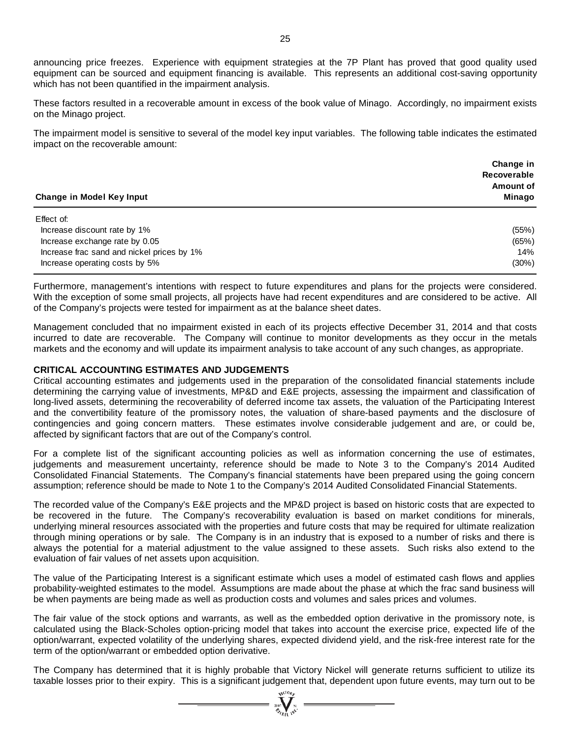announcing price freezes. Experience with equipment strategies at the 7P Plant has proved that good quality used equipment can be sourced and equipment financing is available. This represents an additional cost-saving opportunity which has not been quantified in the impairment analysis.

These factors resulted in a recoverable amount in excess of the book value of Minago. Accordingly, no impairment exists on the Minago project.

The impairment model is sensitive to several of the model key input variables. The following table indicates the estimated impact on the recoverable amount:

| Change in Model Key Input                  | Change in<br>Recoverable<br>Amount of<br>Minago |
|--------------------------------------------|-------------------------------------------------|
| Effect of:                                 |                                                 |
| Increase discount rate by 1%               | (55%)                                           |
| Increase exchange rate by 0.05             | (65%)                                           |
| Increase frac sand and nickel prices by 1% | 14%                                             |
| Increase operating costs by 5%             | (30%)                                           |

Furthermore, management's intentions with respect to future expenditures and plans for the projects were considered. With the exception of some small projects, all projects have had recent expenditures and are considered to be active. All of the Company's projects were tested for impairment as at the balance sheet dates.

Management concluded that no impairment existed in each of its projects effective December 31, 2014 and that costs incurred to date are recoverable. The Company will continue to monitor developments as they occur in the metals markets and the economy and will update its impairment analysis to take account of any such changes, as appropriate.

#### **CRITICAL ACCOUNTING ESTIMATES AND JUDGEMENTS**

Critical accounting estimates and judgements used in the preparation of the consolidated financial statements include determining the carrying value of investments, MP&D and E&E projects, assessing the impairment and classification of long-lived assets, determining the recoverability of deferred income tax assets, the valuation of the Participating Interest and the convertibility feature of the promissory notes, the valuation of share-based payments and the disclosure of contingencies and going concern matters. These estimates involve considerable judgement and are, or could be, affected by significant factors that are out of the Company's control.

For a complete list of the significant accounting policies as well as information concerning the use of estimates, judgements and measurement uncertainty, reference should be made to Note 3 to the Company's 2014 Audited Consolidated Financial Statements. The Company's financial statements have been prepared using the going concern assumption; reference should be made to Note 1 to the Company's 2014 Audited Consolidated Financial Statements.

The recorded value of the Company's E&E projects and the MP&D project is based on historic costs that are expected to be recovered in the future. The Company's recoverability evaluation is based on market conditions for minerals, underlying mineral resources associated with the properties and future costs that may be required for ultimate realization through mining operations or by sale. The Company is in an industry that is exposed to a number of risks and there is always the potential for a material adjustment to the value assigned to these assets. Such risks also extend to the evaluation of fair values of net assets upon acquisition.

The value of the Participating Interest is a significant estimate which uses a model of estimated cash flows and applies probability-weighted estimates to the model. Assumptions are made about the phase at which the frac sand business will be when payments are being made as well as production costs and volumes and sales prices and volumes.

The fair value of the stock options and warrants, as well as the embedded option derivative in the promissory note, is calculated using the Black-Scholes option-pricing model that takes into account the exercise price, expected life of the option/warrant, expected volatility of the underlying shares, expected dividend yield, and the risk-free interest rate for the term of the option/warrant or embedded option derivative.

The Company has determined that it is highly probable that Victory Nickel will generate returns sufficient to utilize its taxable losses prior to their expiry. This is a significant judgement that, dependent upon future events, may turn out to be

 $\sum_{\alpha}$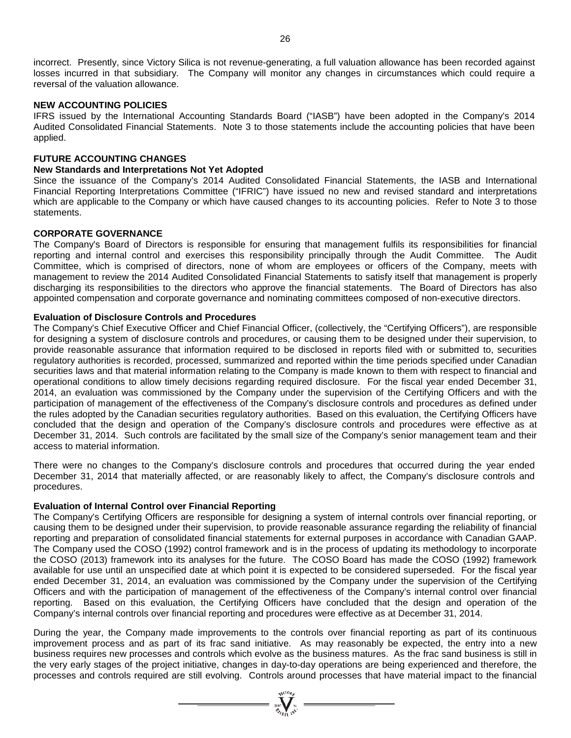incorrect. Presently, since Victory Silica is not revenue-generating, a full valuation allowance has been recorded against losses incurred in that subsidiary. The Company will monitor any changes in circumstances which could require a reversal of the valuation allowance.

## **NEW ACCOUNTING POLICIES**

IFRS issued by the International Accounting Standards Board ("IASB") have been adopted in the Company's 2014 Audited Consolidated Financial Statements. Note 3 to those statements include the accounting policies that have been applied.

# **FUTURE ACCOUNTING CHANGES**

## **New Standards and Interpretations Not Yet Adopted**

Since the issuance of the Company's 2014 Audited Consolidated Financial Statements, the IASB and International Financial Reporting Interpretations Committee ("IFRIC") have issued no new and revised standard and interpretations which are applicable to the Company or which have caused changes to its accounting policies. Refer to Note 3 to those statements.

## **CORPORATE GOVERNANCE**

The Company's Board of Directors is responsible for ensuring that management fulfils its responsibilities for financial reporting and internal control and exercises this responsibility principally through the Audit Committee. The Audit Committee, which is comprised of directors, none of whom are employees or officers of the Company, meets with management to review the 2014 Audited Consolidated Financial Statements to satisfy itself that management is properly discharging its responsibilities to the directors who approve the financial statements. The Board of Directors has also appointed compensation and corporate governance and nominating committees composed of non-executive directors.

## **Evaluation of Disclosure Controls and Procedures**

The Company's Chief Executive Officer and Chief Financial Officer, (collectively, the "Certifying Officers"), are responsible for designing a system of disclosure controls and procedures, or causing them to be designed under their supervision, to provide reasonable assurance that information required to be disclosed in reports filed with or submitted to, securities regulatory authorities is recorded, processed, summarized and reported within the time periods specified under Canadian securities laws and that material information relating to the Company is made known to them with respect to financial and operational conditions to allow timely decisions regarding required disclosure. For the fiscal year ended December 31, 2014, an evaluation was commissioned by the Company under the supervision of the Certifying Officers and with the participation of management of the effectiveness of the Company's disclosure controls and procedures as defined under the rules adopted by the Canadian securities regulatory authorities. Based on this evaluation, the Certifying Officers have concluded that the design and operation of the Company's disclosure controls and procedures were effective as at December 31, 2014. Such controls are facilitated by the small size of the Company's senior management team and their access to material information.

There were no changes to the Company's disclosure controls and procedures that occurred during the year ended December 31, 2014 that materially affected, or are reasonably likely to affect, the Company's disclosure controls and procedures.

#### **Evaluation of Internal Control over Financial Reporting**

The Company's Certifying Officers are responsible for designing a system of internal controls over financial reporting, or causing them to be designed under their supervision, to provide reasonable assurance regarding the reliability of financial reporting and preparation of consolidated financial statements for external purposes in accordance with Canadian GAAP. The Company used the COSO (1992) control framework and is in the process of updating its methodology to incorporate the COSO (2013) framework into its analyses for the future. The COSO Board has made the COSO (1992) framework available for use until an unspecified date at which point it is expected to be considered superseded. For the fiscal year ended December 31, 2014, an evaluation was commissioned by the Company under the supervision of the Certifying Officers and with the participation of management of the effectiveness of the Company's internal control over financial reporting. Based on this evaluation, the Certifying Officers have concluded that the design and operation of the Company's internal controls over financial reporting and procedures were effective as at December 31, 2014.

During the year, the Company made improvements to the controls over financial reporting as part of its continuous improvement process and as part of its frac sand initiative. As may reasonably be expected, the entry into a new business requires new processes and controls which evolve as the business matures. As the frac sand business is still in the very early stages of the project initiative, changes in day-to-day operations are being experienced and therefore, the processes and controls required are still evolving. Controls around processes that have material impact to the financial

=  $\sum_{i=1}^{N} \sum_{j=1}^{N} x_i$  =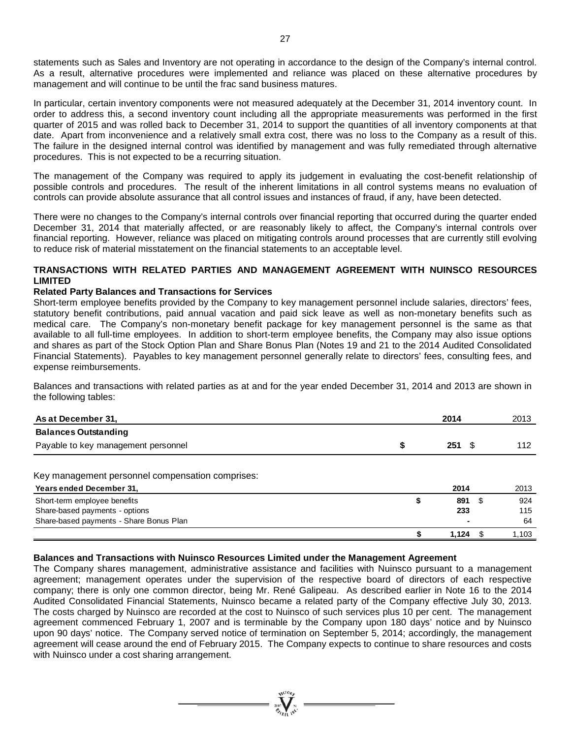statements such as Sales and Inventory are not operating in accordance to the design of the Company's internal control. As a result, alternative procedures were implemented and reliance was placed on these alternative procedures by management and will continue to be until the frac sand business matures.

In particular, certain inventory components were not measured adequately at the December 31, 2014 inventory count. In order to address this, a second inventory count including all the appropriate measurements was performed in the first quarter of 2015 and was rolled back to December 31, 2014 to support the quantities of all inventory components at that date. Apart from inconvenience and a relatively small extra cost, there was no loss to the Company as a result of this. The failure in the designed internal control was identified by management and was fully remediated through alternative procedures. This is not expected to be a recurring situation.

The management of the Company was required to apply its judgement in evaluating the cost-benefit relationship of possible controls and procedures. The result of the inherent limitations in all control systems means no evaluation of controls can provide absolute assurance that all control issues and instances of fraud, if any, have been detected.

There were no changes to the Company's internal controls over financial reporting that occurred during the quarter ended December 31, 2014 that materially affected, or are reasonably likely to affect, the Company's internal controls over financial reporting. However, reliance was placed on mitigating controls around processes that are currently still evolving to reduce risk of material misstatement on the financial statements to an acceptable level.

# **TRANSACTIONS WITH RELATED PARTIES AND MANAGEMENT AGREEMENT WITH NUINSCO RESOURCES LIMITED**

## **Related Party Balances and Transactions for Services**

Short-term employee benefits provided by the Company to key management personnel include salaries, directors' fees, statutory benefit contributions, paid annual vacation and paid sick leave as well as non-monetary benefits such as medical care. The Company's non-monetary benefit package for key management personnel is the same as that available to all full-time employees. In addition to short-term employee benefits, the Company may also issue options and shares as part of the Stock Option Plan and Share Bonus Plan (Notes 19 and 21 to the 2014 Audited Consolidated Financial Statements). Payables to key management personnel generally relate to directors' fees, consulting fees, and expense reimbursements.

Balances and transactions with related parties as at and for the year ended December 31, 2014 and 2013 are shown in the following tables:

| As at December 31,                               |   | 2014        | 2013  |
|--------------------------------------------------|---|-------------|-------|
| <b>Balances Outstanding</b>                      |   |             |       |
| Payable to key management personnel              | S | 251<br>- \$ | 112   |
| Key management personnel compensation comprises: |   |             |       |
| Years ended December 31,                         |   | 2014        | 2013  |
| Short-term employee benefits                     |   | 891<br>-S   | 924   |
| Share-based payments - options                   |   | 233         | 115   |
| Share-based payments - Share Bonus Plan          |   |             | 64    |
|                                                  |   | 1.124       | 1.103 |

## **Balances and Transactions with Nuinsco Resources Limited under the Management Agreement**

The Company shares management, administrative assistance and facilities with Nuinsco pursuant to a management agreement; management operates under the supervision of the respective board of directors of each respective company; there is only one common director, being Mr. René Galipeau. As described earlier in Note 16 to the 2014 Audited Consolidated Financial Statements, Nuinsco became a related party of the Company effective July 30, 2013. The costs charged by Nuinsco are recorded at the cost to Nuinsco of such services plus 10 per cent. The management agreement commenced February 1, 2007 and is terminable by the Company upon 180 days' notice and by Nuinsco upon 90 days' notice. The Company served notice of termination on September 5, 2014; accordingly, the management agreement will cease around the end of February 2015. The Company expects to continue to share resources and costs with Nuinsco under a cost sharing arrangement.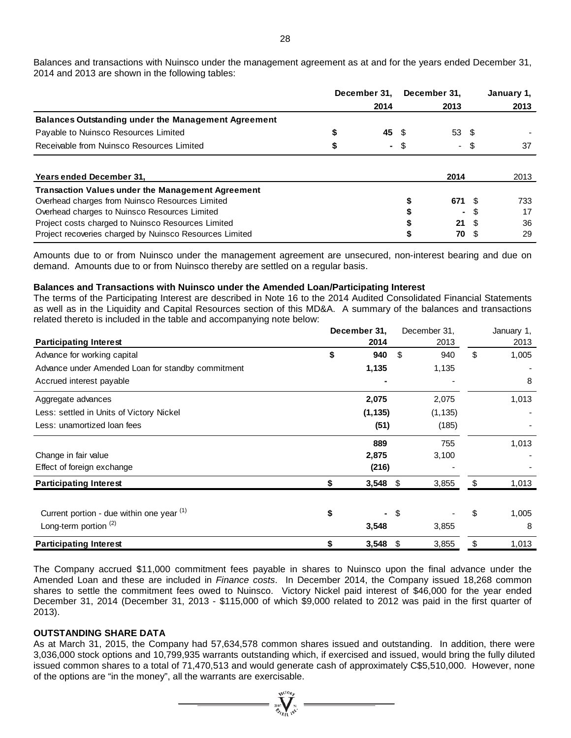Balances and transactions with Nuinsco under the management agreement as at and for the years ended December 31, 2014 and 2013 are shown in the following tables:

|                                                            |      | December 31, |      | December 31, |      | January 1, |
|------------------------------------------------------------|------|--------------|------|--------------|------|------------|
|                                                            | 2014 |              | 2013 |              |      | 2013       |
| <b>Balances Outstanding under the Management Agreement</b> |      |              |      |              |      |            |
| Payable to Nuinsco Resources Limited                       |      | 45 \$        |      | 53 \$        |      |            |
| Receivable from Nuinsco Resources Limited                  |      | ٠.           | \$   |              | - \$ | 37         |
|                                                            |      |              |      |              |      |            |
| Years ended December 31,                                   |      |              |      | 2014         |      | 2013       |
| <b>Transaction Values under the Management Agreement</b>   |      |              |      |              |      |            |
| Overhead charges from Nuinsco Resources Limited            |      |              |      | 671 \$       |      | 733        |
| Overhead charges to Nuinsco Resources Limited              |      |              |      |              |      | 17         |
| Project costs charged to Nuinsco Resources Limited         |      |              |      | 21           | - \$ | 36         |
| Project recoveries charged by Nuinsco Resources Limited    |      |              |      | 70           |      | 29         |

Amounts due to or from Nuinsco under the management agreement are unsecured, non-interest bearing and due on demand. Amounts due to or from Nuinsco thereby are settled on a regular basis.

#### **Balances and Transactions with Nuinsco under the Amended Loan/Participating Interest**

The terms of the Participating Interest are described in Note 16 to the 2014 Audited Consolidated Financial Statements as well as in the Liquidity and Capital Resources section of this MD&A. A summary of the balances and transactions related thereto is included in the table and accompanying note below:

|                                                   |    | December 31, |      | December 31, |     | January 1, |
|---------------------------------------------------|----|--------------|------|--------------|-----|------------|
| <b>Participating Interest</b>                     |    | 2014         |      | 2013         |     | 2013       |
| Advance for working capital                       | \$ | 940          | \$   | 940          | \$  | 1,005      |
| Advance under Amended Loan for standby commitment |    | 1,135        |      | 1,135        |     |            |
| Accrued interest payable                          |    |              |      |              |     | 8          |
| Aggregate advances                                |    | 2,075        |      | 2,075        |     | 1,013      |
| Less: settled in Units of Victory Nickel          |    | (1, 135)     |      | (1, 135)     |     |            |
| Less: unamortized loan fees                       |    | (51)         |      | (185)        |     |            |
|                                                   |    | 889          |      | 755          |     | 1,013      |
| Change in fair value                              |    | 2,875        |      | 3,100        |     |            |
| Effect of foreign exchange                        |    | (216)        |      |              |     |            |
| <b>Participating Interest</b>                     |    | 3,548        | - \$ | 3,855        | \$. | 1,013      |
| Current portion - due within one year (1)         | \$ | Ξ.           | \$   |              | \$  | 1,005      |
| Long-term portion $(2)$                           |    | 3,548        |      | 3,855        |     | 8          |
| <b>Participating Interest</b>                     | \$ | $3,548$ \$   |      | 3,855        | \$  | 1,013      |

The Company accrued \$11,000 commitment fees payable in shares to Nuinsco upon the final advance under the Amended Loan and these are included in *Finance costs*. In December 2014, the Company issued 18,268 common shares to settle the commitment fees owed to Nuinsco. Victory Nickel paid interest of \$46,000 for the year ended December 31, 2014 (December 31, 2013 - \$115,000 of which \$9,000 related to 2012 was paid in the first quarter of 2013).

#### **OUTSTANDING SHARE DATA**

As at March 31, 2015, the Company had 57,634,578 common shares issued and outstanding. In addition, there were 3,036,000 stock options and 10,799,935 warrants outstanding which, if exercised and issued, would bring the fully diluted issued common shares to a total of 71,470,513 and would generate cash of approximately C\$5,510,000. However, none of the options are "in the money", all the warrants are exercisable.

 $\sum_{\substack{2007\\Z_{\ell}}}\prod_{\substack{N\in\mathbb{N}\\ \text{NQ}}}}\frac{q_1\epsilon_{10}}{N},$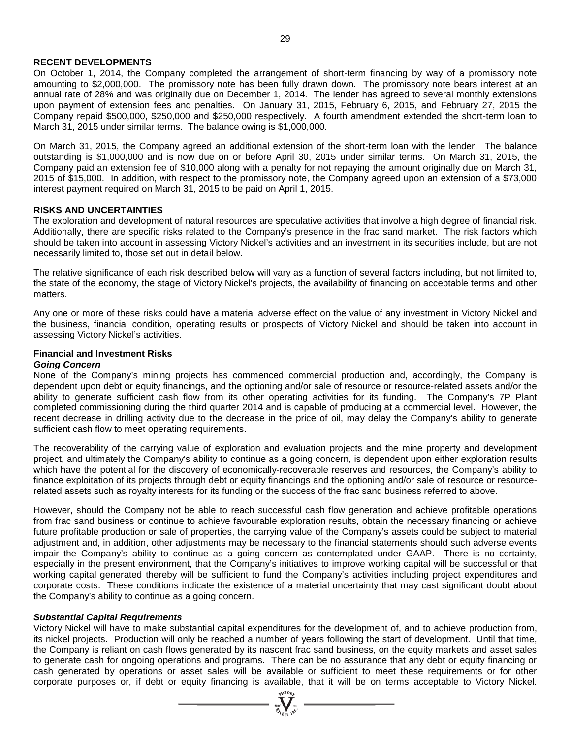## **RECENT DEVELOPMENTS**

On October 1, 2014, the Company completed the arrangement of short-term financing by way of a promissory note amounting to \$2,000,000. The promissory note has been fully drawn down. The promissory note bears interest at an annual rate of 28% and was originally due on December 1, 2014. The lender has agreed to several monthly extensions upon payment of extension fees and penalties. On January 31, 2015, February 6, 2015, and February 27, 2015 the Company repaid \$500,000, \$250,000 and \$250,000 respectively. A fourth amendment extended the short-term loan to March 31, 2015 under similar terms. The balance owing is \$1,000,000.

On March 31, 2015, the Company agreed an additional extension of the short-term loan with the lender. The balance outstanding is \$1,000,000 and is now due on or before April 30, 2015 under similar terms. On March 31, 2015, the Company paid an extension fee of \$10,000 along with a penalty for not repaying the amount originally due on March 31, 2015 of \$15,000. In addition, with respect to the promissory note, the Company agreed upon an extension of a \$73,000 interest payment required on March 31, 2015 to be paid on April 1, 2015.

# **RISKS AND UNCERTAINTIES**

The exploration and development of natural resources are speculative activities that involve a high degree of financial risk. Additionally, there are specific risks related to the Company's presence in the frac sand market. The risk factors which should be taken into account in assessing Victory Nickel's activities and an investment in its securities include, but are not necessarily limited to, those set out in detail below.

The relative significance of each risk described below will vary as a function of several factors including, but not limited to, the state of the economy, the stage of Victory Nickel's projects, the availability of financing on acceptable terms and other matters.

Any one or more of these risks could have a material adverse effect on the value of any investment in Victory Nickel and the business, financial condition, operating results or prospects of Victory Nickel and should be taken into account in assessing Victory Nickel's activities.

# **Financial and Investment Risks**

## *Going Concern*

None of the Company's mining projects has commenced commercial production and, accordingly, the Company is dependent upon debt or equity financings, and the optioning and/or sale of resource or resource-related assets and/or the ability to generate sufficient cash flow from its other operating activities for its funding. The Company's 7P Plant completed commissioning during the third quarter 2014 and is capable of producing at a commercial level. However, the recent decrease in drilling activity due to the decrease in the price of oil, may delay the Company's ability to generate sufficient cash flow to meet operating requirements.

The recoverability of the carrying value of exploration and evaluation projects and the mine property and development project, and ultimately the Company's ability to continue as a going concern, is dependent upon either exploration results which have the potential for the discovery of economically-recoverable reserves and resources, the Company's ability to finance exploitation of its projects through debt or equity financings and the optioning and/or sale of resource or resourcerelated assets such as royalty interests for its funding or the success of the frac sand business referred to above.

However, should the Company not be able to reach successful cash flow generation and achieve profitable operations from frac sand business or continue to achieve favourable exploration results, obtain the necessary financing or achieve future profitable production or sale of properties, the carrying value of the Company's assets could be subject to material adjustment and, in addition, other adjustments may be necessary to the financial statements should such adverse events impair the Company's ability to continue as a going concern as contemplated under GAAP. There is no certainty, especially in the present environment, that the Company's initiatives to improve working capital will be successful or that working capital generated thereby will be sufficient to fund the Company's activities including project expenditures and corporate costs. These conditions indicate the existence of a material uncertainty that may cast significant doubt about the Company's ability to continue as a going concern.

#### *Substantial Capital Requirements*

Victory Nickel will have to make substantial capital expenditures for the development of, and to achieve production from, its nickel projects. Production will only be reached a number of years following the start of development. Until that time, the Company is reliant on cash flows generated by its nascent frac sand business, on the equity markets and asset sales to generate cash for ongoing operations and programs. There can be no assurance that any debt or equity financing or cash generated by operations or asset sales will be available or sufficient to meet these requirements or for other corporate purposes or, if debt or equity financing is available, that it will be on terms acceptable to Victory Nickel.

 $\sum_{\alpha}$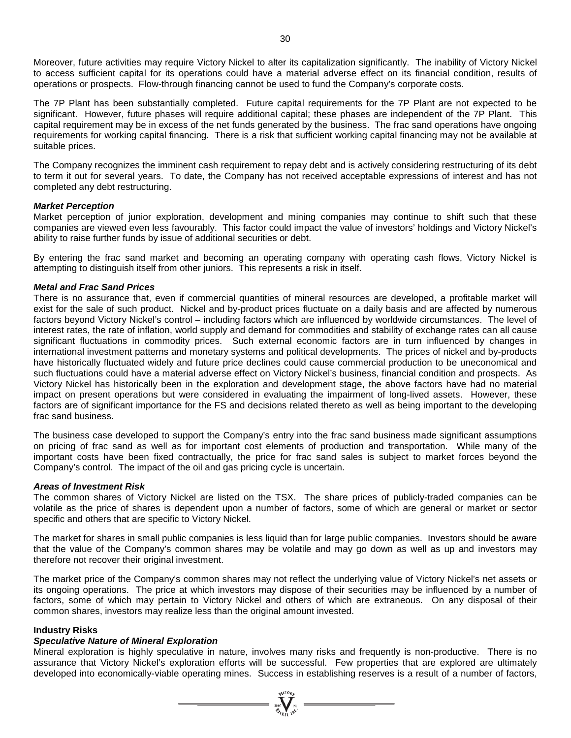Moreover, future activities may require Victory Nickel to alter its capitalization significantly. The inability of Victory Nickel to access sufficient capital for its operations could have a material adverse effect on its financial condition, results of operations or prospects. Flow-through financing cannot be used to fund the Company's corporate costs.

The 7P Plant has been substantially completed. Future capital requirements for the 7P Plant are not expected to be significant. However, future phases will require additional capital; these phases are independent of the 7P Plant. This capital requirement may be in excess of the net funds generated by the business. The frac sand operations have ongoing requirements for working capital financing. There is a risk that sufficient working capital financing may not be available at suitable prices.

The Company recognizes the imminent cash requirement to repay debt and is actively considering restructuring of its debt to term it out for several years. To date, the Company has not received acceptable expressions of interest and has not completed any debt restructuring.

## *Market Perception*

Market perception of junior exploration, development and mining companies may continue to shift such that these companies are viewed even less favourably. This factor could impact the value of investors' holdings and Victory Nickel's ability to raise further funds by issue of additional securities or debt.

By entering the frac sand market and becoming an operating company with operating cash flows, Victory Nickel is attempting to distinguish itself from other juniors. This represents a risk in itself.

## *Metal and Frac Sand Prices*

There is no assurance that, even if commercial quantities of mineral resources are developed, a profitable market will exist for the sale of such product. Nickel and by-product prices fluctuate on a daily basis and are affected by numerous factors beyond Victory Nickel's control – including factors which are influenced by worldwide circumstances. The level of interest rates, the rate of inflation, world supply and demand for commodities and stability of exchange rates can all cause significant fluctuations in commodity prices. Such external economic factors are in turn influenced by changes in international investment patterns and monetary systems and political developments. The prices of nickel and by-products have historically fluctuated widely and future price declines could cause commercial production to be uneconomical and such fluctuations could have a material adverse effect on Victory Nickel's business, financial condition and prospects. As Victory Nickel has historically been in the exploration and development stage, the above factors have had no material impact on present operations but were considered in evaluating the impairment of long-lived assets. However, these factors are of significant importance for the FS and decisions related thereto as well as being important to the developing frac sand business.

The business case developed to support the Company's entry into the frac sand business made significant assumptions on pricing of frac sand as well as for important cost elements of production and transportation. While many of the important costs have been fixed contractually, the price for frac sand sales is subject to market forces beyond the Company's control. The impact of the oil and gas pricing cycle is uncertain.

#### *Areas of Investment Risk*

The common shares of Victory Nickel are listed on the TSX. The share prices of publicly-traded companies can be volatile as the price of shares is dependent upon a number of factors, some of which are general or market or sector specific and others that are specific to Victory Nickel.

The market for shares in small public companies is less liquid than for large public companies. Investors should be aware that the value of the Company's common shares may be volatile and may go down as well as up and investors may therefore not recover their original investment.

The market price of the Company's common shares may not reflect the underlying value of Victory Nickel's net assets or its ongoing operations. The price at which investors may dispose of their securities may be influenced by a number of factors, some of which may pertain to Victory Nickel and others of which are extraneous. On any disposal of their common shares, investors may realize less than the original amount invested.

# **Industry Risks**

## *Speculative Nature of Mineral Exploration*

Mineral exploration is highly speculative in nature, involves many risks and frequently is non-productive. There is no assurance that Victory Nickel's exploration efforts will be successful. Few properties that are explored are ultimately developed into economically-viable operating mines. Success in establishing reserves is a result of a number of factors,

=  $\sum_{y \in C} \sum_{y \in C} \sum_{y \in C}$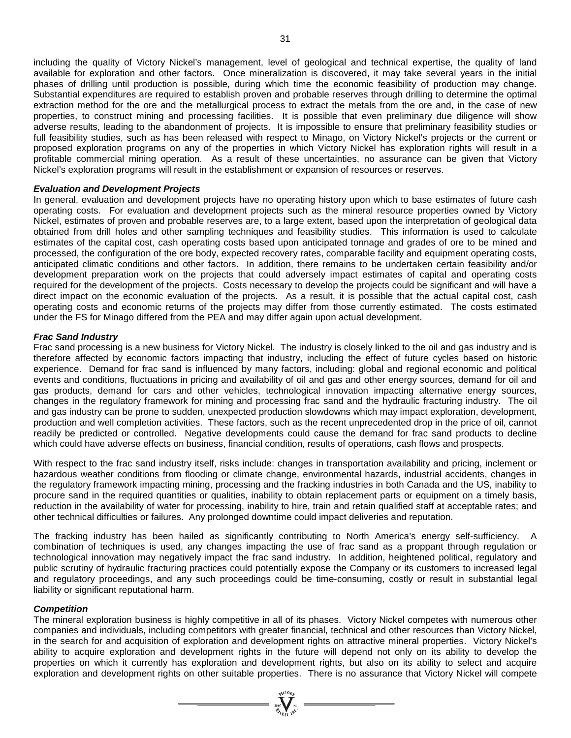including the quality of Victory Nickel's management, level of geological and technical expertise, the quality of land available for exploration and other factors. Once mineralization is discovered, it may take several years in the initial phases of drilling until production is possible, during which time the economic feasibility of production may change. Substantial expenditures are required to establish proven and probable reserves through drilling to determine the optimal extraction method for the ore and the metallurgical process to extract the metals from the ore and, in the case of new properties, to construct mining and processing facilities. It is possible that even preliminary due diligence will show adverse results, leading to the abandonment of projects. It is impossible to ensure that preliminary feasibility studies or full feasibility studies, such as has been released with respect to Minago, on Victory Nickel's projects or the current or proposed exploration programs on any of the properties in which Victory Nickel has exploration rights will result in a profitable commercial mining operation. As a result of these uncertainties, no assurance can be given that Victory Nickel's exploration programs will result in the establishment or expansion of resources or reserves.

## *Evaluation and Development Projects*

In general, evaluation and development projects have no operating history upon which to base estimates of future cash operating costs. For evaluation and development projects such as the mineral resource properties owned by Victory Nickel, estimates of proven and probable reserves are, to a large extent, based upon the interpretation of geological data obtained from drill holes and other sampling techniques and feasibility studies. This information is used to calculate estimates of the capital cost, cash operating costs based upon anticipated tonnage and grades of ore to be mined and processed, the configuration of the ore body, expected recovery rates, comparable facility and equipment operating costs, anticipated climatic conditions and other factors. In addition, there remains to be undertaken certain feasibility and/or development preparation work on the projects that could adversely impact estimates of capital and operating costs required for the development of the projects. Costs necessary to develop the projects could be significant and will have a direct impact on the economic evaluation of the projects. As a result, it is possible that the actual capital cost, cash operating costs and economic returns of the projects may differ from those currently estimated. The costs estimated under the FS for Minago differed from the PEA and may differ again upon actual development.

## *Frac Sand Industry*

Frac sand processing is a new business for Victory Nickel. The industry is closely linked to the oil and gas industry and is therefore affected by economic factors impacting that industry, including the effect of future cycles based on historic experience. Demand for frac sand is influenced by many factors, including: global and regional economic and political events and conditions, fluctuations in pricing and availability of oil and gas and other energy sources, demand for oil and gas products, demand for cars and other vehicles, technological innovation impacting alternative energy sources, changes in the regulatory framework for mining and processing frac sand and the hydraulic fracturing industry. The oil and gas industry can be prone to sudden, unexpected production slowdowns which may impact exploration, development, production and well completion activities. These factors, such as the recent unprecedented drop in the price of oil, cannot readily be predicted or controlled. Negative developments could cause the demand for frac sand products to decline which could have adverse effects on business, financial condition, results of operations, cash flows and prospects.

With respect to the frac sand industry itself, risks include: changes in transportation availability and pricing, inclement or hazardous weather conditions from flooding or climate change, environmental hazards, industrial accidents, changes in the regulatory framework impacting mining, processing and the fracking industries in both Canada and the US, inability to procure sand in the required quantities or qualities, inability to obtain replacement parts or equipment on a timely basis, reduction in the availability of water for processing, inability to hire, train and retain qualified staff at acceptable rates; and other technical difficulties or failures. Any prolonged downtime could impact deliveries and reputation.

The fracking industry has been hailed as significantly contributing to North America's energy self-sufficiency. A combination of techniques is used, any changes impacting the use of frac sand as a proppant through regulation or technological innovation may negatively impact the frac sand industry. In addition, heightened political, regulatory and public scrutiny of hydraulic fracturing practices could potentially expose the Company or its customers to increased legal and regulatory proceedings, and any such proceedings could be time-consuming, costly or result in substantial legal liability or significant reputational harm.

#### *Competition*

The mineral exploration business is highly competitive in all of its phases. Victory Nickel competes with numerous other companies and individuals, including competitors with greater financial, technical and other resources than Victory Nickel, in the search for and acquisition of exploration and development rights on attractive mineral properties. Victory Nickel's ability to acquire exploration and development rights in the future will depend not only on its ability to develop the properties on which it currently has exploration and development rights, but also on its ability to select and acquire exploration and development rights on other suitable properties. There is no assurance that Victory Nickel will compete

 $= \sum_{\substack{i=1\\ \text{for } i\in I}}^{\text{val}(D_{f_i})} n^{(i)}$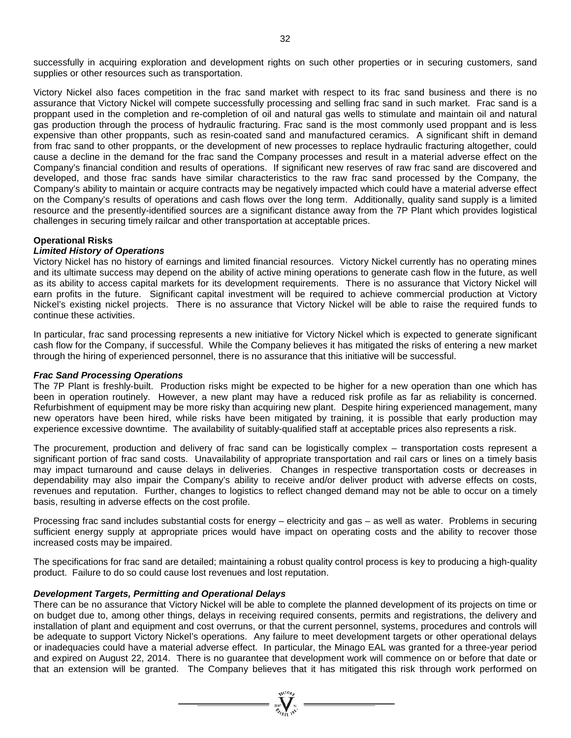successfully in acquiring exploration and development rights on such other properties or in securing customers, sand supplies or other resources such as transportation.

Victory Nickel also faces competition in the frac sand market with respect to its frac sand business and there is no assurance that Victory Nickel will compete successfully processing and selling frac sand in such market. Frac sand is a proppant used in the completion and re-completion of oil and natural gas wells to stimulate and maintain oil and natural gas production through the process of hydraulic fracturing. Frac sand is the most commonly used proppant and is less expensive than other proppants, such as resin-coated sand and manufactured ceramics. A significant shift in demand from frac sand to other proppants, or the development of new processes to replace hydraulic fracturing altogether, could cause a decline in the demand for the frac sand the Company processes and result in a material adverse effect on the Company's financial condition and results of operations. If significant new reserves of raw frac sand are discovered and developed, and those frac sands have similar characteristics to the raw frac sand processed by the Company, the Company's ability to maintain or acquire contracts may be negatively impacted which could have a material adverse effect on the Company's results of operations and cash flows over the long term. Additionally, quality sand supply is a limited resource and the presently-identified sources are a significant distance away from the 7P Plant which provides logistical challenges in securing timely railcar and other transportation at acceptable prices.

# **Operational Risks**

# *Limited History of Operations*

Victory Nickel has no history of earnings and limited financial resources. Victory Nickel currently has no operating mines and its ultimate success may depend on the ability of active mining operations to generate cash flow in the future, as well as its ability to access capital markets for its development requirements. There is no assurance that Victory Nickel will earn profits in the future. Significant capital investment will be required to achieve commercial production at Victory Nickel's existing nickel projects. There is no assurance that Victory Nickel will be able to raise the required funds to continue these activities.

In particular, frac sand processing represents a new initiative for Victory Nickel which is expected to generate significant cash flow for the Company, if successful. While the Company believes it has mitigated the risks of entering a new market through the hiring of experienced personnel, there is no assurance that this initiative will be successful.

#### *Frac Sand Processing Operations*

The 7P Plant is freshly-built. Production risks might be expected to be higher for a new operation than one which has been in operation routinely. However, a new plant may have a reduced risk profile as far as reliability is concerned. Refurbishment of equipment may be more risky than acquiring new plant. Despite hiring experienced management, many new operators have been hired, while risks have been mitigated by training, it is possible that early production may experience excessive downtime. The availability of suitably-qualified staff at acceptable prices also represents a risk.

The procurement, production and delivery of frac sand can be logistically complex – transportation costs represent a significant portion of frac sand costs. Unavailability of appropriate transportation and rail cars or lines on a timely basis may impact turnaround and cause delays in deliveries. Changes in respective transportation costs or decreases in dependability may also impair the Company's ability to receive and/or deliver product with adverse effects on costs, revenues and reputation. Further, changes to logistics to reflect changed demand may not be able to occur on a timely basis, resulting in adverse effects on the cost profile.

Processing frac sand includes substantial costs for energy – electricity and gas – as well as water. Problems in securing sufficient energy supply at appropriate prices would have impact on operating costs and the ability to recover those increased costs may be impaired.

The specifications for frac sand are detailed; maintaining a robust quality control process is key to producing a high-quality product. Failure to do so could cause lost revenues and lost reputation.

# *Development Targets, Permitting and Operational Delays*

There can be no assurance that Victory Nickel will be able to complete the planned development of its projects on time or on budget due to, among other things, delays in receiving required consents, permits and registrations, the delivery and installation of plant and equipment and cost overruns, or that the current personnel, systems, procedures and controls will be adequate to support Victory Nickel's operations. Any failure to meet development targets or other operational delays or inadequacies could have a material adverse effect. In particular, the Minago EAL was granted for a three-year period and expired on August 22, 2014. There is no guarantee that development work will commence on or before that date or that an extension will be granted. The Company believes that it has mitigated this risk through work performed on

 $=\prod_{\substack{i=1\\ \text{if } i \leq n}}^{\infty}$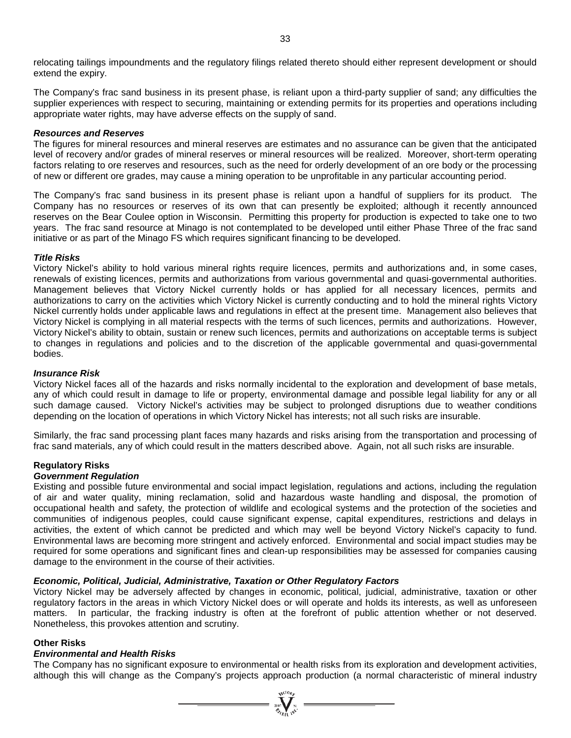relocating tailings impoundments and the regulatory filings related thereto should either represent development or should extend the expiry.

The Company's frac sand business in its present phase, is reliant upon a third-party supplier of sand; any difficulties the supplier experiences with respect to securing, maintaining or extending permits for its properties and operations including appropriate water rights, may have adverse effects on the supply of sand.

## *Resources and Reserves*

The figures for mineral resources and mineral reserves are estimates and no assurance can be given that the anticipated level of recovery and/or grades of mineral reserves or mineral resources will be realized. Moreover, short-term operating factors relating to ore reserves and resources, such as the need for orderly development of an ore body or the processing of new or different ore grades, may cause a mining operation to be unprofitable in any particular accounting period.

The Company's frac sand business in its present phase is reliant upon a handful of suppliers for its product. The Company has no resources or reserves of its own that can presently be exploited; although it recently announced reserves on the Bear Coulee option in Wisconsin. Permitting this property for production is expected to take one to two years. The frac sand resource at Minago is not contemplated to be developed until either Phase Three of the frac sand initiative or as part of the Minago FS which requires significant financing to be developed.

## *Title Risks*

Victory Nickel's ability to hold various mineral rights require licences, permits and authorizations and, in some cases, renewals of existing licences, permits and authorizations from various governmental and quasi-governmental authorities. Management believes that Victory Nickel currently holds or has applied for all necessary licences, permits and authorizations to carry on the activities which Victory Nickel is currently conducting and to hold the mineral rights Victory Nickel currently holds under applicable laws and regulations in effect at the present time. Management also believes that Victory Nickel is complying in all material respects with the terms of such licences, permits and authorizations. However, Victory Nickel's ability to obtain, sustain or renew such licences, permits and authorizations on acceptable terms is subject to changes in regulations and policies and to the discretion of the applicable governmental and quasi-governmental bodies.

#### *Insurance Risk*

Victory Nickel faces all of the hazards and risks normally incidental to the exploration and development of base metals, any of which could result in damage to life or property, environmental damage and possible legal liability for any or all such damage caused. Victory Nickel's activities may be subject to prolonged disruptions due to weather conditions depending on the location of operations in which Victory Nickel has interests; not all such risks are insurable.

Similarly, the frac sand processing plant faces many hazards and risks arising from the transportation and processing of frac sand materials, any of which could result in the matters described above. Again, not all such risks are insurable.

# **Regulatory Risks**

# *Government Regulation*

Existing and possible future environmental and social impact legislation, regulations and actions, including the regulation of air and water quality, mining reclamation, solid and hazardous waste handling and disposal, the promotion of occupational health and safety, the protection of wildlife and ecological systems and the protection of the societies and communities of indigenous peoples, could cause significant expense, capital expenditures, restrictions and delays in activities, the extent of which cannot be predicted and which may well be beyond Victory Nickel's capacity to fund. Environmental laws are becoming more stringent and actively enforced. Environmental and social impact studies may be required for some operations and significant fines and clean-up responsibilities may be assessed for companies causing damage to the environment in the course of their activities.

# *Economic, Political, Judicial, Administrative, Taxation or Other Regulatory Factors*

Victory Nickel may be adversely affected by changes in economic, political, judicial, administrative, taxation or other regulatory factors in the areas in which Victory Nickel does or will operate and holds its interests, as well as unforeseen matters. In particular, the fracking industry is often at the forefront of public attention whether or not deserved. Nonetheless, this provokes attention and scrutiny.

#### **Other Risks**

# *Environmental and Health Risks*

The Company has no significant exposure to environmental or health risks from its exploration and development activities, although this will change as the Company's projects approach production (a normal characteristic of mineral industry

 $\sum_{n=1}^{\infty} \sum_{n=1}^{\infty}$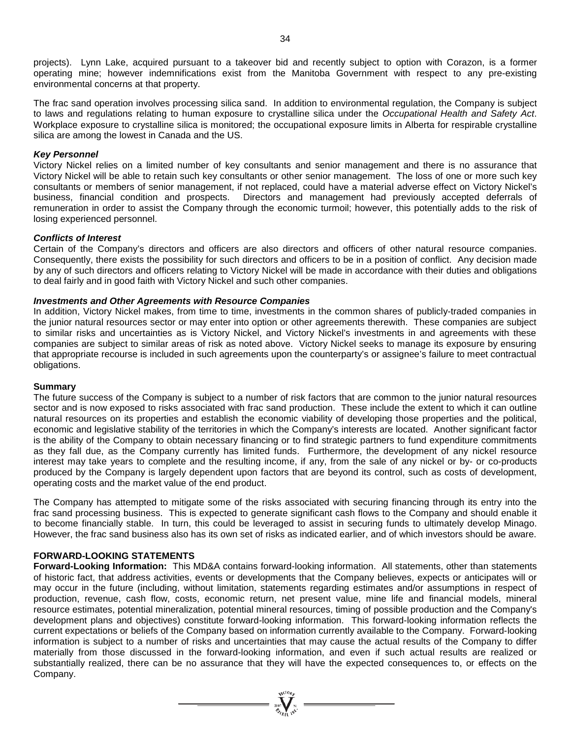projects). Lynn Lake, acquired pursuant to a takeover bid and recently subject to option with Corazon, is a former operating mine; however indemnifications exist from the Manitoba Government with respect to any pre-existing environmental concerns at that property.

The frac sand operation involves processing silica sand. In addition to environmental regulation, the Company is subject to laws and regulations relating to human exposure to crystalline silica under the *Occupational Health and Safety Act*. Workplace exposure to crystalline silica is monitored; the occupational exposure limits in Alberta for respirable crystalline silica are among the lowest in Canada and the US.

## *Key Personnel*

Victory Nickel relies on a limited number of key consultants and senior management and there is no assurance that Victory Nickel will be able to retain such key consultants or other senior management. The loss of one or more such key consultants or members of senior management, if not replaced, could have a material adverse effect on Victory Nickel's business, financial condition and prospects. Directors and management had previously accepted deferrals of remuneration in order to assist the Company through the economic turmoil; however, this potentially adds to the risk of losing experienced personnel.

## *Conflicts of Interest*

Certain of the Company's directors and officers are also directors and officers of other natural resource companies. Consequently, there exists the possibility for such directors and officers to be in a position of conflict. Any decision made by any of such directors and officers relating to Victory Nickel will be made in accordance with their duties and obligations to deal fairly and in good faith with Victory Nickel and such other companies.

## *Investments and Other Agreements with Resource Companies*

In addition, Victory Nickel makes, from time to time, investments in the common shares of publicly-traded companies in the junior natural resources sector or may enter into option or other agreements therewith. These companies are subject to similar risks and uncertainties as is Victory Nickel, and Victory Nickel's investments in and agreements with these companies are subject to similar areas of risk as noted above. Victory Nickel seeks to manage its exposure by ensuring that appropriate recourse is included in such agreements upon the counterparty's or assignee's failure to meet contractual obligations.

#### **Summary**

The future success of the Company is subject to a number of risk factors that are common to the junior natural resources sector and is now exposed to risks associated with frac sand production. These include the extent to which it can outline natural resources on its properties and establish the economic viability of developing those properties and the political, economic and legislative stability of the territories in which the Company's interests are located. Another significant factor is the ability of the Company to obtain necessary financing or to find strategic partners to fund expenditure commitments as they fall due, as the Company currently has limited funds. Furthermore, the development of any nickel resource interest may take years to complete and the resulting income, if any, from the sale of any nickel or by- or co-products produced by the Company is largely dependent upon factors that are beyond its control, such as costs of development, operating costs and the market value of the end product.

The Company has attempted to mitigate some of the risks associated with securing financing through its entry into the frac sand processing business. This is expected to generate significant cash flows to the Company and should enable it to become financially stable. In turn, this could be leveraged to assist in securing funds to ultimately develop Minago. However, the frac sand business also has its own set of risks as indicated earlier, and of which investors should be aware.

# **FORWARD-LOOKING STATEMENTS**

**Forward-Looking Information:** This MD&A contains forward-looking information. All statements, other than statements of historic fact, that address activities, events or developments that the Company believes, expects or anticipates will or may occur in the future (including, without limitation, statements regarding estimates and/or assumptions in respect of production, revenue, cash flow, costs, economic return, net present value, mine life and financial models, mineral resource estimates, potential mineralization, potential mineral resources, timing of possible production and the Company's development plans and objectives) constitute forward-looking information. This forward-looking information reflects the current expectations or beliefs of the Company based on information currently available to the Company. Forward-looking information is subject to a number of risks and uncertainties that may cause the actual results of the Company to differ materially from those discussed in the forward-looking information, and even if such actual results are realized or substantially realized, there can be no assurance that they will have the expected consequences to, or effects on the Company.

 $\sum_{\substack{n=1\\n\neq n}}^{\text{qtd}(D_n)}$